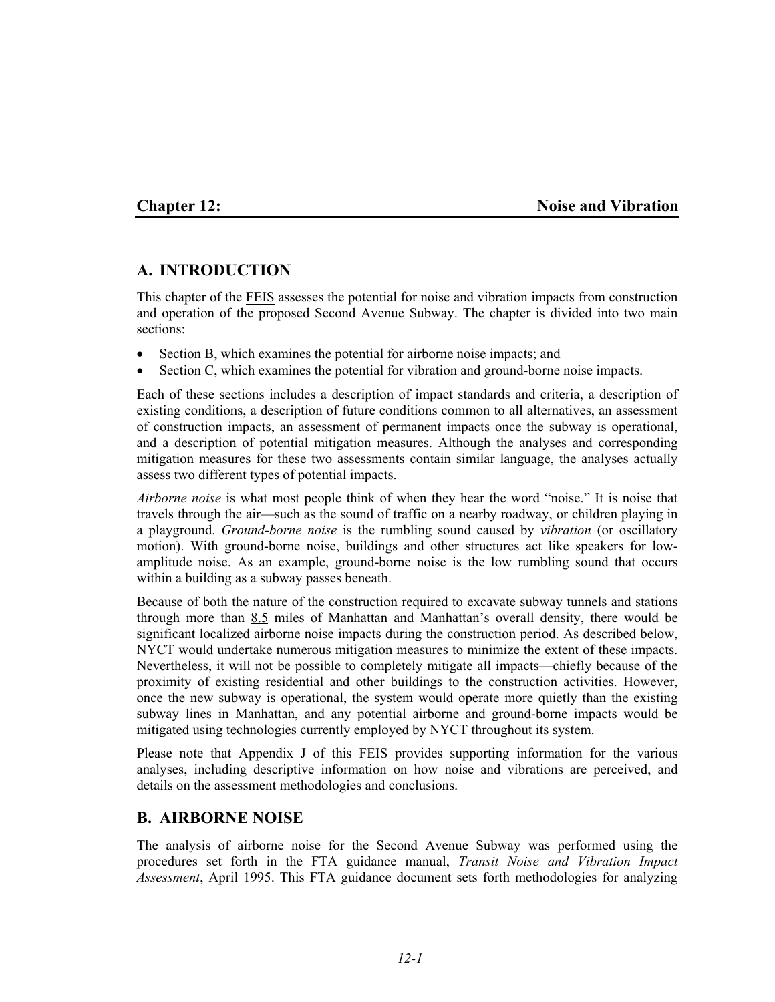#### **Chapter 12:** Noise and Vibration

# **A. INTRODUCTION**

This chapter of the **FEIS** assesses the potential for noise and vibration impacts from construction and operation of the proposed Second Avenue Subway. The chapter is divided into two main sections:

- Section B, which examines the potential for airborne noise impacts; and
- Section C, which examines the potential for vibration and ground-borne noise impacts.

Each of these sections includes a description of impact standards and criteria, a description of existing conditions, a description of future conditions common to all alternatives, an assessment of construction impacts, an assessment of permanent impacts once the subway is operational, and a description of potential mitigation measures. Although the analyses and corresponding mitigation measures for these two assessments contain similar language, the analyses actually assess two different types of potential impacts.

*Airborne noise* is what most people think of when they hear the word "noise." It is noise that travels through the air—such as the sound of traffic on a nearby roadway, or children playing in a playground. *Ground-borne noise* is the rumbling sound caused by *vibration* (or oscillatory motion). With ground-borne noise, buildings and other structures act like speakers for lowamplitude noise. As an example, ground-borne noise is the low rumbling sound that occurs within a building as a subway passes beneath.

Because of both the nature of the construction required to excavate subway tunnels and stations through more than 8.5 miles of Manhattan and Manhattan's overall density, there would be significant localized airborne noise impacts during the construction period. As described below, NYCT would undertake numerous mitigation measures to minimize the extent of these impacts. Nevertheless, it will not be possible to completely mitigate all impacts—chiefly because of the proximity of existing residential and other buildings to the construction activities. However, once the new subway is operational, the system would operate more quietly than the existing subway lines in Manhattan, and any potential airborne and ground-borne impacts would be mitigated using technologies currently employed by NYCT throughout its system.

Please note that Appendix J of this FEIS provides supporting information for the various analyses, including descriptive information on how noise and vibrations are perceived, and details on the assessment methodologies and conclusions.

# **B. AIRBORNE NOISE**

The analysis of airborne noise for the Second Avenue Subway was performed using the procedures set forth in the FTA guidance manual, *Transit Noise and Vibration Impact Assessment*, April 1995. This FTA guidance document sets forth methodologies for analyzing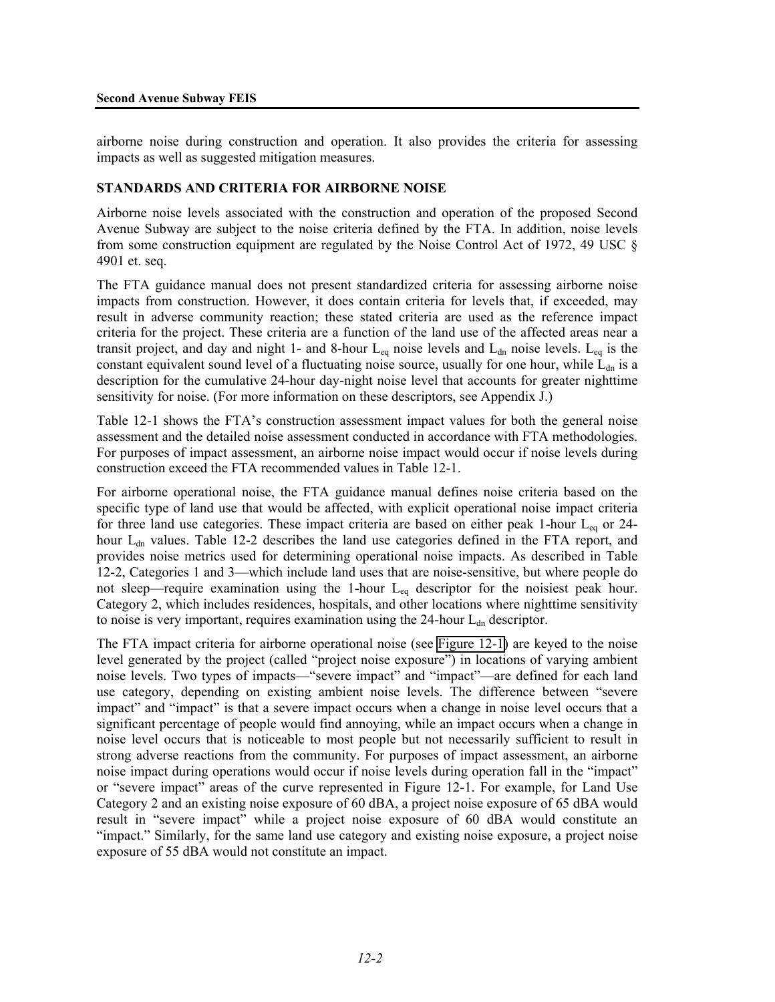airborne noise during construction and operation. It also provides the criteria for assessing impacts as well as suggested mitigation measures.

#### **STANDARDS AND CRITERIA FOR AIRBORNE NOISE**

Airborne noise levels associated with the construction and operation of the proposed Second Avenue Subway are subject to the noise criteria defined by the FTA. In addition, noise levels from some construction equipment are regulated by the Noise Control Act of 1972, 49 USC § 4901 et. seq.

The FTA guidance manual does not present standardized criteria for assessing airborne noise impacts from construction. However, it does contain criteria for levels that, if exceeded, may result in adverse community reaction; these stated criteria are used as the reference impact criteria for the project. These criteria are a function of the land use of the affected areas near a transit project, and day and night 1- and 8-hour  $L_{eq}$  noise levels and  $L_{dn}$  noise levels.  $L_{eq}$  is the constant equivalent sound level of a fluctuating noise source, usually for one hour, while  $L_{dn}$  is a description for the cumulative 24-hour day-night noise level that accounts for greater nighttime sensitivity for noise. (For more information on these descriptors, see Appendix J.)

Table 12-1 shows the FTA's construction assessment impact values for both the general noise assessment and the detailed noise assessment conducted in accordance with FTA methodologies. For purposes of impact assessment, an airborne noise impact would occur if noise levels during construction exceed the FTA recommended values in Table 12-1.

For airborne operational noise, the FTA guidance manual defines noise criteria based on the specific type of land use that would be affected, with explicit operational noise impact criteria for three land use categories. These impact criteria are based on either peak 1-hour  $L_{eq}$  or 24hour L<sub>dn</sub> values. Table 12-2 describes the land use categories defined in the FTA report, and provides noise metrics used for determining operational noise impacts. As described in Table 12-2, Categories 1 and 3—which include land uses that are noise-sensitive, but where people do not sleep—require examination using the 1-hour Leq descriptor for the noisiest peak hour. Category 2, which includes residences, hospitals, and other locations where nighttime sensitivity to noise is very important, requires examination using the  $24$ -hour  $L_{dn}$  descriptor.

The FTA impact criteria for airborne operational noise (see Figure 12-1) are keyed to the noise level generated by the project (called "project noise exposure") in locations of varying ambient noise levels. Two types of impacts—"severe impact" and "impact"—are defined for each land use category, depending on existing ambient noise levels. The difference between "severe impact" and "impact" is that a severe impact occurs when a change in noise level occurs that a significant percentage of people would find annoying, while an impact occurs when a change in noise level occurs that is noticeable to most people but not necessarily sufficient to result in strong adverse reactions from the community. For purposes of impact assessment, an airborne noise impact during operations would occur if noise levels during operation fall in the "impact" or "severe impact" areas of the curve represented in Figure 12-1. For example, for Land Use Category 2 and an existing noise exposure of 60 dBA, a project noise exposure of 65 dBA would result in "severe impact" while a project noise exposure of 60 dBA would constitute an "impact." Similarly, for the same land use category and existing noise exposure, a project noise exposure of 55 dBA would not constitute an impact.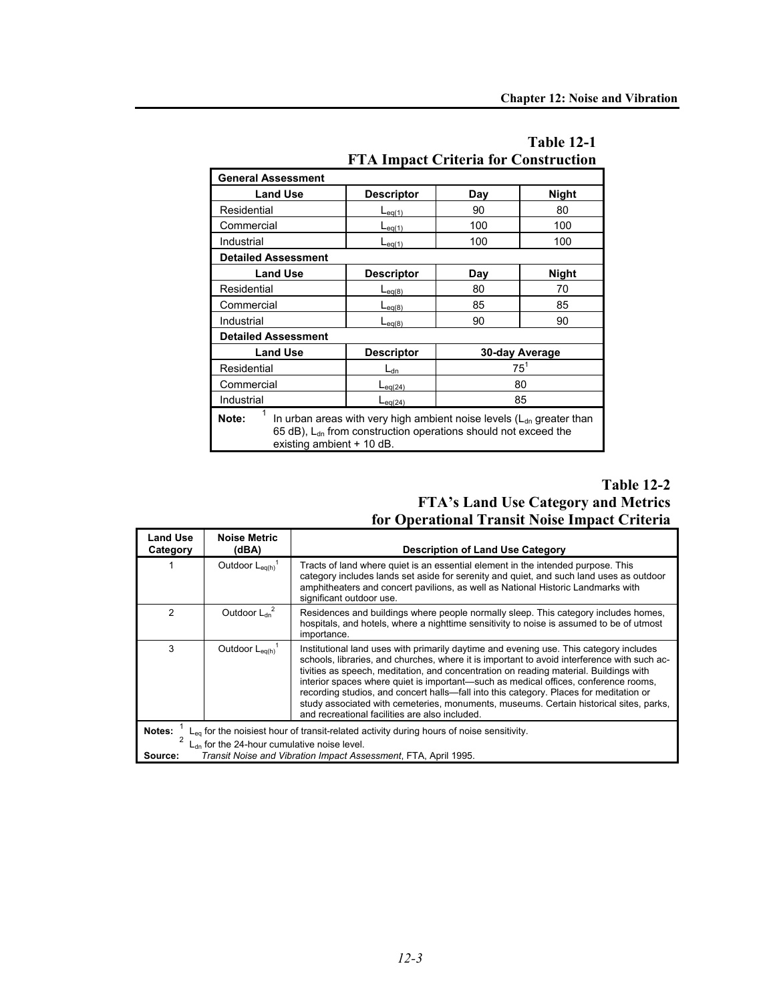| <b>General Assessment</b>                                                                                                                                                                        |                     |                |              |  |
|--------------------------------------------------------------------------------------------------------------------------------------------------------------------------------------------------|---------------------|----------------|--------------|--|
| <b>Land Use</b>                                                                                                                                                                                  | <b>Descriptor</b>   | Day            | <b>Night</b> |  |
| Residential                                                                                                                                                                                      | $L_{eq(1)}$         | 90             | 80           |  |
| Commercial                                                                                                                                                                                       | $L_{eq(1)}$         | 100            | 100          |  |
| Industrial                                                                                                                                                                                       | $L_{eq(1)}$         | 100            | 100          |  |
| <b>Detailed Assessment</b>                                                                                                                                                                       |                     |                |              |  |
| <b>Land Use</b>                                                                                                                                                                                  | <b>Descriptor</b>   | Day            | Night        |  |
| Residential                                                                                                                                                                                      | $_{\textsf{eq(8)}}$ | 80             | 70           |  |
| Commercial                                                                                                                                                                                       | $_{eq(8)}$          | 85             | 85           |  |
| Industrial                                                                                                                                                                                       | $\mathsf{Leq}(8)$   | 90             | 90           |  |
| <b>Detailed Assessment</b>                                                                                                                                                                       |                     |                |              |  |
| <b>Land Use</b>                                                                                                                                                                                  | <b>Descriptor</b>   | 30-day Average |              |  |
| Residential                                                                                                                                                                                      | $L_{dn}$            | $75^1$         |              |  |
| Commercial                                                                                                                                                                                       | eq(24)              | 80             |              |  |
| Industrial                                                                                                                                                                                       | $L_{eq(24)}$        | 85             |              |  |
| In urban areas with very high ambient noise levels $(L_{dn})$ greater than<br>Note:<br>65 dB), L <sub>dn</sub> from construction operations should not exceed the<br>existing ambient $+$ 10 dB. |                     |                |              |  |

# **Table 12-1 FTA Impact Criteria for Construction**

# **Table 12-2 FTA's Land Use Category and Metrics for Operational Transit Noise Impact Criteria**

| Land Use<br>Category                                                                                                                                                      | <b>Noise Metric</b><br>(dBA)     | <b>Description of Land Use Category</b>                                                                                                                                                                                                                                                                                                                                                                                                                                                                                                                                                                     |  |
|---------------------------------------------------------------------------------------------------------------------------------------------------------------------------|----------------------------------|-------------------------------------------------------------------------------------------------------------------------------------------------------------------------------------------------------------------------------------------------------------------------------------------------------------------------------------------------------------------------------------------------------------------------------------------------------------------------------------------------------------------------------------------------------------------------------------------------------------|--|
|                                                                                                                                                                           | Outdoor $L_{eq(h)}$ <sup>1</sup> | Tracts of land where quiet is an essential element in the intended purpose. This<br>category includes lands set aside for serenity and quiet, and such land uses as outdoor<br>amphitheaters and concert pavilions, as well as National Historic Landmarks with<br>significant outdoor use.                                                                                                                                                                                                                                                                                                                 |  |
| $\mathfrak{p}$                                                                                                                                                            | Outdoor $L_{dn}^2$               | Residences and buildings where people normally sleep. This category includes homes,<br>hospitals, and hotels, where a nighttime sensitivity to noise is assumed to be of utmost<br>importance.                                                                                                                                                                                                                                                                                                                                                                                                              |  |
| 3                                                                                                                                                                         | Outdoor $L_{eq(h)}^1$            | Institutional land uses with primarily daytime and evening use. This category includes<br>schools, libraries, and churches, where it is important to avoid interference with such ac-<br>tivities as speech, meditation, and concentration on reading material. Buildings with<br>interior spaces where quiet is important—such as medical offices, conference rooms,<br>recording studios, and concert halls—fall into this category. Places for meditation or<br>study associated with cemeteries, monuments, museums. Certain historical sites, parks,<br>and recreational facilities are also included. |  |
| Notes:<br>L <sub>eq</sub> for the noisiest hour of transit-related activity during hours of noise sensitivity.<br>L <sub>dn</sub> for the 24-hour cumulative noise level. |                                  |                                                                                                                                                                                                                                                                                                                                                                                                                                                                                                                                                                                                             |  |
| Transit Noise and Vibration Impact Assessment, FTA, April 1995.<br>Source:                                                                                                |                                  |                                                                                                                                                                                                                                                                                                                                                                                                                                                                                                                                                                                                             |  |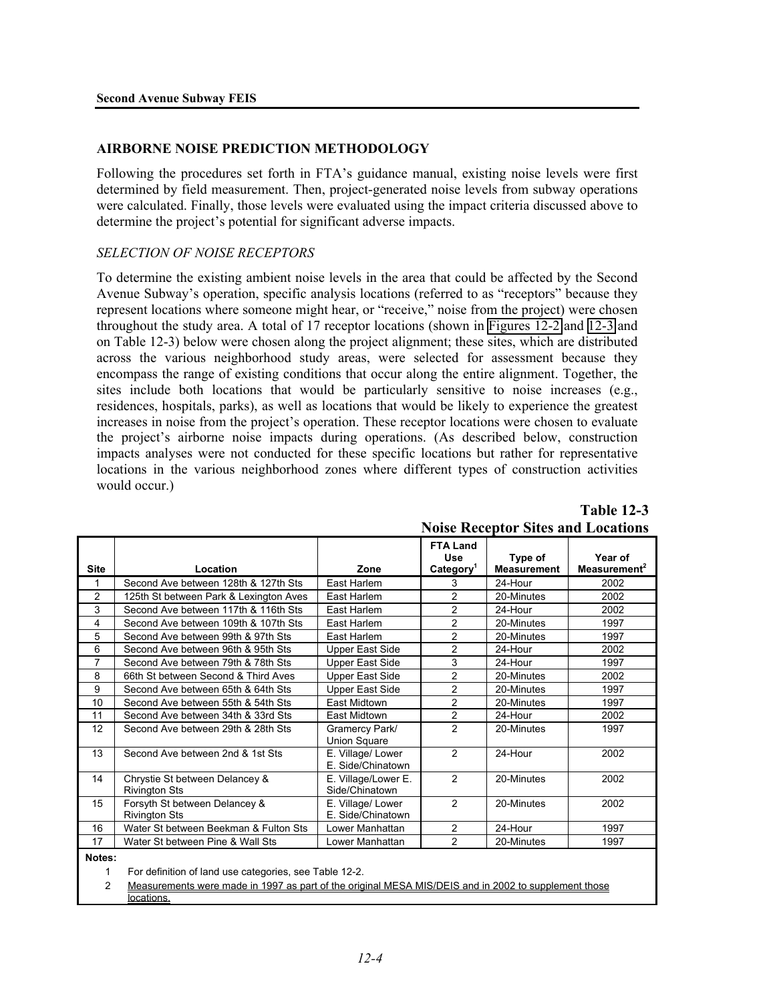#### **AIRBORNE NOISE PREDICTION METHODOLOGY**

Following the procedures set forth in FTA's guidance manual, existing noise levels were first determined by field measurement. Then, project-generated noise levels from subway operations were calculated. Finally, those levels were evaluated using the impact criteria discussed above to determine the project's potential for significant adverse impacts.

#### *SELECTION OF NOISE RECEPTORS*

To determine the existing ambient noise levels in the area that could be affected by the Second Avenue Subway's operation, specific analysis locations (referred to as "receptors" because they represent locations where someone might hear, or "receive," noise from the project) were chosen throughout the study area. A total of 17 receptor locations (shown in Figures 12-2 and 12-3 and on Table 12-3) below were chosen along the project alignment; these sites, which are distributed across the various neighborhood study areas, were selected for assessment because they encompass the range of existing conditions that occur along the entire alignment. Together, the sites include both locations that would be particularly sensitive to noise increases (e.g., residences, hospitals, parks), as well as locations that would be likely to experience the greatest increases in noise from the project's operation. These receptor locations were chosen to evaluate the project's airborne noise impacts during operations. (As described below, construction impacts analyses were not conducted for these specific locations but rather for representative locations in the various neighborhood zones where different types of construction activities would occur.)

|                                                                                                                         |                                                                  |                                        | <b>FTA Land</b><br><b>Use</b> | Type of            | Year of                  |
|-------------------------------------------------------------------------------------------------------------------------|------------------------------------------------------------------|----------------------------------------|-------------------------------|--------------------|--------------------------|
| <b>Site</b>                                                                                                             | Location                                                         | Zone                                   | Category <sup>1</sup>         | <b>Measurement</b> | Measurement <sup>2</sup> |
| 1                                                                                                                       | Second Ave between 128th & 127th Sts                             | East Harlem                            | 3                             | 24-Hour            | 2002                     |
| 2                                                                                                                       | 125th St between Park & Lexington Aves                           | East Harlem                            | $\overline{2}$                | 20-Minutes         | 2002                     |
| 3                                                                                                                       | Second Ave between 117th & 116th Sts                             | East Harlem                            | $\overline{2}$                | 24-Hour            | 2002                     |
| 4                                                                                                                       | Second Ave between 109th & 107th Sts                             | East Harlem                            | $\overline{2}$                | 20-Minutes         | 1997                     |
| 5                                                                                                                       | Second Ave between 99th & 97th Sts                               | East Harlem                            | $\overline{2}$                | 20-Minutes         | 1997                     |
| 6                                                                                                                       | Second Ave between 96th & 95th Sts                               | <b>Upper East Side</b>                 | $\overline{2}$                | 24-Hour            | 2002                     |
| $\overline{7}$                                                                                                          | Second Ave between 79th & 78th Sts                               | Upper East Side                        | 3                             | 24-Hour            | 1997                     |
| 8                                                                                                                       | 66th St between Second & Third Aves                              | <b>Upper East Side</b>                 | 2                             | 20-Minutes         | 2002                     |
| 9                                                                                                                       | Second Ave between 65th & 64th Sts                               | Upper East Side                        | $\overline{2}$                | 20-Minutes         | 1997                     |
| 10                                                                                                                      | Second Ave between 55th & 54th Sts                               | East Midtown                           | $\overline{2}$                | 20-Minutes         | 1997                     |
| 11                                                                                                                      | Second Ave between 34th & 33rd Sts                               | East Midtown                           | 2                             | 24-Hour            | 2002                     |
| 12                                                                                                                      | Second Ave between 29th & 28th Sts                               | Gramercy Park/<br><b>Union Square</b>  | 2                             | 20-Minutes         | 1997                     |
| 13                                                                                                                      | Second Ave between 2nd & 1st Sts                                 | E. Village/ Lower<br>E. Side/Chinatown | 2                             | 24-Hour            | 2002                     |
| 14                                                                                                                      | Chrystie St between Delancey &<br><b>Rivington Sts</b>           | E. Village/Lower E.<br>Side/Chinatown  | $\mathfrak{p}$                | 20-Minutes         | 2002                     |
| 15                                                                                                                      | Forsyth St between Delancey &<br><b>Rivington Sts</b>            | E. Village/ Lower<br>E. Side/Chinatown | 2                             | 20-Minutes         | 2002                     |
| 16                                                                                                                      | Water St between Beekman & Fulton Sts                            | Lower Manhattan                        | $\overline{2}$                | 24-Hour            | 1997                     |
| 17                                                                                                                      | Water St between Pine & Wall Sts                                 | Lower Manhattan                        | 2                             | 20-Minutes         | 1997                     |
| 1                                                                                                                       | Notes:<br>For definition of land use categories, see Table 12-2. |                                        |                               |                    |                          |
| 2<br>Measurements were made in 1997 as part of the original MESA MIS/DEIS and in 2002 to supplement those<br>locations. |                                                                  |                                        |                               |                    |                          |

#### **Table 12-3 Noise Receptor Sites and Locations**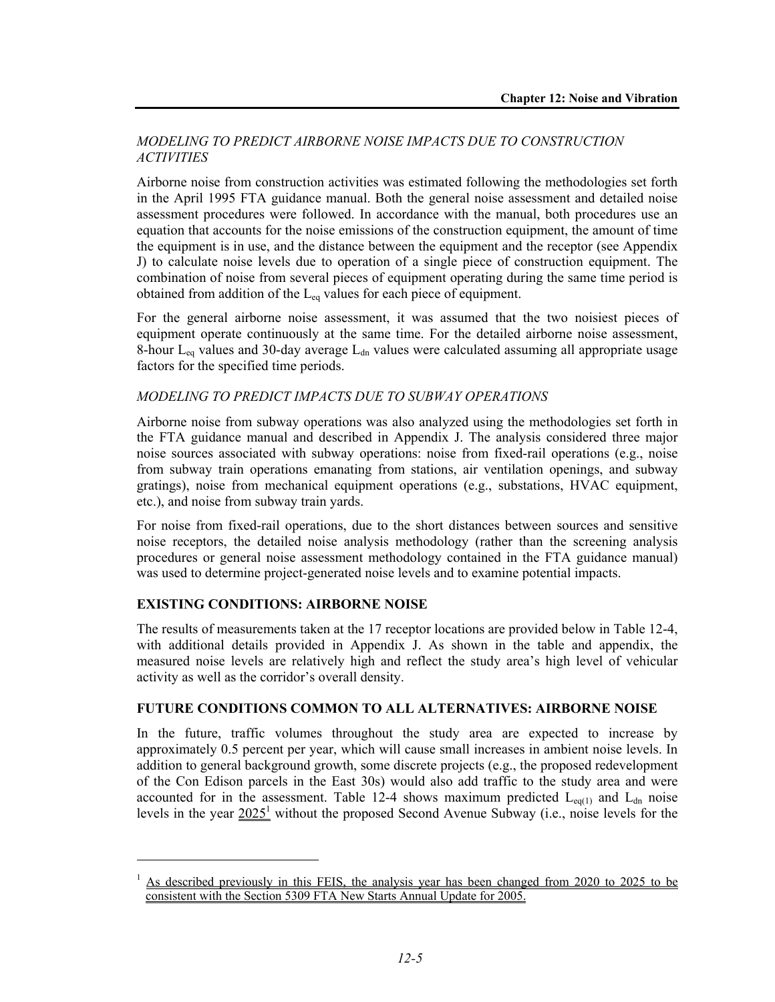#### *MODELING TO PREDICT AIRBORNE NOISE IMPACTS DUE TO CONSTRUCTION ACTIVITIES*

Airborne noise from construction activities was estimated following the methodologies set forth in the April 1995 FTA guidance manual. Both the general noise assessment and detailed noise assessment procedures were followed. In accordance with the manual, both procedures use an equation that accounts for the noise emissions of the construction equipment, the amount of time the equipment is in use, and the distance between the equipment and the receptor (see Appendix J) to calculate noise levels due to operation of a single piece of construction equipment. The combination of noise from several pieces of equipment operating during the same time period is obtained from addition of the  $L_{eq}$  values for each piece of equipment.

For the general airborne noise assessment, it was assumed that the two noisiest pieces of equipment operate continuously at the same time. For the detailed airborne noise assessment, 8-hour  $L_{eq}$  values and 30-day average  $L_{dn}$  values were calculated assuming all appropriate usage factors for the specified time periods.

#### *MODELING TO PREDICT IMPACTS DUE TO SUBWAY OPERATIONS*

Airborne noise from subway operations was also analyzed using the methodologies set forth in the FTA guidance manual and described in Appendix J. The analysis considered three major noise sources associated with subway operations: noise from fixed-rail operations (e.g., noise from subway train operations emanating from stations, air ventilation openings, and subway gratings), noise from mechanical equipment operations (e.g., substations, HVAC equipment, etc.), and noise from subway train yards.

For noise from fixed-rail operations, due to the short distances between sources and sensitive noise receptors, the detailed noise analysis methodology (rather than the screening analysis procedures or general noise assessment methodology contained in the FTA guidance manual) was used to determine project-generated noise levels and to examine potential impacts.

#### **EXISTING CONDITIONS: AIRBORNE NOISE**

1

The results of measurements taken at the 17 receptor locations are provided below in Table 12-4, with additional details provided in Appendix J. As shown in the table and appendix, the measured noise levels are relatively high and reflect the study area's high level of vehicular activity as well as the corridor's overall density.

#### **FUTURE CONDITIONS COMMON TO ALL ALTERNATIVES: AIRBORNE NOISE**

In the future, traffic volumes throughout the study area are expected to increase by approximately 0.5 percent per year, which will cause small increases in ambient noise levels. In addition to general background growth, some discrete projects (e.g., the proposed redevelopment of the Con Edison parcels in the East 30s) would also add traffic to the study area and were accounted for in the assessment. Table 12-4 shows maximum predicted  $L_{eq(1)}$  and  $L_{dn}$  noise levels in the year  $2025^1$  without the proposed Second Avenue Subway (i.e., noise levels for the

<sup>1</sup> As described previously in this FEIS, the analysis year has been changed from 2020 to 2025 to be consistent with the Section 5309 FTA New Starts Annual Update for 2005.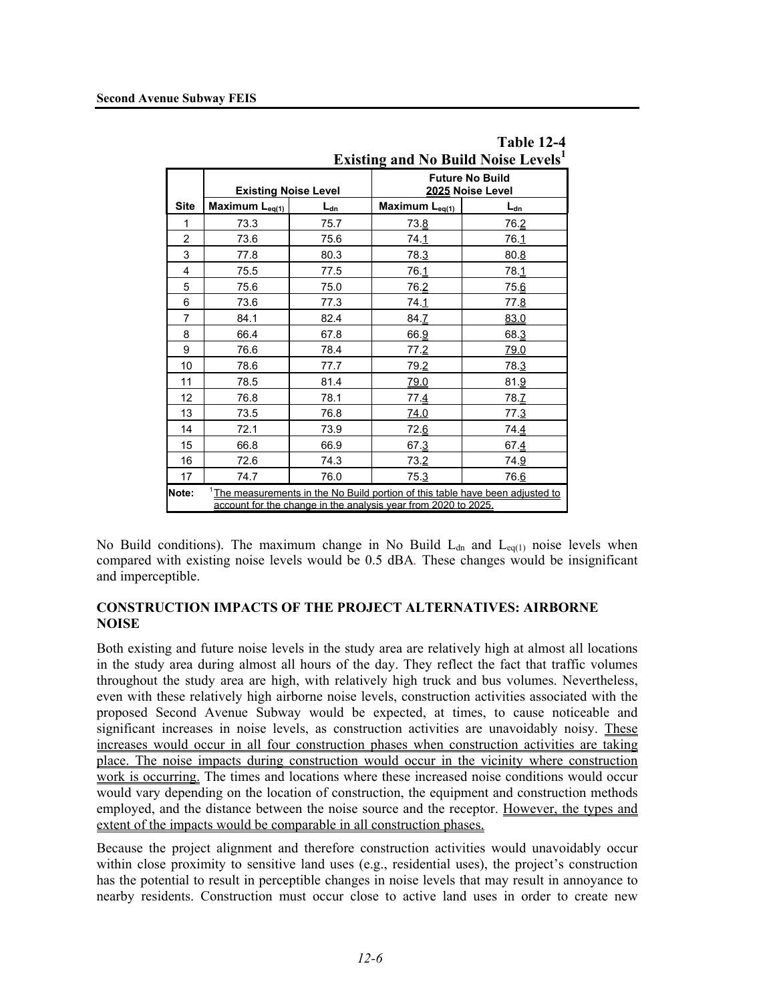| <b>Existing and No Build Noise Levels</b> |                                                                                                                                                             |          |                            |                                            |  |
|-------------------------------------------|-------------------------------------------------------------------------------------------------------------------------------------------------------------|----------|----------------------------|--------------------------------------------|--|
|                                           | <b>Existing Noise Level</b>                                                                                                                                 |          |                            | <b>Future No Build</b><br>2025 Noise Level |  |
| <b>Site</b>                               | Maximum L <sub>eq(1)</sub>                                                                                                                                  | $L_{dn}$ | Maximum L <sub>eq(1)</sub> | $L_{dn}$                                   |  |
| 1                                         | 73.3                                                                                                                                                        | 75.7     | 73.8                       | 76.2                                       |  |
| $\overline{2}$                            | 73.6                                                                                                                                                        | 75.6     | 74.1                       | 76.1                                       |  |
| 3                                         | 77.8                                                                                                                                                        | 80.3     | 78.3                       | 80.8                                       |  |
| 4                                         | 75.5                                                                                                                                                        | 77.5     | 76.1                       | 78.1                                       |  |
| 5                                         | 75.6                                                                                                                                                        | 75.0     | 76.2                       | 75.6                                       |  |
| 6                                         | 73.6                                                                                                                                                        | 77.3     | 74.1                       | 77.8                                       |  |
| 7                                         | 84.1                                                                                                                                                        | 82.4     | 84.7                       | 83.0                                       |  |
| 8                                         | 66.4                                                                                                                                                        | 67.8     | 66.9                       | 68.3                                       |  |
| 9                                         | 76.6                                                                                                                                                        | 78.4     | 77.2                       | 79.0                                       |  |
| 10                                        | 78.6                                                                                                                                                        | 77.7     | 79.2                       | 78.3                                       |  |
| 11                                        | 78.5                                                                                                                                                        | 81.4     | 79.0                       | 81.9                                       |  |
| 12                                        | 76.8                                                                                                                                                        | 78.1     | 77.4                       | 78.7                                       |  |
| 13                                        | 73.5                                                                                                                                                        | 76.8     | 74.0                       | 77.3                                       |  |
| 14                                        | 72.1                                                                                                                                                        | 73.9     | 72.6                       | 74.4                                       |  |
| 15                                        | 66.8                                                                                                                                                        | 66.9     | 67.3                       | 67.4                                       |  |
| 16                                        | 72.6                                                                                                                                                        | 74.3     | 73.2                       | 74.9                                       |  |
| 17                                        | 74.7                                                                                                                                                        | 76.0     | 75.3                       | 76.6                                       |  |
| Note:                                     | <sup>1</sup> The measurements in the No Build portion of this table have been adjusted to<br>account for the change in the analysis year from 2020 to 2025. |          |                            |                                            |  |

**Table 12-4 Existing and No Build Noise Levels1**

No Build conditions). The maximum change in No Build  $L_{dn}$  and  $L_{eq(1)}$  noise levels when compared with existing noise levels would be 0.5 dBA*.* These changes would be insignificant and imperceptible.

#### **CONSTRUCTION IMPACTS OF THE PROJECT ALTERNATIVES: AIRBORNE NOISE**

Both existing and future noise levels in the study area are relatively high at almost all locations in the study area during almost all hours of the day. They reflect the fact that traffic volumes throughout the study area are high, with relatively high truck and bus volumes. Nevertheless, even with these relatively high airborne noise levels, construction activities associated with the proposed Second Avenue Subway would be expected, at times, to cause noticeable and significant increases in noise levels, as construction activities are unavoidably noisy. These increases would occur in all four construction phases when construction activities are taking place. The noise impacts during construction would occur in the vicinity where construction work is occurring. The times and locations where these increased noise conditions would occur would vary depending on the location of construction, the equipment and construction methods employed, and the distance between the noise source and the receptor. However, the types and extent of the impacts would be comparable in all construction phases.

Because the project alignment and therefore construction activities would unavoidably occur within close proximity to sensitive land uses (e.g., residential uses), the project's construction has the potential to result in perceptible changes in noise levels that may result in annoyance to nearby residents. Construction must occur close to active land uses in order to create new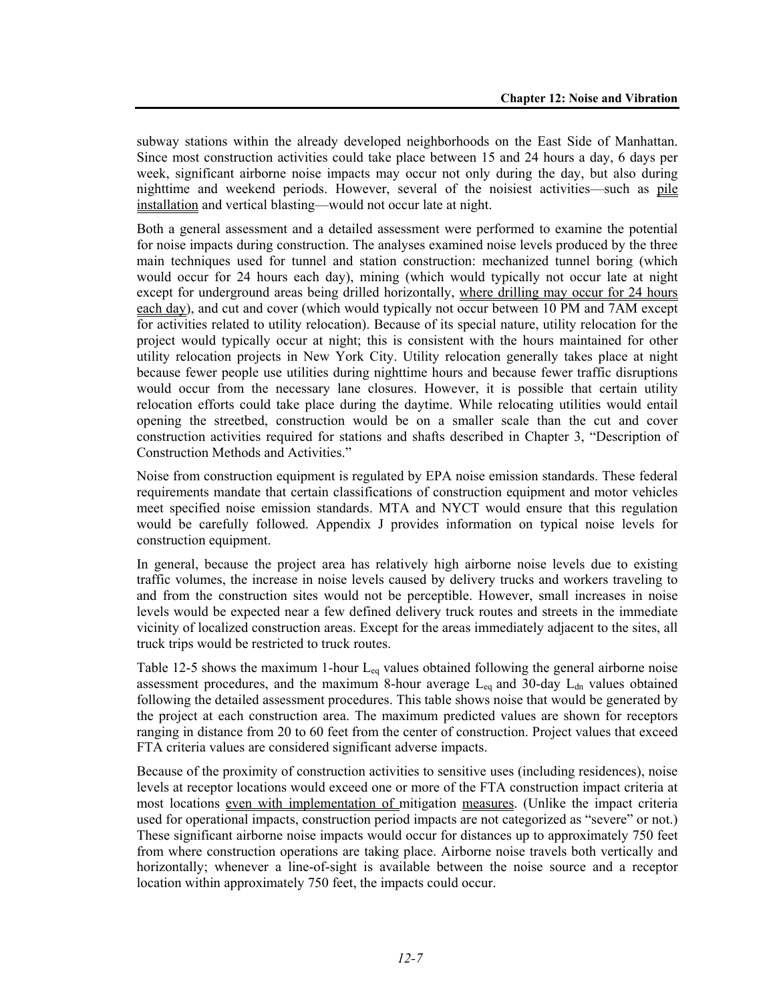subway stations within the already developed neighborhoods on the East Side of Manhattan. Since most construction activities could take place between 15 and 24 hours a day, 6 days per week, significant airborne noise impacts may occur not only during the day, but also during nighttime and weekend periods. However, several of the noisiest activities—such as pile installation and vertical blasting—would not occur late at night.

Both a general assessment and a detailed assessment were performed to examine the potential for noise impacts during construction. The analyses examined noise levels produced by the three main techniques used for tunnel and station construction: mechanized tunnel boring (which would occur for 24 hours each day), mining (which would typically not occur late at night except for underground areas being drilled horizontally, where drilling may occur for 24 hours each day), and cut and cover (which would typically not occur between 10 PM and 7AM except for activities related to utility relocation). Because of its special nature, utility relocation for the project would typically occur at night; this is consistent with the hours maintained for other utility relocation projects in New York City. Utility relocation generally takes place at night because fewer people use utilities during nighttime hours and because fewer traffic disruptions would occur from the necessary lane closures. However, it is possible that certain utility relocation efforts could take place during the daytime. While relocating utilities would entail opening the streetbed, construction would be on a smaller scale than the cut and cover construction activities required for stations and shafts described in Chapter 3, "Description of Construction Methods and Activities."

Noise from construction equipment is regulated by EPA noise emission standards. These federal requirements mandate that certain classifications of construction equipment and motor vehicles meet specified noise emission standards. MTA and NYCT would ensure that this regulation would be carefully followed. Appendix J provides information on typical noise levels for construction equipment.

In general, because the project area has relatively high airborne noise levels due to existing traffic volumes, the increase in noise levels caused by delivery trucks and workers traveling to and from the construction sites would not be perceptible. However, small increases in noise levels would be expected near a few defined delivery truck routes and streets in the immediate vicinity of localized construction areas. Except for the areas immediately adjacent to the sites, all truck trips would be restricted to truck routes.

Table 12-5 shows the maximum 1-hour  $L_{eq}$  values obtained following the general airborne noise assessment procedures, and the maximum 8-hour average  $L_{eq}$  and 30-day  $L_{dn}$  values obtained following the detailed assessment procedures. This table shows noise that would be generated by the project at each construction area. The maximum predicted values are shown for receptors ranging in distance from 20 to 60 feet from the center of construction. Project values that exceed FTA criteria values are considered significant adverse impacts.

Because of the proximity of construction activities to sensitive uses (including residences), noise levels at receptor locations would exceed one or more of the FTA construction impact criteria at most locations even with implementation of mitigation measures. (Unlike the impact criteria used for operational impacts, construction period impacts are not categorized as "severe" or not.) These significant airborne noise impacts would occur for distances up to approximately 750 feet from where construction operations are taking place. Airborne noise travels both vertically and horizontally; whenever a line-of-sight is available between the noise source and a receptor location within approximately 750 feet, the impacts could occur.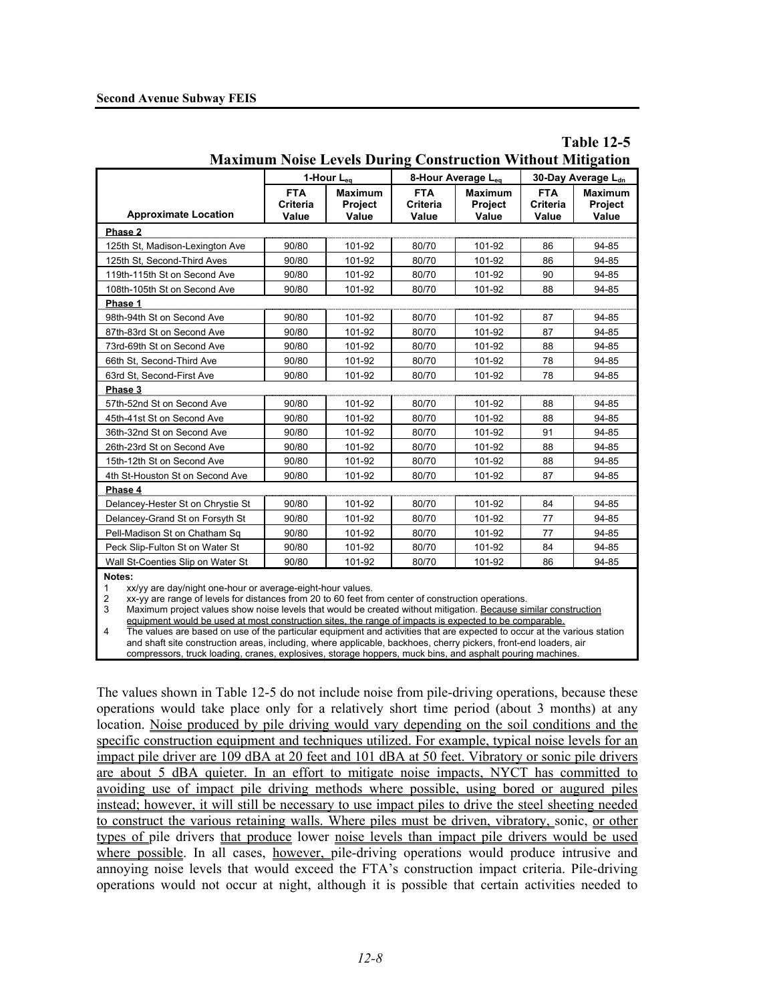| <b>Maximum Noise Levels During Construction Without Mitigation</b>                                                                                                                                                                                                                                                                                                                                                                  |                                 |                                           |                                        |                                           |                                        |                                           |
|-------------------------------------------------------------------------------------------------------------------------------------------------------------------------------------------------------------------------------------------------------------------------------------------------------------------------------------------------------------------------------------------------------------------------------------|---------------------------------|-------------------------------------------|----------------------------------------|-------------------------------------------|----------------------------------------|-------------------------------------------|
|                                                                                                                                                                                                                                                                                                                                                                                                                                     |                                 | 1-Hour Lea                                |                                        | 8-Hour Average Leg                        |                                        | 30-Day Average Ldn                        |
| <b>Approximate Location</b>                                                                                                                                                                                                                                                                                                                                                                                                         | <b>FTA</b><br>Criteria<br>Value | <b>Maximum</b><br><b>Project</b><br>Value | <b>FTA</b><br><b>Criteria</b><br>Value | <b>Maximum</b><br><b>Project</b><br>Value | <b>FTA</b><br><b>Criteria</b><br>Value | <b>Maximum</b><br><b>Project</b><br>Value |
| Phase 2                                                                                                                                                                                                                                                                                                                                                                                                                             |                                 |                                           |                                        |                                           |                                        |                                           |
| 125th St, Madison-Lexington Ave                                                                                                                                                                                                                                                                                                                                                                                                     | 90/80                           | 101-92                                    | 80/70                                  | 101-92                                    | 86                                     | 94-85                                     |
| 125th St. Second-Third Aves                                                                                                                                                                                                                                                                                                                                                                                                         | 90/80                           | 101-92                                    | 80/70                                  | 101-92                                    | 86                                     | 94-85                                     |
| 119th-115th St on Second Ave                                                                                                                                                                                                                                                                                                                                                                                                        | 90/80                           | 101-92                                    | 80/70                                  | 101-92                                    | 90                                     | 94-85                                     |
| 108th-105th St on Second Ave                                                                                                                                                                                                                                                                                                                                                                                                        | 90/80                           | 101-92                                    | 80/70                                  | 101-92                                    | 88                                     | 94-85                                     |
| Phase 1                                                                                                                                                                                                                                                                                                                                                                                                                             |                                 |                                           |                                        |                                           |                                        |                                           |
| 98th-94th St on Second Ave                                                                                                                                                                                                                                                                                                                                                                                                          | 90/80                           | 101-92                                    | 80/70                                  | 101-92                                    | 87                                     | 94-85                                     |
| 87th-83rd St on Second Ave                                                                                                                                                                                                                                                                                                                                                                                                          | 90/80                           | 101-92                                    | 80/70                                  | 101-92                                    | 87                                     | 94-85                                     |
| 73rd-69th St on Second Ave                                                                                                                                                                                                                                                                                                                                                                                                          | 90/80                           | 101-92                                    | 80/70                                  | 101-92                                    | 88                                     | 94-85                                     |
| 66th St, Second-Third Ave                                                                                                                                                                                                                                                                                                                                                                                                           | 90/80                           | 101-92                                    | 80/70                                  | 101-92                                    | 78                                     | 94-85                                     |
| 63rd St. Second-First Ave                                                                                                                                                                                                                                                                                                                                                                                                           | 90/80                           | 101-92                                    | 80/70                                  | 101-92                                    | 78                                     | 94-85                                     |
| Phase 3                                                                                                                                                                                                                                                                                                                                                                                                                             |                                 |                                           |                                        |                                           |                                        |                                           |
| 57th-52nd St on Second Ave                                                                                                                                                                                                                                                                                                                                                                                                          | 90/80                           | 101-92                                    | 80/70                                  | 101-92                                    | 88                                     | 94-85                                     |
| 45th-41st St on Second Ave                                                                                                                                                                                                                                                                                                                                                                                                          | 90/80                           | 101-92                                    | 80/70                                  | 101-92                                    | 88                                     | 94-85                                     |
| 36th-32nd St on Second Ave                                                                                                                                                                                                                                                                                                                                                                                                          | 90/80                           | 101-92                                    | 80/70                                  | 101-92                                    | 91                                     | 94-85                                     |
| 26th-23rd St on Second Ave                                                                                                                                                                                                                                                                                                                                                                                                          | 90/80                           | 101-92                                    | 80/70                                  | 101-92                                    | 88                                     | 94-85                                     |
| 15th-12th St on Second Ave                                                                                                                                                                                                                                                                                                                                                                                                          | 90/80                           | 101-92                                    | 80/70                                  | 101-92                                    | 88                                     | 94-85                                     |
| 4th St-Houston St on Second Ave                                                                                                                                                                                                                                                                                                                                                                                                     | 90/80                           | 101-92                                    | 80/70                                  | 101-92                                    | 87                                     | 94-85                                     |
| Phase 4                                                                                                                                                                                                                                                                                                                                                                                                                             |                                 |                                           |                                        |                                           |                                        |                                           |
| Delancey-Hester St on Chrystie St                                                                                                                                                                                                                                                                                                                                                                                                   | 90/80                           | 101-92                                    | 80/70                                  | 101-92                                    | 84                                     | 94-85                                     |
| Delancey-Grand St on Forsyth St                                                                                                                                                                                                                                                                                                                                                                                                     | 90/80                           | 101-92                                    | 80/70                                  | 101-92                                    | 77                                     | 94-85                                     |
| Pell-Madison St on Chatham Sq                                                                                                                                                                                                                                                                                                                                                                                                       | 90/80                           | 101-92                                    | 80/70                                  | 101-92                                    | 77                                     | 94-85                                     |
| Peck Slip-Fulton St on Water St                                                                                                                                                                                                                                                                                                                                                                                                     | 90/80                           | 101-92                                    | 80/70                                  | 101-92                                    | 84                                     | 94-85                                     |
| Wall St-Coenties Slip on Water St                                                                                                                                                                                                                                                                                                                                                                                                   | 90/80                           | 101-92                                    | 80/70                                  | 101-92                                    | 86                                     | 94-85                                     |
| Notes:<br>xx/yy are day/night one-hour or average-eight-hour values.<br>1<br>xx-yy are range of levels for distances from 20 to 60 feet from center of construction operations.<br>$\overline{2}$<br>3<br>Maximum project values show noise levels that would be created without mitigation. Because similar construction<br>equipment would be used at most construction sites, the range of impacts is expected to be comparable. |                                 |                                           |                                        |                                           |                                        |                                           |

|  | <b>Maximum Noise Levels During Construction Without Mitigation</b> |
|--|--------------------------------------------------------------------|
|  |                                                                    |

**Table 12-5**

4 The values are based on use of the particular equipment and activities that are expected to occur at the various station and shaft site construction areas, including, where applicable, backhoes, cherry pickers, front-end loaders, air compressors, truck loading, cranes, explosives, storage hoppers, muck bins, and asphalt pouring machines.

The values shown in Table 12-5 do not include noise from pile-driving operations, because these operations would take place only for a relatively short time period (about 3 months) at any location. Noise produced by pile driving would vary depending on the soil conditions and the specific construction equipment and techniques utilized. For example, typical noise levels for an impact pile driver are 109 dBA at 20 feet and 101 dBA at 50 feet. Vibratory or sonic pile drivers are about 5 dBA quieter. In an effort to mitigate noise impacts, NYCT has committed to avoiding use of impact pile driving methods where possible, using bored or augured piles instead; however, it will still be necessary to use impact piles to drive the steel sheeting needed to construct the various retaining walls. Where piles must be driven, vibratory, sonic, or other types of pile drivers that produce lower noise levels than impact pile drivers would be used where possible. In all cases, however, pile-driving operations would produce intrusive and annoying noise levels that would exceed the FTA's construction impact criteria. Pile-driving operations would not occur at night, although it is possible that certain activities needed to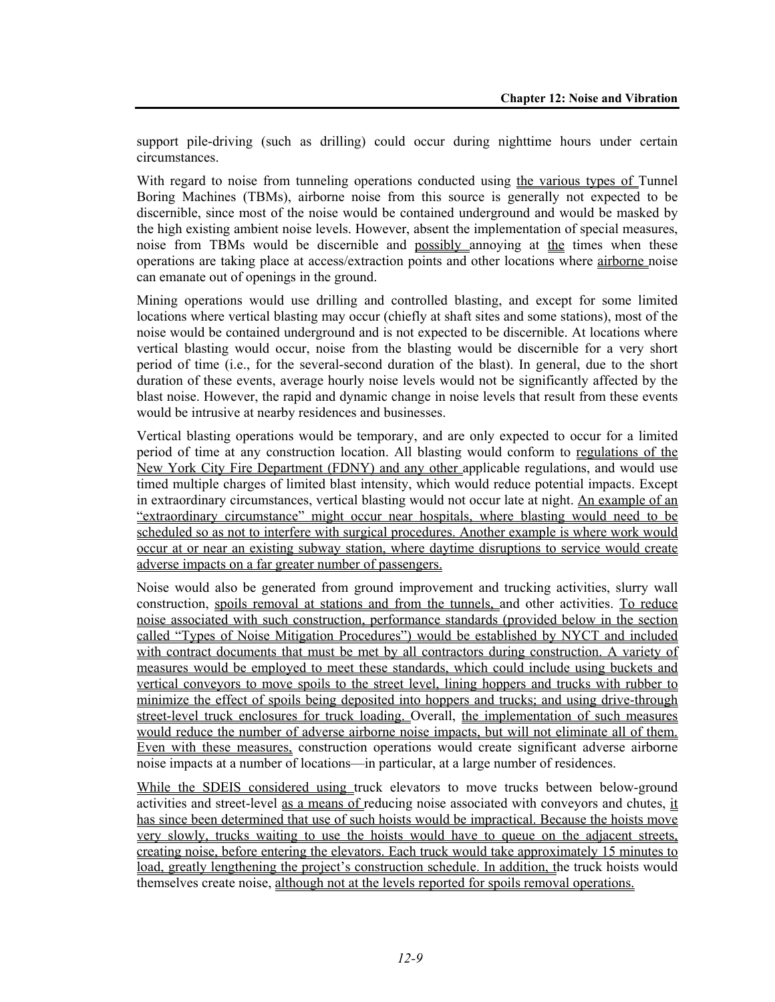support pile-driving (such as drilling) could occur during nighttime hours under certain circumstances.

With regard to noise from tunneling operations conducted using the various types of Tunnel Boring Machines (TBMs), airborne noise from this source is generally not expected to be discernible, since most of the noise would be contained underground and would be masked by the high existing ambient noise levels. However, absent the implementation of special measures, noise from TBMs would be discernible and possibly annoying at the times when these operations are taking place at access/extraction points and other locations where airborne noise can emanate out of openings in the ground.

Mining operations would use drilling and controlled blasting, and except for some limited locations where vertical blasting may occur (chiefly at shaft sites and some stations), most of the noise would be contained underground and is not expected to be discernible. At locations where vertical blasting would occur, noise from the blasting would be discernible for a very short period of time (i.e., for the several-second duration of the blast). In general, due to the short duration of these events, average hourly noise levels would not be significantly affected by the blast noise. However, the rapid and dynamic change in noise levels that result from these events would be intrusive at nearby residences and businesses.

Vertical blasting operations would be temporary, and are only expected to occur for a limited period of time at any construction location. All blasting would conform to regulations of the New York City Fire Department (FDNY) and any other applicable regulations, and would use timed multiple charges of limited blast intensity, which would reduce potential impacts. Except in extraordinary circumstances, vertical blasting would not occur late at night. An example of an "extraordinary circumstance" might occur near hospitals, where blasting would need to be scheduled so as not to interfere with surgical procedures. Another example is where work would occur at or near an existing subway station, where daytime disruptions to service would create adverse impacts on a far greater number of passengers.

Noise would also be generated from ground improvement and trucking activities, slurry wall construction, spoils removal at stations and from the tunnels, and other activities. To reduce noise associated with such construction, performance standards (provided below in the section called "Types of Noise Mitigation Procedures") would be established by NYCT and included with contract documents that must be met by all contractors during construction. A variety of measures would be employed to meet these standards, which could include using buckets and vertical conveyors to move spoils to the street level, lining hoppers and trucks with rubber to minimize the effect of spoils being deposited into hoppers and trucks; and using drive-through street-level truck enclosures for truck loading. Overall, the implementation of such measures would reduce the number of adverse airborne noise impacts, but will not eliminate all of them. Even with these measures, construction operations would create significant adverse airborne noise impacts at a number of locations—in particular, at a large number of residences.

While the SDEIS considered using truck elevators to move trucks between below-ground activities and street-level as a means of reducing noise associated with conveyors and chutes, it has since been determined that use of such hoists would be impractical. Because the hoists move very slowly, trucks waiting to use the hoists would have to queue on the adjacent streets, creating noise, before entering the elevators. Each truck would take approximately 15 minutes to load, greatly lengthening the project's construction schedule. In addition, the truck hoists would themselves create noise, although not at the levels reported for spoils removal operations.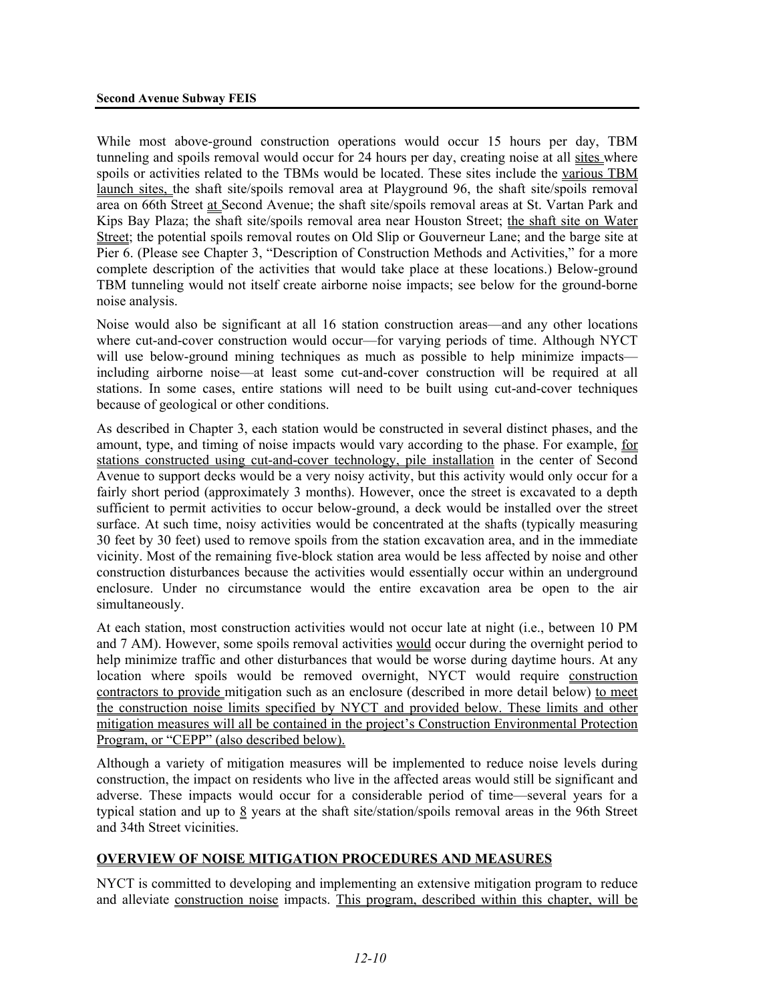While most above-ground construction operations would occur 15 hours per day, TBM tunneling and spoils removal would occur for 24 hours per day, creating noise at all sites where spoils or activities related to the TBMs would be located. These sites include the various TBM launch sites, the shaft site/spoils removal area at Playground 96, the shaft site/spoils removal area on 66th Street at Second Avenue; the shaft site/spoils removal areas at St. Vartan Park and Kips Bay Plaza; the shaft site/spoils removal area near Houston Street; the shaft site on Water Street; the potential spoils removal routes on Old Slip or Gouverneur Lane; and the barge site at Pier 6. (Please see Chapter 3, "Description of Construction Methods and Activities," for a more complete description of the activities that would take place at these locations.) Below-ground TBM tunneling would not itself create airborne noise impacts; see below for the ground-borne noise analysis.

Noise would also be significant at all 16 station construction areas—and any other locations where cut-and-cover construction would occur—for varying periods of time. Although NYCT will use below-ground mining techniques as much as possible to help minimize impacts including airborne noise—at least some cut-and-cover construction will be required at all stations. In some cases, entire stations will need to be built using cut-and-cover techniques because of geological or other conditions.

As described in Chapter 3, each station would be constructed in several distinct phases, and the amount, type, and timing of noise impacts would vary according to the phase. For example, for stations constructed using cut-and-cover technology, pile installation in the center of Second Avenue to support decks would be a very noisy activity, but this activity would only occur for a fairly short period (approximately 3 months). However, once the street is excavated to a depth sufficient to permit activities to occur below-ground, a deck would be installed over the street surface. At such time, noisy activities would be concentrated at the shafts (typically measuring 30 feet by 30 feet) used to remove spoils from the station excavation area, and in the immediate vicinity. Most of the remaining five-block station area would be less affected by noise and other construction disturbances because the activities would essentially occur within an underground enclosure. Under no circumstance would the entire excavation area be open to the air simultaneously.

At each station, most construction activities would not occur late at night (i.e., between 10 PM and 7 AM). However, some spoils removal activities would occur during the overnight period to help minimize traffic and other disturbances that would be worse during daytime hours. At any location where spoils would be removed overnight, NYCT would require construction contractors to provide mitigation such as an enclosure (described in more detail below) to meet the construction noise limits specified by NYCT and provided below. These limits and other mitigation measures will all be contained in the project's Construction Environmental Protection Program, or "CEPP" (also described below).

Although a variety of mitigation measures will be implemented to reduce noise levels during construction, the impact on residents who live in the affected areas would still be significant and adverse. These impacts would occur for a considerable period of time—several years for a typical station and up to 8 years at the shaft site/station/spoils removal areas in the 96th Street and 34th Street vicinities.

# **OVERVIEW OF NOISE MITIGATION PROCEDURES AND MEASURES**

NYCT is committed to developing and implementing an extensive mitigation program to reduce and alleviate construction noise impacts. This program, described within this chapter, will be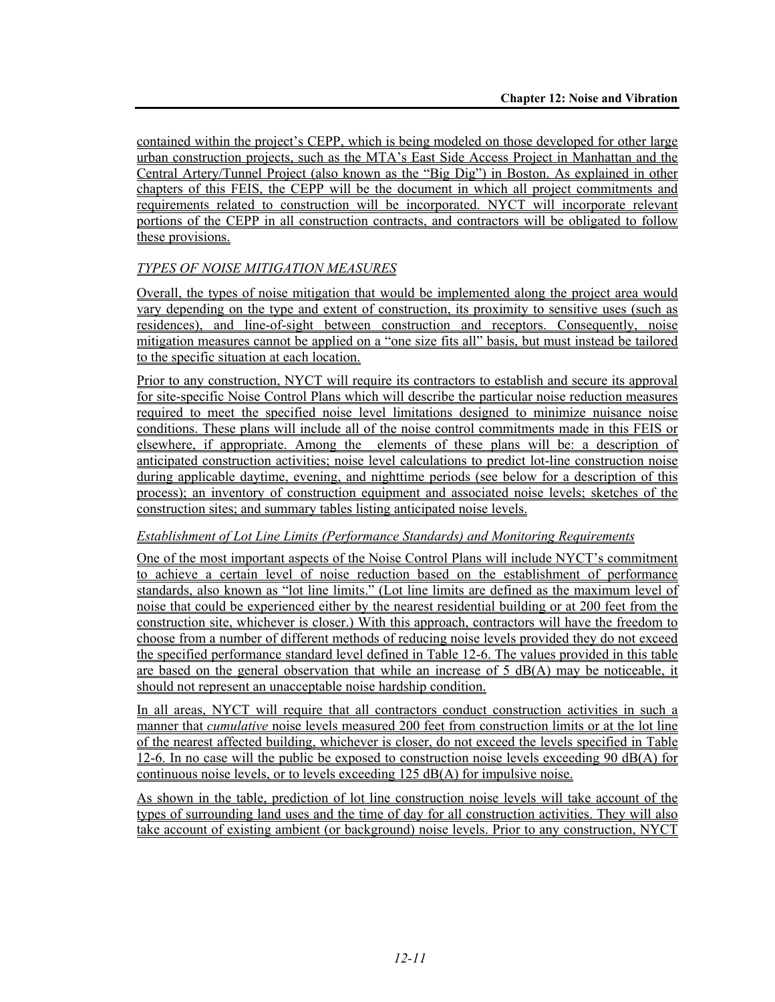contained within the project's CEPP, which is being modeled on those developed for other large urban construction projects, such as the MTA's East Side Access Project in Manhattan and the Central Artery/Tunnel Project (also known as the "Big Dig") in Boston. As explained in other chapters of this FEIS, the CEPP will be the document in which all project commitments and requirements related to construction will be incorporated. NYCT will incorporate relevant portions of the CEPP in all construction contracts, and contractors will be obligated to follow these provisions.

#### *TYPES OF NOISE MITIGATION MEASURES*

Overall, the types of noise mitigation that would be implemented along the project area would vary depending on the type and extent of construction, its proximity to sensitive uses (such as residences), and line-of-sight between construction and receptors. Consequently, noise mitigation measures cannot be applied on a "one size fits all" basis, but must instead be tailored to the specific situation at each location.

Prior to any construction, NYCT will require its contractors to establish and secure its approval for site-specific Noise Control Plans which will describe the particular noise reduction measures required to meet the specified noise level limitations designed to minimize nuisance noise conditions. These plans will include all of the noise control commitments made in this FEIS or elsewhere, if appropriate. Among the elements of these plans will be: a description of anticipated construction activities; noise level calculations to predict lot-line construction noise during applicable daytime, evening, and nighttime periods (see below for a description of this process); an inventory of construction equipment and associated noise levels; sketches of the construction sites; and summary tables listing anticipated noise levels.

#### *Establishment of Lot Line Limits (Performance Standards) and Monitoring Requirements*

One of the most important aspects of the Noise Control Plans will include NYCT's commitment to achieve a certain level of noise reduction based on the establishment of performance standards, also known as "lot line limits." (Lot line limits are defined as the maximum level of noise that could be experienced either by the nearest residential building or at 200 feet from the construction site, whichever is closer.) With this approach, contractors will have the freedom to choose from a number of different methods of reducing noise levels provided they do not exceed the specified performance standard level defined in Table 12-6. The values provided in this table are based on the general observation that while an increase of  $5$  dB(A) may be noticeable, it should not represent an unacceptable noise hardship condition.

In all areas, NYCT will require that all contractors conduct construction activities in such a manner that *cumulative* noise levels measured 200 feet from construction limits or at the lot line of the nearest affected building, whichever is closer, do not exceed the levels specified in Table 12-6. In no case will the public be exposed to construction noise levels exceeding 90 dB(A) for continuous noise levels, or to levels exceeding 125 dB(A) for impulsive noise.

As shown in the table, prediction of lot line construction noise levels will take account of the types of surrounding land uses and the time of day for all construction activities. They will also take account of existing ambient (or background) noise levels. Prior to any construction, NYCT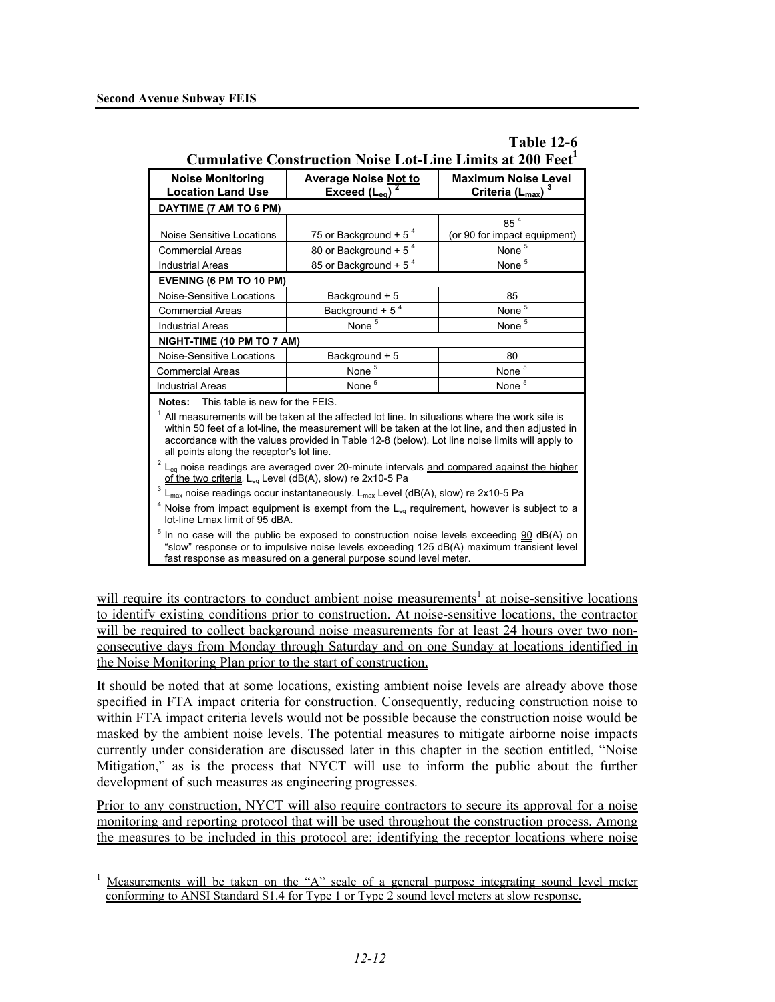<u>.</u>

|                                                                               | <b>Table 12-6</b> |
|-------------------------------------------------------------------------------|-------------------|
| <b>Cumulative Construction Noise Lot-Line Limits at 200 Feet</b> <sup>1</sup> |                   |

| <b>Noise Monitoring</b><br><b>Location Land Use</b> | Average Noise Not to<br>$\overline{\text{Exceed}}$ (L <sub>eq</sub> ) | <b>Maximum Noise Level</b><br>Criteria $(L_{\text{max}})^3$ |
|-----------------------------------------------------|-----------------------------------------------------------------------|-------------------------------------------------------------|
| DAYTIME (7 AM TO 6 PM)                              |                                                                       |                                                             |
|                                                     |                                                                       | 85 <sup>4</sup>                                             |
| Noise Sensitive Locations                           | 75 or Background $+54$                                                | (or 90 for impact equipment)                                |
| <b>Commercial Areas</b>                             | 80 or Background + $54$                                               | None <sup>5</sup>                                           |
| <b>Industrial Areas</b>                             | 85 or Background + 5 $4$                                              | None <sup>5</sup>                                           |
| <b>EVENING (6 PM TO 10 PM)</b>                      |                                                                       |                                                             |
| Noise-Sensitive Locations                           | Background + 5                                                        | 85                                                          |
| <b>Commercial Areas</b>                             | Background + $5^4$                                                    | None <sup>5</sup>                                           |
| <b>Industrial Areas</b>                             | None <sup>5</sup>                                                     | None <sup>5</sup>                                           |
| NIGHT-TIME (10 PM TO 7 AM)                          |                                                                       |                                                             |
| Noise-Sensitive Locations                           | Background + 5                                                        | 80                                                          |
| <b>Commercial Areas</b>                             | None <sup>5</sup>                                                     | None <sup>5</sup>                                           |
| <b>Industrial Areas</b>                             | None <sup>5</sup>                                                     | None <sup>5</sup>                                           |

**Notes:** This table is new for the FEIS.

 $<sup>1</sup>$  All measurements will be taken at the affected lot line. In situations where the work site is</sup> within 50 feet of a lot-line, the measurement will be taken at the lot line, and then adjusted in accordance with the values provided in Table 12-8 (below). Lot line noise limits will apply to all points along the receptor's lot line.

 $2 L_{eq}$  noise readings are averaged over 20-minute intervals and compared against the higher of the two criteria. L<sub>eq</sub> Level (dB(A), slow) re 2x10-5 Pa

 $L_{max}$  noise readings occur instantaneously.  $L_{max}$  Level (dB(A), slow) re 2x10-5 Pa

 $4$  Noise from impact equipment is exempt from the  $L_{eq}$  requirement, however is subject to a lot-line Lmax limit of 95 dBA.

 $5$  In no case will the public be exposed to construction noise levels exceeding  $90$  dB(A) on "slow" response or to impulsive noise levels exceeding 125 dB(A) maximum transient level fast response as measured on a general purpose sound level meter.

will require its contractors to conduct ambient noise measurements<sup>1</sup> at noise-sensitive locations to identify existing conditions prior to construction. At noise-sensitive locations, the contractor will be required to collect background noise measurements for at least 24 hours over two nonconsecutive days from Monday through Saturday and on one Sunday at locations identified in the Noise Monitoring Plan prior to the start of construction.

It should be noted that at some locations, existing ambient noise levels are already above those specified in FTA impact criteria for construction. Consequently, reducing construction noise to within FTA impact criteria levels would not be possible because the construction noise would be masked by the ambient noise levels. The potential measures to mitigate airborne noise impacts currently under consideration are discussed later in this chapter in the section entitled, "Noise Mitigation," as is the process that NYCT will use to inform the public about the further development of such measures as engineering progresses.

Prior to any construction, NYCT will also require contractors to secure its approval for a noise monitoring and reporting protocol that will be used throughout the construction process. Among the measures to be included in this protocol are: identifying the receptor locations where noise

<sup>1</sup> Measurements will be taken on the "A" scale of a general purpose integrating sound level meter conforming to ANSI Standard S1.4 for Type 1 or Type 2 sound level meters at slow response.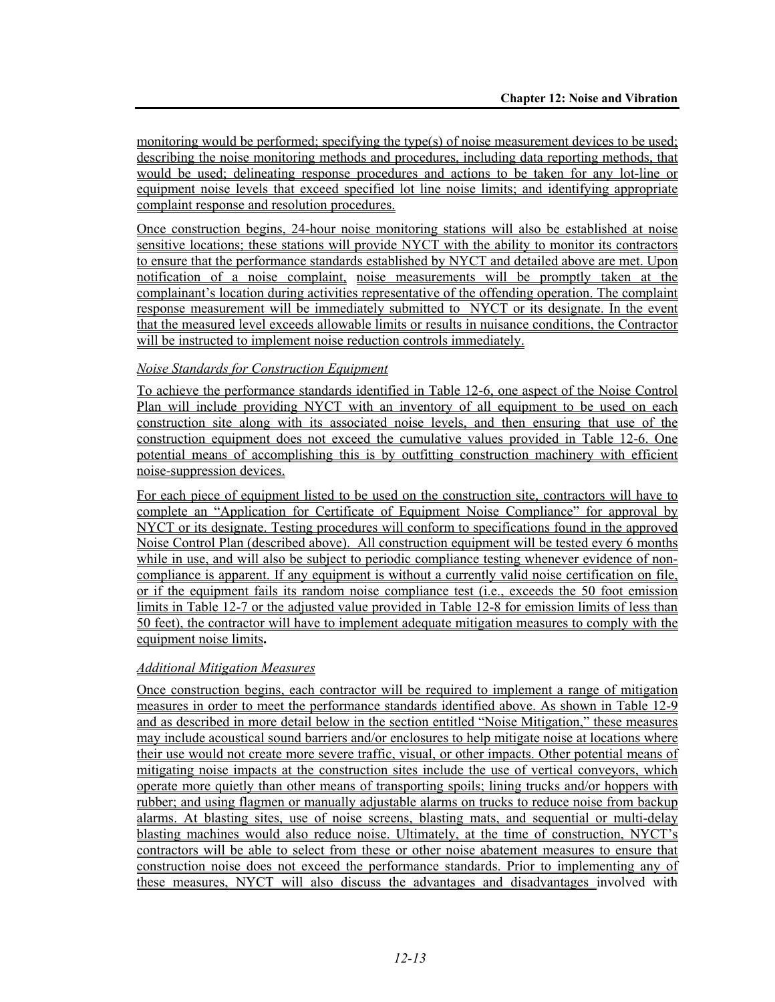monitoring would be performed; specifying the type(s) of noise measurement devices to be used; describing the noise monitoring methods and procedures, including data reporting methods, that would be used; delineating response procedures and actions to be taken for any lot-line or equipment noise levels that exceed specified lot line noise limits; and identifying appropriate complaint response and resolution procedures.

Once construction begins, 24-hour noise monitoring stations will also be established at noise sensitive locations; these stations will provide NYCT with the ability to monitor its contractors to ensure that the performance standards established by NYCT and detailed above are met. Upon notification of a noise complaint, noise measurements will be promptly taken at the complainant's location during activities representative of the offending operation. The complaint response measurement will be immediately submitted to NYCT or its designate. In the event that the measured level exceeds allowable limits or results in nuisance conditions, the Contractor will be instructed to implement noise reduction controls immediately.

#### *Noise Standards for Construction Equipment*

To achieve the performance standards identified in Table 12-6, one aspect of the Noise Control Plan will include providing NYCT with an inventory of all equipment to be used on each construction site along with its associated noise levels, and then ensuring that use of the construction equipment does not exceed the cumulative values provided in Table 12-6. One potential means of accomplishing this is by outfitting construction machinery with efficient noise-suppression devices.

For each piece of equipment listed to be used on the construction site, contractors will have to complete an "Application for Certificate of Equipment Noise Compliance" for approval by NYCT or its designate. Testing procedures will conform to specifications found in the approved Noise Control Plan (described above). All construction equipment will be tested every 6 months while in use, and will also be subject to periodic compliance testing whenever evidence of noncompliance is apparent. If any equipment is without a currently valid noise certification on file, or if the equipment fails its random noise compliance test (i.e., exceeds the 50 foot emission limits in Table 12-7 or the adjusted value provided in Table 12-8 for emission limits of less than 50 feet), the contractor will have to implement adequate mitigation measures to comply with the equipment noise limits**.** 

#### *Additional Mitigation Measures*

Once construction begins, each contractor will be required to implement a range of mitigation measures in order to meet the performance standards identified above. As shown in Table 12-9 and as described in more detail below in the section entitled "Noise Mitigation," these measures may include acoustical sound barriers and/or enclosures to help mitigate noise at locations where their use would not create more severe traffic, visual, or other impacts. Other potential means of mitigating noise impacts at the construction sites include the use of vertical conveyors, which operate more quietly than other means of transporting spoils; lining trucks and/or hoppers with rubber; and using flagmen or manually adjustable alarms on trucks to reduce noise from backup alarms. At blasting sites, use of noise screens, blasting mats, and sequential or multi-delay blasting machines would also reduce noise. Ultimately, at the time of construction, NYCT's contractors will be able to select from these or other noise abatement measures to ensure that construction noise does not exceed the performance standards. Prior to implementing any of these measures, NYCT will also discuss the advantages and disadvantages involved with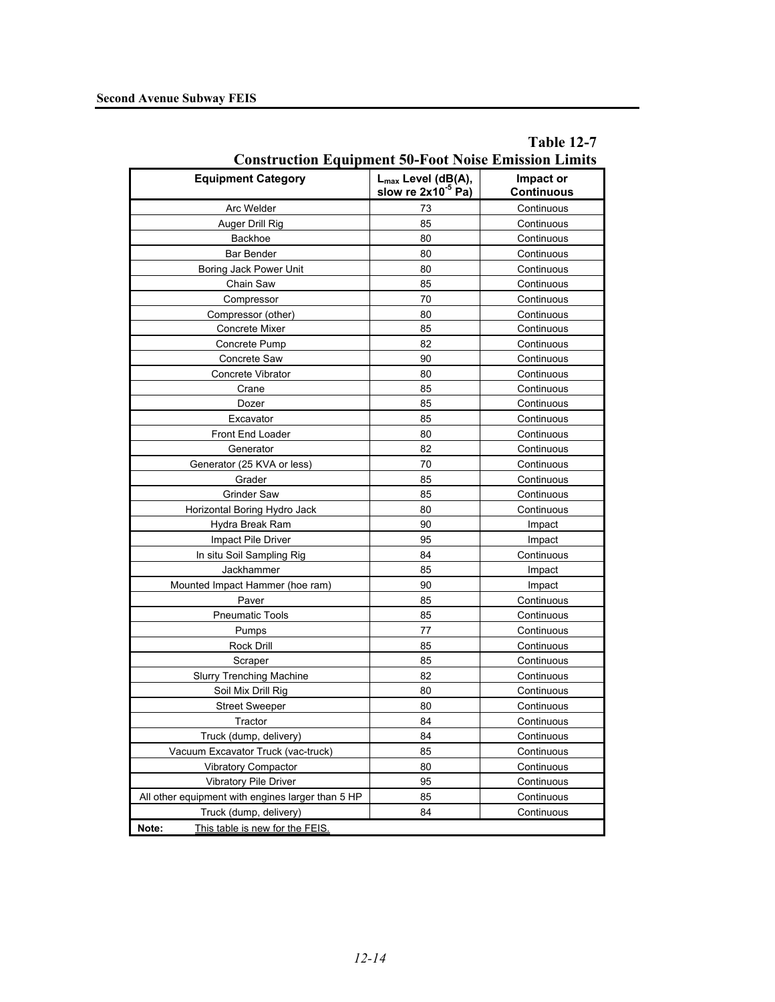| <b>Construction Equipment 50-Foot Noise Emission Limits</b> |                                                |                                |  |
|-------------------------------------------------------------|------------------------------------------------|--------------------------------|--|
| <b>Equipment Category</b>                                   | $L_{max}$ Level (dB(A),<br>slow re $2x105$ Pa) | Impact or<br><b>Continuous</b> |  |
| Arc Welder                                                  | 73                                             | Continuous                     |  |
| Auger Drill Rig                                             | 85                                             | Continuous                     |  |
| Backhoe                                                     | 80                                             | Continuous                     |  |
| <b>Bar Bender</b>                                           | 80                                             | Continuous                     |  |
| Boring Jack Power Unit                                      | 80                                             | Continuous                     |  |
| Chain Saw                                                   | 85                                             | Continuous                     |  |
| Compressor                                                  | 70                                             | Continuous                     |  |
| Compressor (other)                                          | 80                                             | Continuous                     |  |
| <b>Concrete Mixer</b>                                       | 85                                             | Continuous                     |  |
| Concrete Pump                                               | 82                                             | Continuous                     |  |
| Concrete Saw                                                | 90                                             | Continuous                     |  |
| Concrete Vibrator                                           | 80                                             | Continuous                     |  |
| Crane                                                       | 85                                             | Continuous                     |  |
| Dozer                                                       | 85                                             | Continuous                     |  |
| Excavator                                                   | 85                                             | Continuous                     |  |
| Front End Loader                                            | 80                                             | Continuous                     |  |
| Generator                                                   | 82                                             | Continuous                     |  |
| Generator (25 KVA or less)                                  | 70                                             | Continuous                     |  |
| Grader                                                      | 85                                             | Continuous                     |  |
| Grinder Saw                                                 | 85                                             | Continuous                     |  |
| Horizontal Boring Hydro Jack                                | 80                                             | Continuous                     |  |
| Hydra Break Ram                                             | 90                                             | Impact                         |  |
| Impact Pile Driver                                          | 95                                             | Impact                         |  |
| In situ Soil Sampling Rig                                   | 84                                             | Continuous                     |  |
| Jackhammer                                                  | 85                                             | Impact                         |  |
| Mounted Impact Hammer (hoe ram)                             | 90                                             | Impact                         |  |
| Paver                                                       | 85                                             | Continuous                     |  |
| <b>Pneumatic Tools</b>                                      | 85                                             | Continuous                     |  |
| Pumps                                                       | 77                                             | Continuous                     |  |
| Rock Drill                                                  | 85                                             | Continuous                     |  |
| Scraper                                                     | 85                                             | Continuous                     |  |
| <b>Slurry Trenching Machine</b>                             | 82                                             | Continuous                     |  |
| Soil Mix Drill Rig                                          | 80                                             | Continuous                     |  |
| <b>Street Sweeper</b>                                       | 80                                             | Continuous                     |  |
| Tractor                                                     | 84                                             | Continuous                     |  |
| Truck (dump, delivery)                                      | 84                                             | Continuous                     |  |
| Vacuum Excavator Truck (vac-truck)                          | 85                                             | Continuous                     |  |
| Vibratory Compactor                                         | 80                                             | Continuous                     |  |
| Vibratory Pile Driver                                       | 95                                             | Continuous                     |  |
| All other equipment with engines larger than 5 HP           | 85                                             | Continuous                     |  |
| Truck (dump, delivery)                                      | 84                                             | Continuous                     |  |
| This table is new for the FEIS.<br>Note:                    |                                                |                                |  |

# **Table 12-7**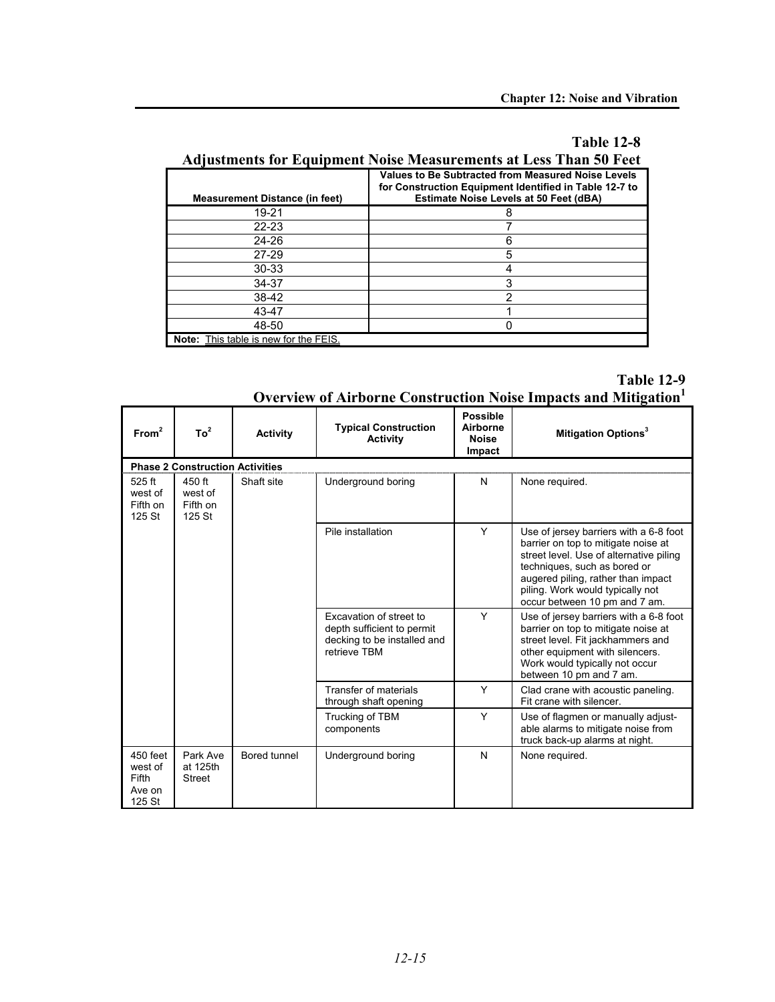# **Table 12-8**

# **Adjustments for Equipment Noise Measurements at Less Than 50 Feet**

|                                              | Values to Be Subtracted from Measured Noise Levels<br>for Construction Equipment Identified in Table 12-7 to |
|----------------------------------------------|--------------------------------------------------------------------------------------------------------------|
| <b>Measurement Distance (in feet)</b>        | <b>Estimate Noise Levels at 50 Feet (dBA)</b>                                                                |
| 19-21                                        |                                                                                                              |
| $22 - 23$                                    |                                                                                                              |
| $24 - 26$                                    |                                                                                                              |
| 27-29                                        | 5                                                                                                            |
| $30 - 33$                                    |                                                                                                              |
| 34-37                                        | 3                                                                                                            |
| 38-42                                        | າ                                                                                                            |
| 43-47                                        |                                                                                                              |
| 48-50                                        |                                                                                                              |
| <b>Note:</b> This table is new for the FEIS. |                                                                                                              |

|                                                                             | <b>Table 12-9</b> |
|-----------------------------------------------------------------------------|-------------------|
| Overview of Airborne Construction Noise Impacts and Mitigation <sup>1</sup> |                   |

| From <sup>2</sup>                                | To <sup>2</sup>                         | <b>Activity</b> | <b>Typical Construction</b><br><b>Activity</b>                                                       | <b>Possible</b><br>Airborne<br><b>Noise</b><br>Impact | <b>Mitigation Options</b> <sup>3</sup>                                                                                                                                                                                                                              |
|--------------------------------------------------|-----------------------------------------|-----------------|------------------------------------------------------------------------------------------------------|-------------------------------------------------------|---------------------------------------------------------------------------------------------------------------------------------------------------------------------------------------------------------------------------------------------------------------------|
|                                                  | <b>Phase 2 Construction Activities</b>  |                 |                                                                                                      |                                                       |                                                                                                                                                                                                                                                                     |
| 525 ft<br>west of<br>Fifth on<br>125 St          | 450 ft<br>west of<br>Fifth on<br>125 St | Shaft site      | Underground boring                                                                                   | N                                                     | None required.                                                                                                                                                                                                                                                      |
|                                                  |                                         |                 | Pile installation                                                                                    | Y                                                     | Use of jersey barriers with a 6-8 foot<br>barrier on top to mitigate noise at<br>street level. Use of alternative piling<br>techniques, such as bored or<br>augered piling, rather than impact<br>piling. Work would typically not<br>occur between 10 pm and 7 am. |
|                                                  |                                         |                 | Excavation of street to<br>depth sufficient to permit<br>decking to be installed and<br>retrieve TBM | Y                                                     | Use of jersey barriers with a 6-8 foot<br>barrier on top to mitigate noise at<br>street level. Fit jackhammers and<br>other equipment with silencers.<br>Work would typically not occur<br>between 10 pm and 7 am.                                                  |
|                                                  |                                         |                 | Transfer of materials<br>through shaft opening                                                       | Y                                                     | Clad crane with acoustic paneling.<br>Fit crane with silencer.                                                                                                                                                                                                      |
|                                                  |                                         |                 | Trucking of TBM<br>components                                                                        | Y                                                     | Use of flagmen or manually adjust-<br>able alarms to mitigate noise from<br>truck back-up alarms at night.                                                                                                                                                          |
| 450 feet<br>west of<br>Fifth<br>Ave on<br>125 St | Park Ave<br>at 125th<br><b>Street</b>   | Bored tunnel    | Underground boring                                                                                   | N                                                     | None required.                                                                                                                                                                                                                                                      |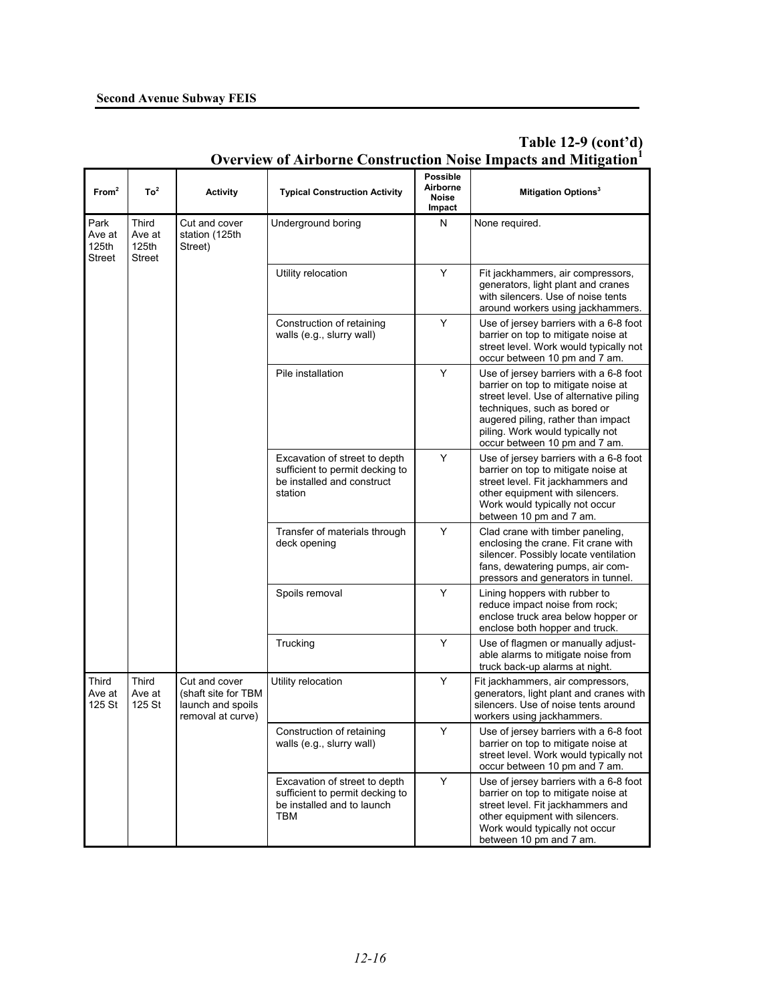| From <sup>2</sup>                        | To <sup>2</sup>                                | <b>Activity</b>                                                                | <b>Typical Construction Activity</b>                                                                         | <b>Possible</b><br>Airborne<br>Noise<br>Impact | Mitigation Options <sup>3</sup>                                                                                                                                                                                                                                     |
|------------------------------------------|------------------------------------------------|--------------------------------------------------------------------------------|--------------------------------------------------------------------------------------------------------------|------------------------------------------------|---------------------------------------------------------------------------------------------------------------------------------------------------------------------------------------------------------------------------------------------------------------------|
| Park<br>Ave at<br>125th<br><b>Street</b> | Third<br>Ave at<br>125 <sub>th</sub><br>Street | Cut and cover<br>station (125th<br>Street)                                     | Underground boring                                                                                           | N                                              | None required.                                                                                                                                                                                                                                                      |
|                                          |                                                |                                                                                | Utility relocation                                                                                           | Y                                              | Fit jackhammers, air compressors,<br>generators, light plant and cranes<br>with silencers. Use of noise tents<br>around workers using jackhammers.                                                                                                                  |
|                                          |                                                |                                                                                | Construction of retaining<br>walls (e.g., slurry wall)                                                       | Y                                              | Use of jersey barriers with a 6-8 foot<br>barrier on top to mitigate noise at<br>street level. Work would typically not<br>occur between 10 pm and 7 am.                                                                                                            |
|                                          |                                                |                                                                                | Pile installation                                                                                            | Y                                              | Use of jersey barriers with a 6-8 foot<br>barrier on top to mitigate noise at<br>street level. Use of alternative piling<br>techniques, such as bored or<br>augered piling, rather than impact<br>piling. Work would typically not<br>occur between 10 pm and 7 am. |
|                                          |                                                |                                                                                | Excavation of street to depth<br>sufficient to permit decking to<br>be installed and construct<br>station    | Y                                              | Use of jersey barriers with a 6-8 foot<br>barrier on top to mitigate noise at<br>street level. Fit jackhammers and<br>other equipment with silencers.<br>Work would typically not occur<br>between 10 pm and 7 am.                                                  |
|                                          |                                                |                                                                                | Transfer of materials through<br>deck opening                                                                | Y                                              | Clad crane with timber paneling,<br>enclosing the crane. Fit crane with<br>silencer. Possibly locate ventilation<br>fans, dewatering pumps, air com-<br>pressors and generators in tunnel.                                                                          |
|                                          |                                                |                                                                                | Spoils removal                                                                                               | Y                                              | Lining hoppers with rubber to<br>reduce impact noise from rock;<br>enclose truck area below hopper or<br>enclose both hopper and truck.                                                                                                                             |
|                                          |                                                |                                                                                | Trucking                                                                                                     | Y                                              | Use of flagmen or manually adjust-<br>able alarms to mitigate noise from<br>truck back-up alarms at night.                                                                                                                                                          |
| Third<br>Ave at<br>125 St                | Third<br>Ave at<br>125 St                      | Cut and cover<br>(shaft site for TBM<br>launch and spoils<br>removal at curve) | Utility relocation                                                                                           | Y                                              | Fit jackhammers, air compressors,<br>generators, light plant and cranes with<br>silencers. Use of noise tents around<br>workers using jackhammers.                                                                                                                  |
|                                          |                                                |                                                                                | Construction of retaining<br>walls (e.g., slurry wall)                                                       | Y                                              | Use of jersey barriers with a 6-8 foot<br>barrier on top to mitigate noise at<br>street level. Work would typically not<br>occur between 10 pm and 7 am.                                                                                                            |
|                                          |                                                |                                                                                | Excavation of street to depth<br>sufficient to permit decking to<br>be installed and to launch<br><b>TBM</b> | Y                                              | Use of jersey barriers with a 6-8 foot<br>barrier on top to mitigate noise at<br>street level. Fit jackhammers and<br>other equipment with silencers.<br>Work would typically not occur<br>between 10 pm and 7 am.                                                  |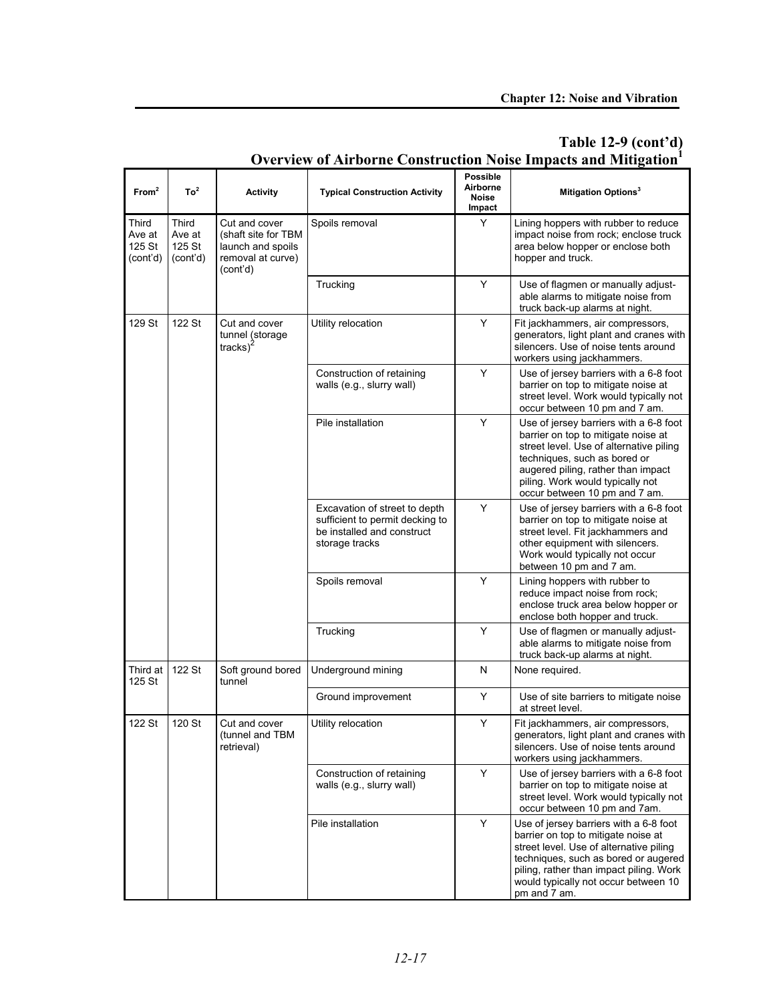| From <sup>2</sup>                     | To <sup>2</sup>                       | <b>Activity</b>                                                                            | <b>Typical Construction Activity</b>                                                                             | Possible<br>Airborne<br><b>Noise</b><br>Impact | Mitigation Options <sup>3</sup>                                                                                                                                                                                                                                     |
|---------------------------------------|---------------------------------------|--------------------------------------------------------------------------------------------|------------------------------------------------------------------------------------------------------------------|------------------------------------------------|---------------------------------------------------------------------------------------------------------------------------------------------------------------------------------------------------------------------------------------------------------------------|
| Third<br>Ave at<br>125 St<br>(cont'd) | Third<br>Ave at<br>125 St<br>(cont'd) | Cut and cover<br>(shaft site for TBM<br>launch and spoils<br>removal at curve)<br>(cont'd) | Spoils removal                                                                                                   | Y                                              | Lining hoppers with rubber to reduce<br>impact noise from rock; enclose truck<br>area below hopper or enclose both<br>hopper and truck.                                                                                                                             |
|                                       |                                       |                                                                                            | Trucking                                                                                                         | Y                                              | Use of flagmen or manually adjust-<br>able alarms to mitigate noise from<br>truck back-up alarms at night.                                                                                                                                                          |
| 129 St                                | 122 St                                | Cut and cover<br>tunnel (storage<br>$\text{tracks}$ ) <sup>2</sup>                         | Utility relocation                                                                                               | Y                                              | Fit jackhammers, air compressors,<br>generators, light plant and cranes with<br>silencers. Use of noise tents around<br>workers using jackhammers.                                                                                                                  |
|                                       |                                       |                                                                                            | Construction of retaining<br>walls (e.g., slurry wall)                                                           | Y                                              | Use of jersey barriers with a 6-8 foot<br>barrier on top to mitigate noise at<br>street level. Work would typically not<br>occur between 10 pm and 7 am.                                                                                                            |
|                                       |                                       |                                                                                            | Pile installation                                                                                                | Y                                              | Use of jersey barriers with a 6-8 foot<br>barrier on top to mitigate noise at<br>street level. Use of alternative piling<br>techniques, such as bored or<br>augered piling, rather than impact<br>piling. Work would typically not<br>occur between 10 pm and 7 am. |
|                                       |                                       |                                                                                            | Excavation of street to depth<br>sufficient to permit decking to<br>be installed and construct<br>storage tracks | Y                                              | Use of jersey barriers with a 6-8 foot<br>barrier on top to mitigate noise at<br>street level. Fit jackhammers and<br>other equipment with silencers.<br>Work would typically not occur<br>between 10 pm and 7 am.                                                  |
|                                       |                                       |                                                                                            | Spoils removal                                                                                                   | Y                                              | Lining hoppers with rubber to<br>reduce impact noise from rock;<br>enclose truck area below hopper or<br>enclose both hopper and truck.                                                                                                                             |
|                                       |                                       |                                                                                            | Trucking                                                                                                         | Y                                              | Use of flagmen or manually adjust-<br>able alarms to mitigate noise from<br>truck back-up alarms at night.                                                                                                                                                          |
| Third at<br>125 St                    | 122 St                                | Soft ground bored<br>tunnel                                                                | Underground mining                                                                                               | N                                              | None required.                                                                                                                                                                                                                                                      |
|                                       |                                       |                                                                                            | Ground improvement                                                                                               | Y                                              | Use of site barriers to mitigate noise<br>at street level.                                                                                                                                                                                                          |
| 122 St                                | 120 St                                | Cut and cover<br>(tunnel and TBM<br>retrieval)                                             | Utility relocation                                                                                               | Y                                              | Fit jackhammers, air compressors,<br>generators, light plant and cranes with<br>silencers. Use of noise tents around<br>workers using jackhammers.                                                                                                                  |
|                                       |                                       |                                                                                            | Construction of retaining<br>walls (e.g., slurry wall)                                                           | Y                                              | Use of jersey barriers with a 6-8 foot<br>barrier on top to mitigate noise at<br>street level. Work would typically not<br>occur between 10 pm and 7am.                                                                                                             |
|                                       |                                       |                                                                                            | Pile installation                                                                                                | Y                                              | Use of jersey barriers with a 6-8 foot<br>barrier on top to mitigate noise at<br>street level. Use of alternative piling<br>techniques, such as bored or augered<br>piling, rather than impact piling. Work<br>would typically not occur between 10<br>pm and 7 am. |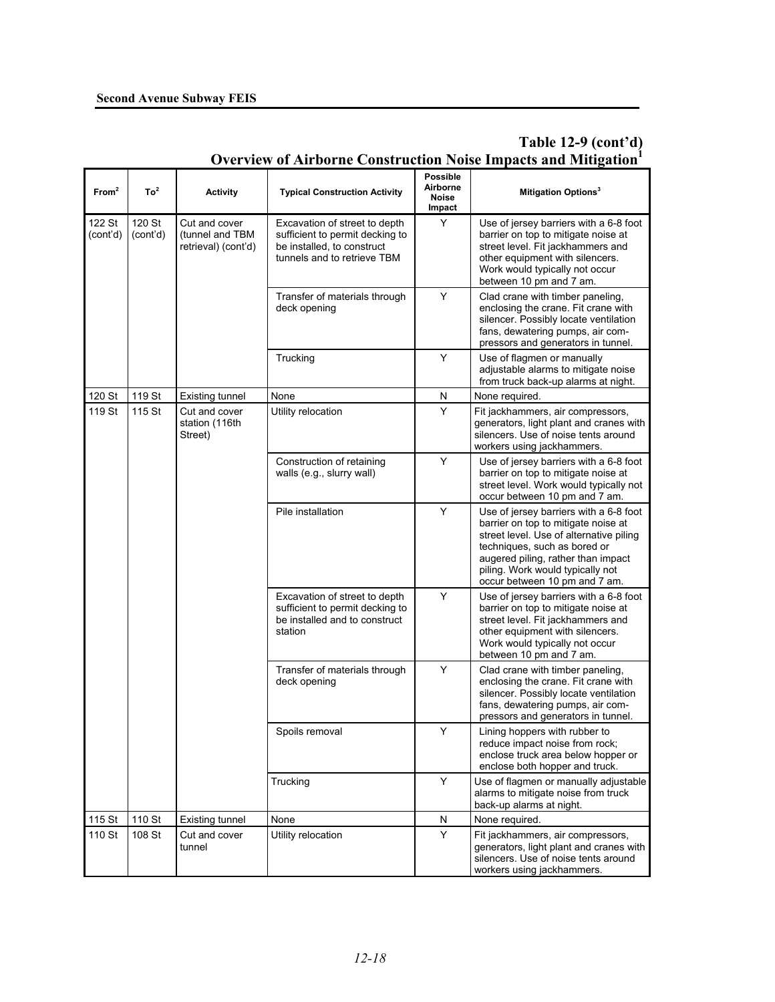| From <sup>2</sup>  | To <sup>2</sup>    | <b>Activity</b>                                         | <b>Typical Construction Activity</b>                                                                                          | <b>Possible</b><br>Airborne<br><b>Noise</b>   | Mitigation Options <sup>3</sup>                                                                                                                                                                                                                                     |                                                                                                                                                                                            |
|--------------------|--------------------|---------------------------------------------------------|-------------------------------------------------------------------------------------------------------------------------------|-----------------------------------------------|---------------------------------------------------------------------------------------------------------------------------------------------------------------------------------------------------------------------------------------------------------------------|--------------------------------------------------------------------------------------------------------------------------------------------------------------------------------------------|
| 122 St<br>(cont'd) | 120 St<br>(cont'd) | Cut and cover<br>(tunnel and TBM<br>retrieval) (cont'd) | Excavation of street to depth<br>sufficient to permit decking to<br>be installed, to construct<br>tunnels and to retrieve TBM | Impact<br>Y                                   | Use of jersey barriers with a 6-8 foot<br>barrier on top to mitigate noise at<br>street level. Fit jackhammers and<br>other equipment with silencers.<br>Work would typically not occur<br>between 10 pm and 7 am.                                                  |                                                                                                                                                                                            |
|                    |                    |                                                         | Transfer of materials through<br>deck opening                                                                                 | Y                                             | Clad crane with timber paneling,<br>enclosing the crane. Fit crane with<br>silencer. Possibly locate ventilation<br>fans, dewatering pumps, air com-<br>pressors and generators in tunnel.                                                                          |                                                                                                                                                                                            |
|                    |                    |                                                         | Trucking                                                                                                                      | Y                                             | Use of flagmen or manually<br>adjustable alarms to mitigate noise<br>from truck back-up alarms at night.                                                                                                                                                            |                                                                                                                                                                                            |
| 120 St             | 119 St             | Existing tunnel                                         | None                                                                                                                          | N                                             | None required.                                                                                                                                                                                                                                                      |                                                                                                                                                                                            |
| 119 St             | 115 St             | Cut and cover<br>station (116th<br>Street)              | Utility relocation                                                                                                            | Y                                             | Fit jackhammers, air compressors,<br>generators, light plant and cranes with<br>silencers. Use of noise tents around<br>workers using jackhammers.                                                                                                                  |                                                                                                                                                                                            |
|                    |                    |                                                         | Construction of retaining<br>walls (e.g., slurry wall)                                                                        | Y                                             | Use of jersey barriers with a 6-8 foot<br>barrier on top to mitigate noise at<br>street level. Work would typically not<br>occur between 10 pm and 7 am.                                                                                                            |                                                                                                                                                                                            |
|                    |                    |                                                         | Pile installation                                                                                                             | Y                                             | Use of jersey barriers with a 6-8 foot<br>barrier on top to mitigate noise at<br>street level. Use of alternative piling<br>techniques, such as bored or<br>augered piling, rather than impact<br>piling. Work would typically not<br>occur between 10 pm and 7 am. |                                                                                                                                                                                            |
|                    |                    |                                                         | Excavation of street to depth<br>sufficient to permit decking to<br>be installed and to construct<br>station                  | Y                                             | Use of jersey barriers with a 6-8 foot<br>barrier on top to mitigate noise at<br>street level. Fit jackhammers and<br>other equipment with silencers.<br>Work would typically not occur<br>between 10 pm and 7 am.                                                  |                                                                                                                                                                                            |
|                    |                    |                                                         |                                                                                                                               | Transfer of materials through<br>deck opening | Y                                                                                                                                                                                                                                                                   | Clad crane with timber paneling,<br>enclosing the crane. Fit crane with<br>silencer. Possibly locate ventilation<br>fans, dewatering pumps, air com-<br>pressors and generators in tunnel. |
|                    |                    |                                                         | Spoils removal                                                                                                                | Y                                             | Lining hoppers with rubber to<br>reduce impact noise from rock;<br>enclose truck area below hopper or<br>enclose both hopper and truck.                                                                                                                             |                                                                                                                                                                                            |
|                    |                    |                                                         | Trucking                                                                                                                      | Y                                             | Use of flagmen or manually adjustable<br>alarms to mitigate noise from truck<br>back-up alarms at night.                                                                                                                                                            |                                                                                                                                                                                            |
| 115 St             | 110 St             | <b>Existing tunnel</b>                                  | None                                                                                                                          | N                                             | None required.                                                                                                                                                                                                                                                      |                                                                                                                                                                                            |
| 110 St             | 108 St             | Cut and cover<br>tunnel                                 | Utility relocation                                                                                                            | Y                                             | Fit jackhammers, air compressors,<br>generators, light plant and cranes with<br>silencers. Use of noise tents around<br>workers using jackhammers.                                                                                                                  |                                                                                                                                                                                            |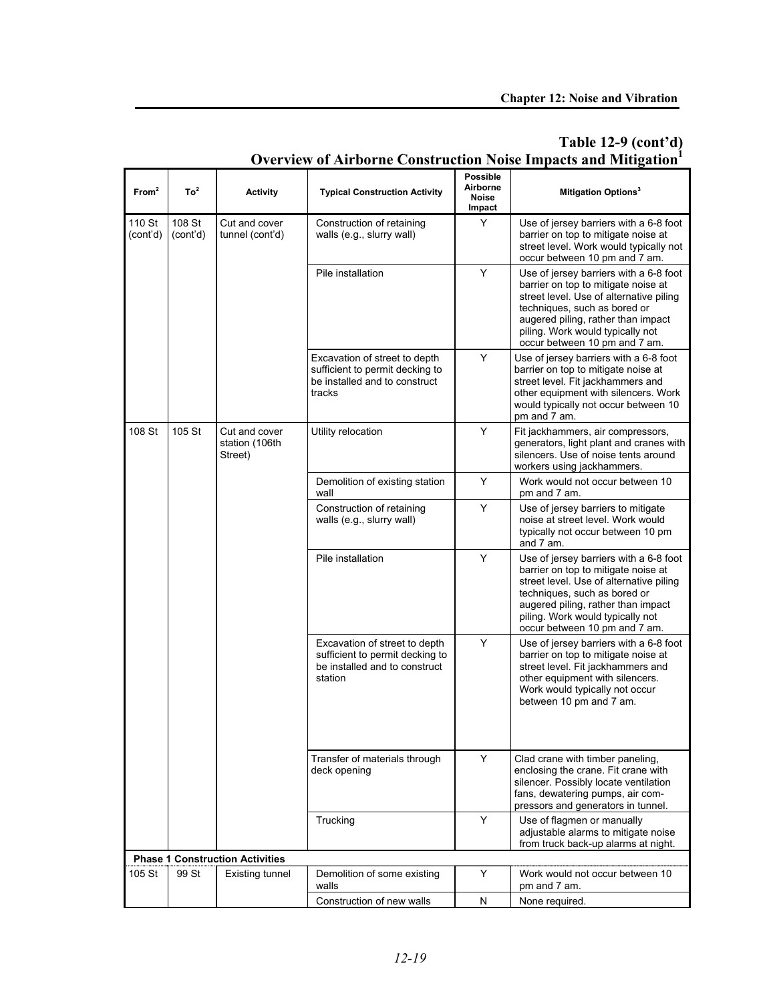| From <sup>2</sup>  | To <sup>2</sup>    | <b>Activity</b>                            | <b>Typical Construction Activity</b>                                                                         | <b>Possible</b><br>Airborne<br><b>Noise</b><br>Impact | Mitigation Options <sup>3</sup>                                                                                                                                                                                                                                     |
|--------------------|--------------------|--------------------------------------------|--------------------------------------------------------------------------------------------------------------|-------------------------------------------------------|---------------------------------------------------------------------------------------------------------------------------------------------------------------------------------------------------------------------------------------------------------------------|
| 110 St<br>(cont'd) | 108 St<br>(cont'd) | Cut and cover<br>tunnel (cont'd)           | Construction of retaining<br>walls (e.g., slurry wall)                                                       | Y                                                     | Use of jersey barriers with a 6-8 foot<br>barrier on top to mitigate noise at<br>street level. Work would typically not<br>occur between 10 pm and 7 am.                                                                                                            |
|                    |                    |                                            | Pile installation                                                                                            | Y                                                     | Use of jersey barriers with a 6-8 foot<br>barrier on top to mitigate noise at<br>street level. Use of alternative piling<br>techniques, such as bored or<br>augered piling, rather than impact<br>piling. Work would typically not<br>occur between 10 pm and 7 am. |
|                    |                    |                                            | Excavation of street to depth<br>sufficient to permit decking to<br>be installed and to construct<br>tracks  | Y                                                     | Use of jersey barriers with a 6-8 foot<br>barrier on top to mitigate noise at<br>street level. Fit jackhammers and<br>other equipment with silencers. Work<br>would typically not occur between 10<br>pm and 7 am.                                                  |
| 108 St             | 105 St             | Cut and cover<br>station (106th<br>Street) | Utility relocation                                                                                           | Y                                                     | Fit jackhammers, air compressors,<br>generators, light plant and cranes with<br>silencers. Use of noise tents around<br>workers using jackhammers.                                                                                                                  |
|                    |                    |                                            | Demolition of existing station<br>wall                                                                       | Y                                                     | Work would not occur between 10<br>pm and 7 am.                                                                                                                                                                                                                     |
|                    |                    |                                            | Construction of retaining<br>walls (e.g., slurry wall)                                                       | Y                                                     | Use of jersey barriers to mitigate<br>noise at street level. Work would<br>typically not occur between 10 pm<br>and 7 am.                                                                                                                                           |
|                    |                    |                                            | Pile installation                                                                                            | Y                                                     | Use of jersey barriers with a 6-8 foot<br>barrier on top to mitigate noise at<br>street level. Use of alternative piling<br>techniques, such as bored or<br>augered piling, rather than impact<br>piling. Work would typically not<br>occur between 10 pm and 7 am. |
|                    |                    |                                            | Excavation of street to depth<br>sufficient to permit decking to<br>be installed and to construct<br>station | Y                                                     | Use of jersey barriers with a 6-8 foot<br>barrier on top to mitigate noise at<br>street level. Fit jackhammers and<br>other equipment with silencers.<br>Work would typically not occur<br>between 10 pm and 7 am.                                                  |
|                    |                    |                                            | Transfer of materials through<br>deck opening                                                                | Y                                                     | Clad crane with timber paneling,<br>enclosing the crane. Fit crane with<br>silencer. Possibly locate ventilation<br>fans, dewatering pumps, air com-<br>pressors and generators in tunnel.                                                                          |
|                    |                    |                                            | Trucking                                                                                                     | Υ                                                     | Use of flagmen or manually<br>adjustable alarms to mitigate noise<br>from truck back-up alarms at night.                                                                                                                                                            |
|                    |                    | <b>Phase 1 Construction Activities</b>     |                                                                                                              |                                                       |                                                                                                                                                                                                                                                                     |
| 105 St             | 99 St              | <b>Existing tunnel</b>                     | Demolition of some existing<br>walls                                                                         | Υ                                                     | Work would not occur between 10<br>pm and 7 am.                                                                                                                                                                                                                     |
|                    |                    |                                            | Construction of new walls                                                                                    | N                                                     | None required.                                                                                                                                                                                                                                                      |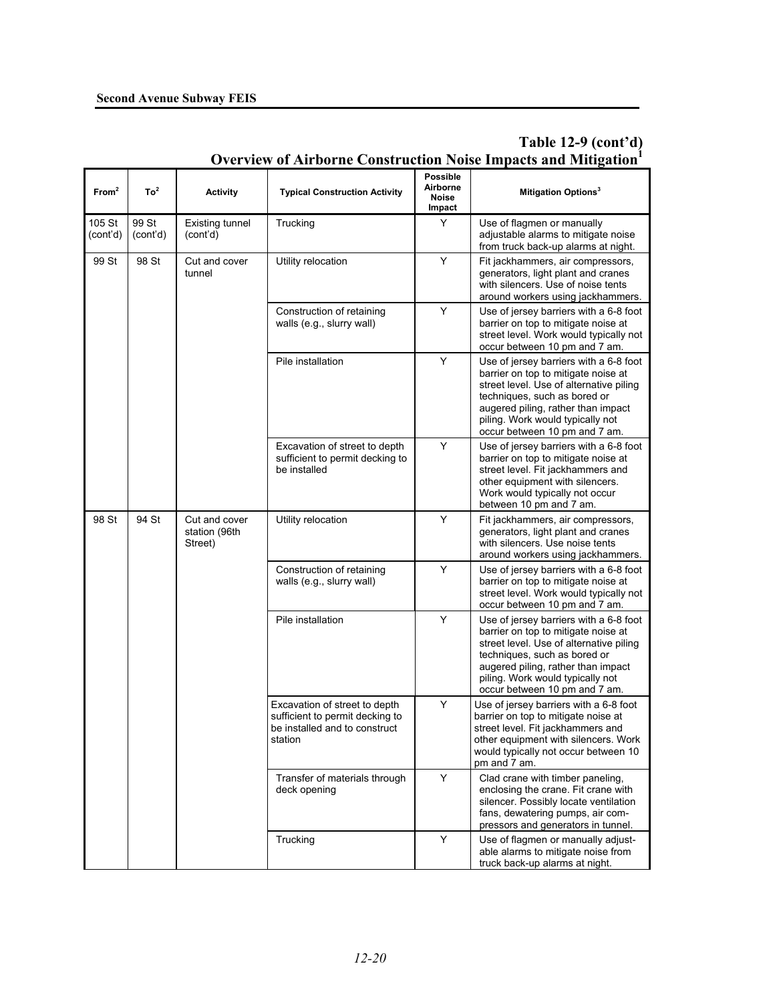| From <sup>2</sup>  | To <sup>2</sup>   | <b>Activity</b>                           | <b>Typical Construction Activity</b>                                                                         | <b>Possible</b><br>Airborne<br><b>Noise</b><br>Impact | Mitigation Options <sup>3</sup>                                                                                                                                                                                                                                     |
|--------------------|-------------------|-------------------------------------------|--------------------------------------------------------------------------------------------------------------|-------------------------------------------------------|---------------------------------------------------------------------------------------------------------------------------------------------------------------------------------------------------------------------------------------------------------------------|
| 105 St<br>(cont'd) | 99 St<br>(cont'd) | Existing tunnel<br>(cont'd)               | Trucking                                                                                                     | Y                                                     | Use of flagmen or manually<br>adjustable alarms to mitigate noise<br>from truck back-up alarms at night.                                                                                                                                                            |
| 99 St              | 98 St             | Cut and cover<br>tunnel                   | Utility relocation                                                                                           | Y                                                     | Fit jackhammers, air compressors,<br>generators, light plant and cranes<br>with silencers. Use of noise tents<br>around workers using jackhammers.                                                                                                                  |
|                    |                   |                                           | Construction of retaining<br>walls (e.g., slurry wall)                                                       | Y                                                     | Use of jersey barriers with a 6-8 foot<br>barrier on top to mitigate noise at<br>street level. Work would typically not<br>occur between 10 pm and 7 am.                                                                                                            |
|                    |                   |                                           | Pile installation                                                                                            | Y                                                     | Use of jersey barriers with a 6-8 foot<br>barrier on top to mitigate noise at<br>street level. Use of alternative piling<br>techniques, such as bored or<br>augered piling, rather than impact<br>piling. Work would typically not<br>occur between 10 pm and 7 am. |
|                    |                   |                                           | Excavation of street to depth<br>sufficient to permit decking to<br>be installed                             | Y                                                     | Use of jersey barriers with a 6-8 foot<br>barrier on top to mitigate noise at<br>street level. Fit jackhammers and<br>other equipment with silencers.<br>Work would typically not occur<br>between 10 pm and 7 am.                                                  |
| 98 St              | 94 St             | Cut and cover<br>station (96th<br>Street) | Utility relocation                                                                                           | Y                                                     | Fit jackhammers, air compressors,<br>generators, light plant and cranes<br>with silencers. Use noise tents<br>around workers using jackhammers.                                                                                                                     |
|                    |                   |                                           | Construction of retaining<br>walls (e.g., slurry wall)                                                       | Y                                                     | Use of jersey barriers with a 6-8 foot<br>barrier on top to mitigate noise at<br>street level. Work would typically not<br>occur between 10 pm and 7 am.                                                                                                            |
|                    |                   |                                           | Pile installation                                                                                            | Y                                                     | Use of jersey barriers with a 6-8 foot<br>barrier on top to mitigate noise at<br>street level. Use of alternative piling<br>techniques, such as bored or<br>augered piling, rather than impact<br>piling. Work would typically not<br>occur between 10 pm and 7 am. |
|                    |                   |                                           | Excavation of street to depth<br>sufficient to permit decking to<br>be installed and to construct<br>station | Y                                                     | Use of jersey barriers with a 6-8 foot<br>barrier on top to mitigate noise at<br>street level. Fit jackhammers and<br>other equipment with silencers. Work<br>would typically not occur between 10<br>pm and 7 am.                                                  |
|                    |                   |                                           | Transfer of materials through<br>deck opening                                                                | Υ                                                     | Clad crane with timber paneling,<br>enclosing the crane. Fit crane with<br>silencer. Possibly locate ventilation<br>fans, dewatering pumps, air com-<br>pressors and generators in tunnel.                                                                          |
|                    |                   |                                           | Trucking                                                                                                     | Υ                                                     | Use of flagmen or manually adjust-<br>able alarms to mitigate noise from<br>truck back-up alarms at night.                                                                                                                                                          |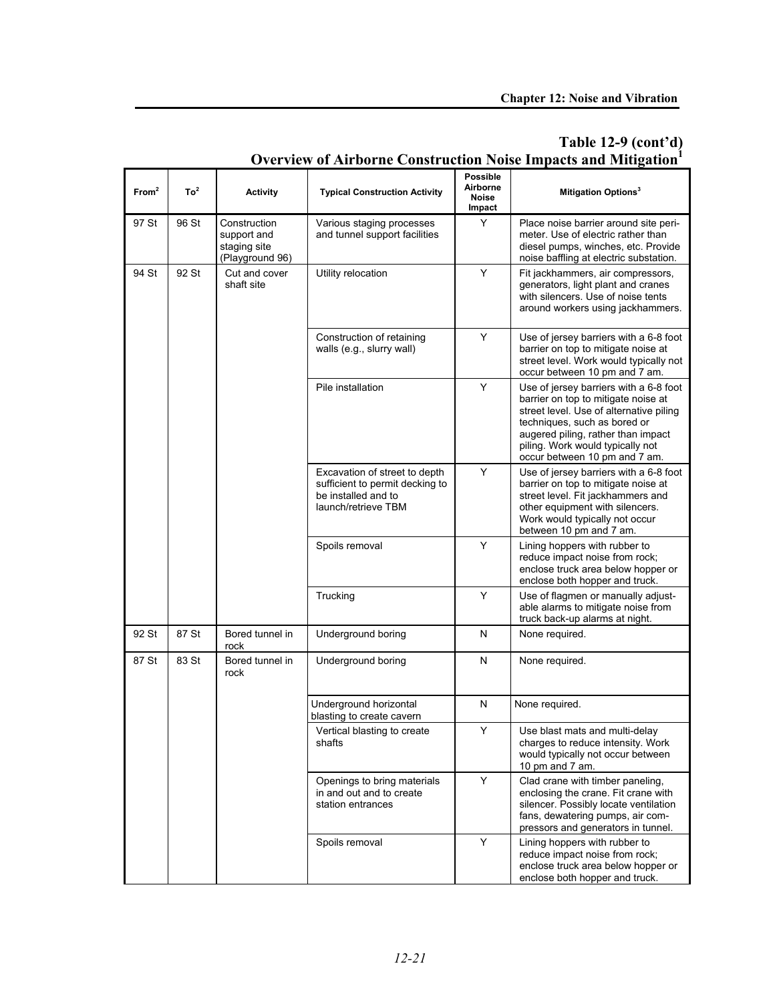| From <sup>2</sup> | To <sup>2</sup> | <b>Activity</b>                                                | <b>Typical Construction Activity</b>                                                                           | <b>Possible</b><br>Airborne<br><b>Noise</b><br>Impact | Mitigation Options <sup>3</sup>                                                                                                                                                                                                                                     |
|-------------------|-----------------|----------------------------------------------------------------|----------------------------------------------------------------------------------------------------------------|-------------------------------------------------------|---------------------------------------------------------------------------------------------------------------------------------------------------------------------------------------------------------------------------------------------------------------------|
| 97 St             | 96 St           | Construction<br>support and<br>staging site<br>(Playground 96) | Various staging processes<br>and tunnel support facilities                                                     | Υ                                                     | Place noise barrier around site peri-<br>meter. Use of electric rather than<br>diesel pumps, winches, etc. Provide<br>noise baffling at electric substation.                                                                                                        |
| 94 St             | 92 St           | Cut and cover<br>shaft site                                    | Utility relocation                                                                                             | Y                                                     | Fit jackhammers, air compressors,<br>generators, light plant and cranes<br>with silencers. Use of noise tents<br>around workers using jackhammers.                                                                                                                  |
|                   |                 |                                                                | Construction of retaining<br>walls (e.g., slurry wall)                                                         | Y                                                     | Use of jersey barriers with a 6-8 foot<br>barrier on top to mitigate noise at<br>street level. Work would typically not<br>occur between 10 pm and 7 am.                                                                                                            |
|                   |                 |                                                                | Pile installation                                                                                              | Y                                                     | Use of jersey barriers with a 6-8 foot<br>barrier on top to mitigate noise at<br>street level. Use of alternative piling<br>techniques, such as bored or<br>augered piling, rather than impact<br>piling. Work would typically not<br>occur between 10 pm and 7 am. |
|                   |                 |                                                                | Excavation of street to depth<br>sufficient to permit decking to<br>be installed and to<br>launch/retrieve TBM | Y                                                     | Use of jersey barriers with a 6-8 foot<br>barrier on top to mitigate noise at<br>street level. Fit jackhammers and<br>other equipment with silencers.<br>Work would typically not occur<br>between 10 pm and 7 am.                                                  |
|                   |                 |                                                                | Spoils removal                                                                                                 | Y                                                     | Lining hoppers with rubber to<br>reduce impact noise from rock;<br>enclose truck area below hopper or<br>enclose both hopper and truck.                                                                                                                             |
|                   |                 |                                                                | Trucking                                                                                                       | Y                                                     | Use of flagmen or manually adjust-<br>able alarms to mitigate noise from<br>truck back-up alarms at night.                                                                                                                                                          |
| 92 St             | 87 St           | Bored tunnel in<br>rock                                        | Underground boring                                                                                             | N                                                     | None required.                                                                                                                                                                                                                                                      |
| 87 St             | 83 St           | Bored tunnel in<br>rock                                        | Underground boring                                                                                             | N                                                     | None required.                                                                                                                                                                                                                                                      |
|                   |                 |                                                                | Underground horizontal<br>blasting to create cavern                                                            | N                                                     | None required.                                                                                                                                                                                                                                                      |
|                   |                 |                                                                | Vertical blasting to create<br>shafts                                                                          | Y                                                     | Use blast mats and multi-delay<br>charges to reduce intensity. Work<br>would typically not occur between<br>10 pm and 7 am.                                                                                                                                         |
|                   |                 |                                                                | Openings to bring materials<br>in and out and to create<br>station entrances                                   | Υ                                                     | Clad crane with timber paneling,<br>enclosing the crane. Fit crane with<br>silencer. Possibly locate ventilation<br>fans, dewatering pumps, air com-<br>pressors and generators in tunnel.                                                                          |
|                   |                 |                                                                | Spoils removal                                                                                                 | Υ                                                     | Lining hoppers with rubber to<br>reduce impact noise from rock;<br>enclose truck area below hopper or<br>enclose both hopper and truck.                                                                                                                             |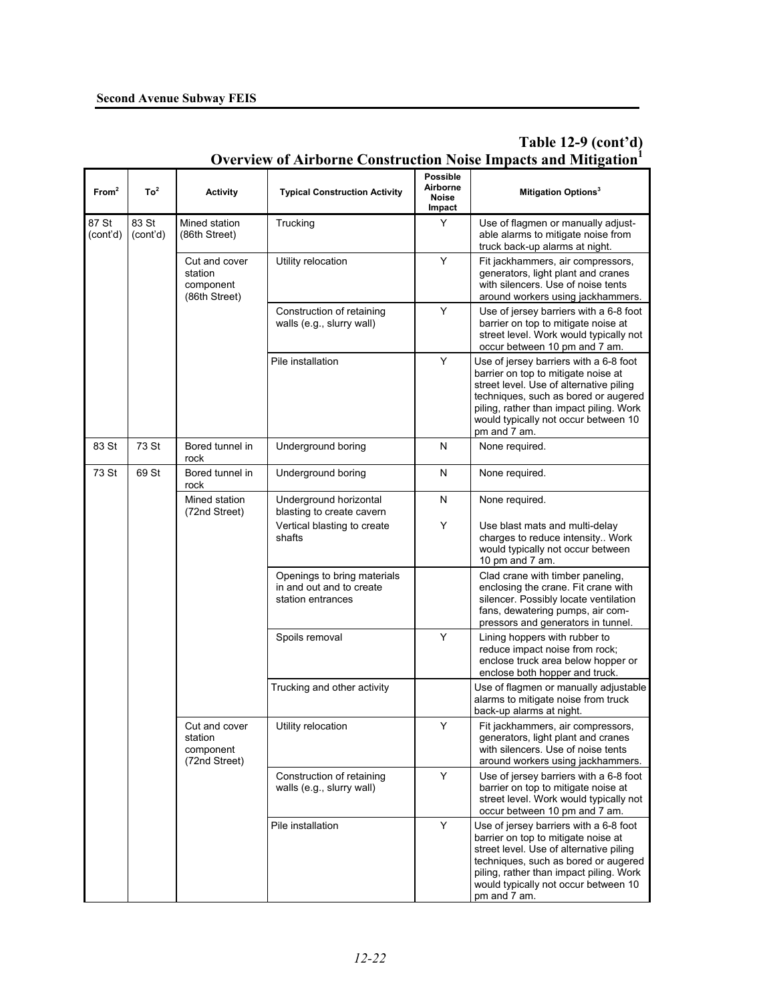| From <sup>2</sup> | To <sup>2</sup>   | <b>Activity</b>                                        | <b>Typical Construction Activity</b>                                         | <b>Possible</b><br>Airborne<br><b>Noise</b><br>Impact | Mitigation Options <sup>3</sup>                                                                                                                                                                                                                                     |
|-------------------|-------------------|--------------------------------------------------------|------------------------------------------------------------------------------|-------------------------------------------------------|---------------------------------------------------------------------------------------------------------------------------------------------------------------------------------------------------------------------------------------------------------------------|
| 87 St<br>(cont'd) | 83 St<br>(cont'd) | Mined station<br>(86th Street)                         | Trucking                                                                     | Y                                                     | Use of flagmen or manually adjust-<br>able alarms to mitigate noise from<br>truck back-up alarms at night.                                                                                                                                                          |
|                   |                   | Cut and cover<br>station<br>component<br>(86th Street) | Utility relocation                                                           | Y                                                     | Fit jackhammers, air compressors,<br>generators, light plant and cranes<br>with silencers. Use of noise tents<br>around workers using jackhammers.                                                                                                                  |
|                   |                   |                                                        | Construction of retaining<br>walls (e.g., slurry wall)                       | Y                                                     | Use of jersey barriers with a 6-8 foot<br>barrier on top to mitigate noise at<br>street level. Work would typically not<br>occur between 10 pm and 7 am.                                                                                                            |
|                   |                   |                                                        | Pile installation                                                            | Y                                                     | Use of jersey barriers with a 6-8 foot<br>barrier on top to mitigate noise at<br>street level. Use of alternative piling<br>techniques, such as bored or augered<br>piling, rather than impact piling. Work<br>would typically not occur between 10<br>pm and 7 am. |
| 83 St             | 73 St             | Bored tunnel in<br>rock                                | Underground boring                                                           | N                                                     | None required.                                                                                                                                                                                                                                                      |
| 73 St             | 69 St             | Bored tunnel in<br>rock                                | Underground boring                                                           | N                                                     | None required.                                                                                                                                                                                                                                                      |
|                   |                   | Mined station<br>(72nd Street)                         | Underground horizontal<br>blasting to create cavern                          | N                                                     | None required.                                                                                                                                                                                                                                                      |
|                   |                   |                                                        | Vertical blasting to create<br>shafts                                        | Y                                                     | Use blast mats and multi-delay<br>charges to reduce intensity Work<br>would typically not occur between<br>10 pm and 7 am.                                                                                                                                          |
|                   |                   |                                                        | Openings to bring materials<br>in and out and to create<br>station entrances |                                                       | Clad crane with timber paneling,<br>enclosing the crane. Fit crane with<br>silencer. Possibly locate ventilation<br>fans, dewatering pumps, air com-<br>pressors and generators in tunnel.                                                                          |
|                   |                   |                                                        | Spoils removal                                                               | Y                                                     | Lining hoppers with rubber to<br>reduce impact noise from rock;<br>enclose truck area below hopper or<br>enclose both hopper and truck.                                                                                                                             |
|                   |                   |                                                        | Trucking and other activity                                                  |                                                       | Use of flagmen or manually adjustable<br>alarms to mitigate noise from truck<br>back-up alarms at night.                                                                                                                                                            |
|                   |                   | Cut and cover<br>station<br>component<br>(72nd Street) | Utility relocation                                                           | Y                                                     | Fit jackhammers, air compressors,<br>generators, light plant and cranes<br>with silencers. Use of noise tents<br>around workers using jackhammers.                                                                                                                  |
|                   |                   |                                                        | Construction of retaining<br>walls (e.g., slurry wall)                       | Y                                                     | Use of jersey barriers with a 6-8 foot<br>barrier on top to mitigate noise at<br>street level. Work would typically not<br>occur between 10 pm and 7 am.                                                                                                            |
|                   |                   |                                                        | Pile installation                                                            | Y                                                     | Use of jersey barriers with a 6-8 foot<br>barrier on top to mitigate noise at<br>street level. Use of alternative piling<br>techniques, such as bored or augered<br>piling, rather than impact piling. Work<br>would typically not occur between 10<br>pm and 7 am. |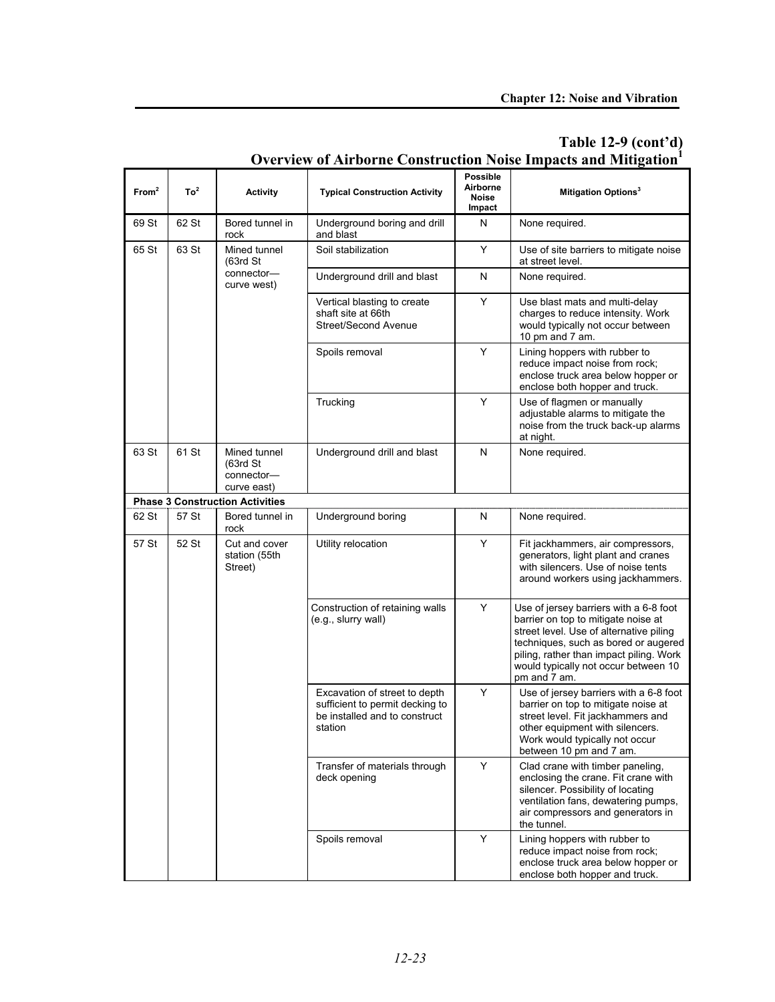| From <sup>2</sup> | To <sup>2</sup> | <b>Activity</b>                                       | <b>Typical Construction Activity</b>                                                                         | <b>Possible</b><br>Airborne<br><b>Noise</b><br>Impact | Mitigation Options <sup>3</sup>                                                                                                                                                                                                                                     |
|-------------------|-----------------|-------------------------------------------------------|--------------------------------------------------------------------------------------------------------------|-------------------------------------------------------|---------------------------------------------------------------------------------------------------------------------------------------------------------------------------------------------------------------------------------------------------------------------|
| 69 St             | 62 St           | Bored tunnel in<br>rock                               | Underground boring and drill<br>and blast                                                                    | N                                                     | None required.                                                                                                                                                                                                                                                      |
| 65 St             | 63 St           | Mined tunnel<br>(63rd St)                             | Soil stabilization                                                                                           | Y                                                     | Use of site barriers to mitigate noise<br>at street level.                                                                                                                                                                                                          |
|                   |                 | connector-<br>curve west)                             | Underground drill and blast                                                                                  | N                                                     | None required.                                                                                                                                                                                                                                                      |
|                   |                 |                                                       | Vertical blasting to create<br>shaft site at 66th<br>Street/Second Avenue                                    | Y                                                     | Use blast mats and multi-delay<br>charges to reduce intensity. Work<br>would typically not occur between<br>10 pm and 7 am.                                                                                                                                         |
|                   |                 |                                                       | Spoils removal                                                                                               | Y                                                     | Lining hoppers with rubber to<br>reduce impact noise from rock;<br>enclose truck area below hopper or<br>enclose both hopper and truck.                                                                                                                             |
|                   |                 |                                                       | Trucking                                                                                                     | Y                                                     | Use of flagmen or manually<br>adjustable alarms to mitigate the<br>noise from the truck back-up alarms<br>at night.                                                                                                                                                 |
| 63 St             | 61 St           | Mined tunnel<br>(63rd St<br>connector-<br>curve east) | Underground drill and blast                                                                                  | N                                                     | None required.                                                                                                                                                                                                                                                      |
|                   |                 | <b>Phase 3 Construction Activities</b>                |                                                                                                              |                                                       |                                                                                                                                                                                                                                                                     |
| 62 St             | 57 St           | Bored tunnel in<br>rock                               | Underground boring                                                                                           | N                                                     | None required.                                                                                                                                                                                                                                                      |
| 57 St             | 52 St           | Cut and cover<br>station (55th<br>Street)             | Utility relocation                                                                                           | Y                                                     | Fit jackhammers, air compressors,<br>generators, light plant and cranes<br>with silencers. Use of noise tents<br>around workers using jackhammers.                                                                                                                  |
|                   |                 |                                                       | Construction of retaining walls<br>(e.g., slurry wall)                                                       | Y                                                     | Use of jersey barriers with a 6-8 foot<br>barrier on top to mitigate noise at<br>street level. Use of alternative piling<br>techniques, such as bored or augered<br>piling, rather than impact piling. Work<br>would typically not occur between 10<br>pm and 7 am. |
|                   |                 |                                                       | Excavation of street to depth<br>sufficient to permit decking to<br>be installed and to construct<br>station | Y                                                     | Use of jersey barriers with a 6-8 foot<br>barrier on top to mitigate noise at<br>street level. Fit jackhammers and<br>other equipment with silencers.<br>Work would typically not occur<br>between 10 pm and 7 am.                                                  |
|                   |                 |                                                       | Transfer of materials through<br>deck opening                                                                | Υ                                                     | Clad crane with timber paneling,<br>enclosing the crane. Fit crane with<br>silencer. Possibility of locating<br>ventilation fans, dewatering pumps,<br>air compressors and generators in<br>the tunnel.                                                             |
|                   |                 |                                                       | Spoils removal                                                                                               | Υ                                                     | Lining hoppers with rubber to<br>reduce impact noise from rock;<br>enclose truck area below hopper or<br>enclose both hopper and truck.                                                                                                                             |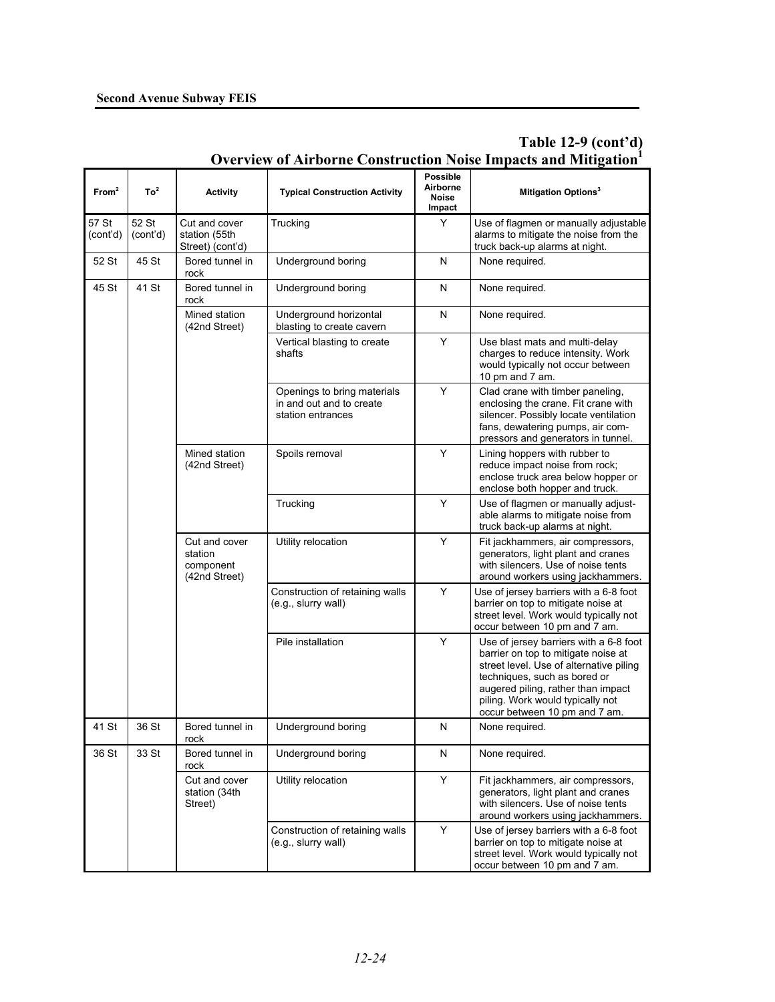| From <sup>2</sup> | To <sup>2</sup>   | <b>Activity</b>                                        | <b>Typical Construction Activity</b>                                         | <b>Possible</b><br>Airborne<br><b>Noise</b><br>Impact | <b>Mitigation Options<sup>3</sup></b>                                                                                                                                                                                                                               |
|-------------------|-------------------|--------------------------------------------------------|------------------------------------------------------------------------------|-------------------------------------------------------|---------------------------------------------------------------------------------------------------------------------------------------------------------------------------------------------------------------------------------------------------------------------|
| 57 St<br>(cont'd) | 52 St<br>(cont'd) | Cut and cover<br>station (55th<br>Street) (cont'd)     | Trucking                                                                     | Y                                                     | Use of flagmen or manually adjustable<br>alarms to mitigate the noise from the<br>truck back-up alarms at night.                                                                                                                                                    |
| 52 St             | 45 St             | Bored tunnel in<br>rock                                | Underground boring                                                           | N                                                     | None required.                                                                                                                                                                                                                                                      |
| 45 St             | 41 St             | Bored tunnel in<br>rock                                | Underground boring                                                           | N                                                     | None required.                                                                                                                                                                                                                                                      |
|                   |                   | Mined station<br>(42nd Street)                         | Underground horizontal<br>blasting to create cavern                          | N                                                     | None required.                                                                                                                                                                                                                                                      |
|                   |                   |                                                        | Vertical blasting to create<br>shafts                                        | Y                                                     | Use blast mats and multi-delay<br>charges to reduce intensity. Work<br>would typically not occur between<br>10 pm and 7 am.                                                                                                                                         |
|                   |                   |                                                        | Openings to bring materials<br>in and out and to create<br>station entrances | Y                                                     | Clad crane with timber paneling,<br>enclosing the crane. Fit crane with<br>silencer. Possibly locate ventilation<br>fans, dewatering pumps, air com-<br>pressors and generators in tunnel.                                                                          |
|                   |                   | Mined station<br>(42nd Street)                         | Spoils removal                                                               | Y                                                     | Lining hoppers with rubber to<br>reduce impact noise from rock;<br>enclose truck area below hopper or<br>enclose both hopper and truck.                                                                                                                             |
|                   |                   |                                                        | Trucking                                                                     | Y                                                     | Use of flagmen or manually adjust-<br>able alarms to mitigate noise from<br>truck back-up alarms at night.                                                                                                                                                          |
|                   |                   | Cut and cover<br>station<br>component<br>(42nd Street) | Utility relocation                                                           | Y                                                     | Fit jackhammers, air compressors,<br>generators, light plant and cranes<br>with silencers. Use of noise tents<br>around workers using jackhammers.                                                                                                                  |
|                   |                   |                                                        | Construction of retaining walls<br>(e.g., slurry wall)                       | Y                                                     | Use of jersey barriers with a 6-8 foot<br>barrier on top to mitigate noise at<br>street level. Work would typically not<br>occur between 10 pm and 7 am.                                                                                                            |
|                   |                   |                                                        | Pile installation                                                            | Y                                                     | Use of jersey barriers with a 6-8 foot<br>barrier on top to mitigate noise at<br>street level. Use of alternative piling<br>techniques, such as bored or<br>augered piling, rather than impact<br>piling. Work would typically not<br>occur between 10 pm and 7 am. |
| 41 St             | 36 St             | Bored tunnel in<br>rock                                | Underground boring                                                           | N                                                     | None required.                                                                                                                                                                                                                                                      |
| 36 St             | 33 St             | Bored tunnel in<br>rock                                | Underground boring                                                           | N                                                     | None required.                                                                                                                                                                                                                                                      |
|                   |                   | Cut and cover<br>station (34th<br>Street)              | Utility relocation                                                           | Υ                                                     | Fit jackhammers, air compressors,<br>generators, light plant and cranes<br>with silencers. Use of noise tents<br>around workers using jackhammers.                                                                                                                  |
|                   |                   |                                                        | Construction of retaining walls<br>(e.g., slurry wall)                       | Y                                                     | Use of jersey barriers with a 6-8 foot<br>barrier on top to mitigate noise at<br>street level. Work would typically not<br>occur between 10 pm and 7 am.                                                                                                            |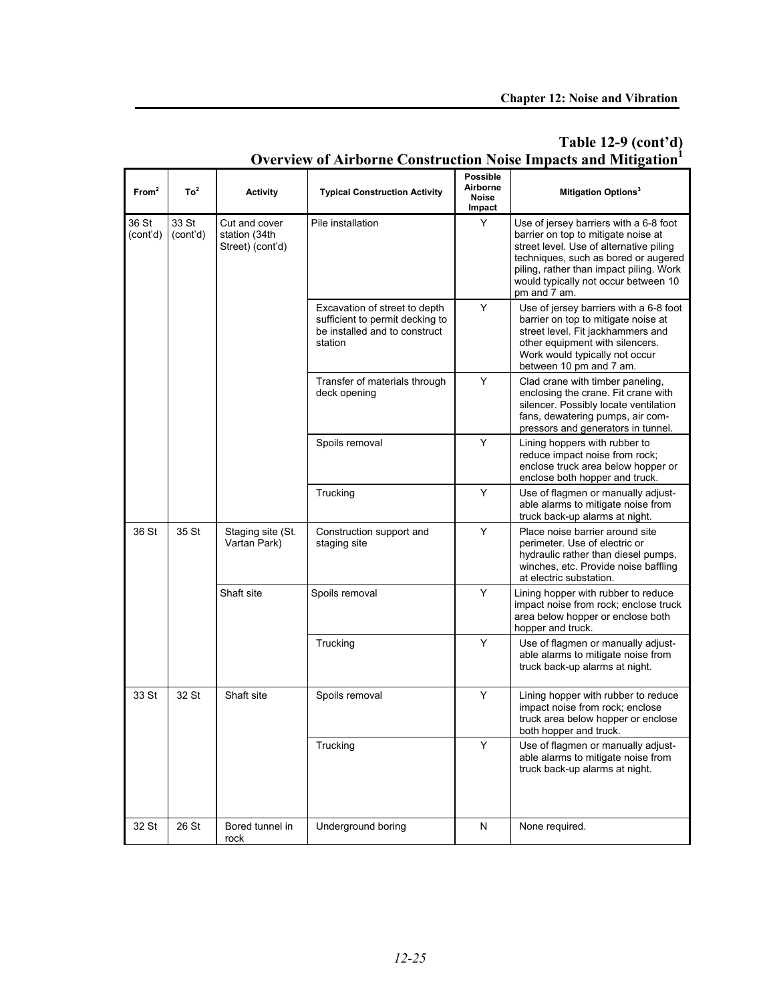| From <sup>2</sup> | To <sup>2</sup>   | <b>Activity</b>                                    | <b>Typical Construction Activity</b>                                                                         | <b>Possible</b><br>Airborne<br><b>Noise</b><br>Impact | Mitigation Options <sup>3</sup>                                                                                                                                                                                                                                     |
|-------------------|-------------------|----------------------------------------------------|--------------------------------------------------------------------------------------------------------------|-------------------------------------------------------|---------------------------------------------------------------------------------------------------------------------------------------------------------------------------------------------------------------------------------------------------------------------|
| 36 St<br>(cont'd) | 33 St<br>(cont'd) | Cut and cover<br>station (34th<br>Street) (cont'd) | Pile installation                                                                                            | Υ                                                     | Use of jersey barriers with a 6-8 foot<br>barrier on top to mitigate noise at<br>street level. Use of alternative piling<br>techniques, such as bored or augered<br>piling, rather than impact piling. Work<br>would typically not occur between 10<br>pm and 7 am. |
|                   |                   |                                                    | Excavation of street to depth<br>sufficient to permit decking to<br>be installed and to construct<br>station | Y                                                     | Use of jersey barriers with a 6-8 foot<br>barrier on top to mitigate noise at<br>street level. Fit jackhammers and<br>other equipment with silencers.<br>Work would typically not occur<br>between 10 pm and 7 am.                                                  |
|                   |                   |                                                    | Transfer of materials through<br>deck opening                                                                | Y                                                     | Clad crane with timber paneling,<br>enclosing the crane. Fit crane with<br>silencer. Possibly locate ventilation<br>fans, dewatering pumps, air com-<br>pressors and generators in tunnel.                                                                          |
|                   |                   |                                                    | Spoils removal                                                                                               | Y                                                     | Lining hoppers with rubber to<br>reduce impact noise from rock;<br>enclose truck area below hopper or<br>enclose both hopper and truck.                                                                                                                             |
|                   |                   |                                                    | Trucking                                                                                                     | Y                                                     | Use of flagmen or manually adjust-<br>able alarms to mitigate noise from<br>truck back-up alarms at night.                                                                                                                                                          |
| 36 St             | 35 St             | Staging site (St.<br>Vartan Park)                  | Construction support and<br>staging site                                                                     | Y                                                     | Place noise barrier around site<br>perimeter. Use of electric or<br>hydraulic rather than diesel pumps,<br>winches, etc. Provide noise baffling<br>at electric substation.                                                                                          |
|                   |                   | Shaft site                                         | Spoils removal                                                                                               | Y                                                     | Lining hopper with rubber to reduce<br>impact noise from rock; enclose truck<br>area below hopper or enclose both<br>hopper and truck.                                                                                                                              |
|                   |                   |                                                    | Trucking                                                                                                     | Y                                                     | Use of flagmen or manually adjust-<br>able alarms to mitigate noise from<br>truck back-up alarms at night.                                                                                                                                                          |
| 33 St             | 32 St             | Shaft site                                         | Spoils removal                                                                                               | Y                                                     | Lining hopper with rubber to reduce<br>impact noise from rock; enclose<br>truck area below hopper or enclose<br>both hopper and truck.                                                                                                                              |
|                   |                   |                                                    | Trucking                                                                                                     | Υ                                                     | Use of flagmen or manually adjust-<br>able alarms to mitigate noise from<br>truck back-up alarms at night.                                                                                                                                                          |
| 32 St             | 26 St             | Bored tunnel in<br>rock                            | Underground boring                                                                                           | N                                                     | None required.                                                                                                                                                                                                                                                      |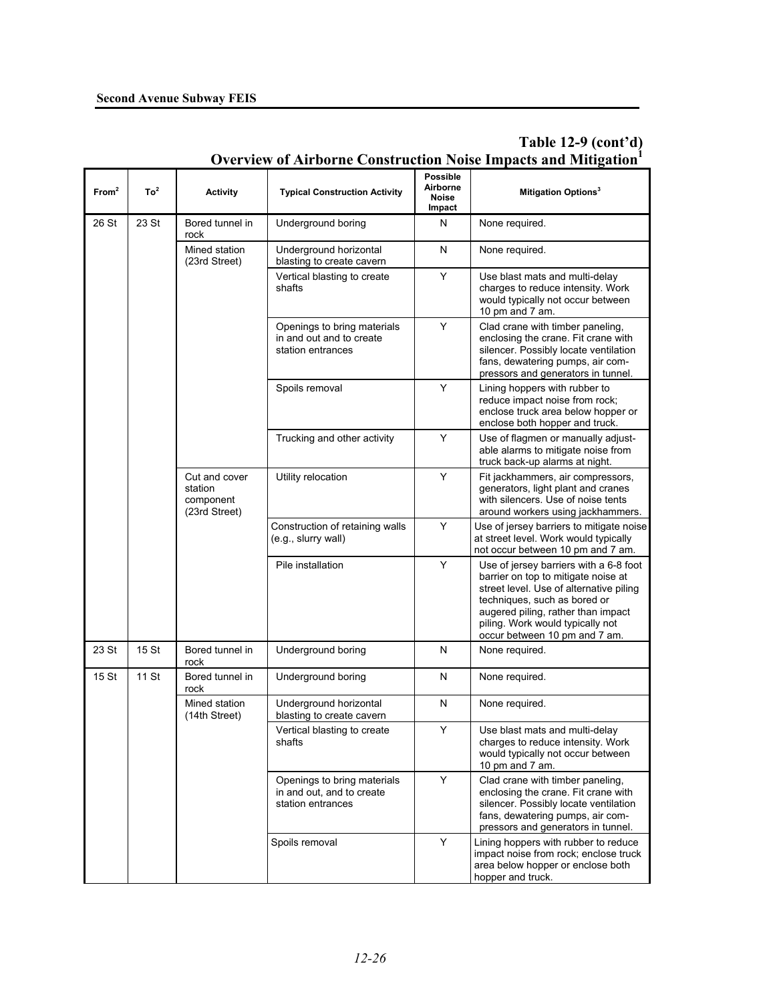|                   |                 |                                                        |                                                                               | <b>Possible</b>                    |                                                                                                                                                                                                                                                                     |
|-------------------|-----------------|--------------------------------------------------------|-------------------------------------------------------------------------------|------------------------------------|---------------------------------------------------------------------------------------------------------------------------------------------------------------------------------------------------------------------------------------------------------------------|
| From <sup>2</sup> | To <sup>2</sup> | <b>Activity</b>                                        | <b>Typical Construction Activity</b>                                          | Airborne<br><b>Noise</b><br>Impact | Mitigation Options <sup>3</sup>                                                                                                                                                                                                                                     |
| 26 St             | 23 St           | Bored tunnel in<br>rock                                | Underground boring                                                            | N                                  | None required.                                                                                                                                                                                                                                                      |
|                   |                 | Mined station<br>(23rd Street)                         | Underground horizontal<br>blasting to create cavern                           | N                                  | None required.                                                                                                                                                                                                                                                      |
|                   |                 |                                                        | Vertical blasting to create<br>shafts                                         | Y                                  | Use blast mats and multi-delay<br>charges to reduce intensity. Work<br>would typically not occur between<br>10 pm and 7 am.                                                                                                                                         |
|                   |                 |                                                        | Openings to bring materials<br>in and out and to create<br>station entrances  | Y                                  | Clad crane with timber paneling,<br>enclosing the crane. Fit crane with<br>silencer. Possibly locate ventilation<br>fans, dewatering pumps, air com-<br>pressors and generators in tunnel.                                                                          |
|                   |                 |                                                        | Spoils removal                                                                | Y                                  | Lining hoppers with rubber to<br>reduce impact noise from rock;<br>enclose truck area below hopper or<br>enclose both hopper and truck.                                                                                                                             |
|                   |                 |                                                        | Trucking and other activity                                                   | Y                                  | Use of flagmen or manually adjust-<br>able alarms to mitigate noise from<br>truck back-up alarms at night.                                                                                                                                                          |
|                   |                 | Cut and cover<br>station<br>component<br>(23rd Street) | Utility relocation                                                            | Y                                  | Fit jackhammers, air compressors,<br>generators, light plant and cranes<br>with silencers. Use of noise tents<br>around workers using jackhammers.                                                                                                                  |
|                   |                 |                                                        | Construction of retaining walls<br>(e.g., slurry wall)                        | Y                                  | Use of jersey barriers to mitigate noise<br>at street level. Work would typically<br>not occur between 10 pm and 7 am.                                                                                                                                              |
|                   |                 |                                                        | Pile installation                                                             | Y                                  | Use of jersey barriers with a 6-8 foot<br>barrier on top to mitigate noise at<br>street level. Use of alternative piling<br>techniques, such as bored or<br>augered piling, rather than impact<br>piling. Work would typically not<br>occur between 10 pm and 7 am. |
| 23 St             | 15 St           | Bored tunnel in<br>rock                                | Underground boring                                                            | N                                  | None required.                                                                                                                                                                                                                                                      |
| 15 St             | 11 St           | Bored tunnel in<br>rock                                | Underground boring                                                            | N                                  | None required.                                                                                                                                                                                                                                                      |
|                   |                 | Mined station<br>(14th Street)                         | Underground horizontal<br>blasting to create cavern                           | N                                  | None required.                                                                                                                                                                                                                                                      |
|                   |                 |                                                        | Vertical blasting to create<br>shafts                                         | Y                                  | Use blast mats and multi-delay<br>charges to reduce intensity. Work<br>would typically not occur between<br>10 pm and 7 am.                                                                                                                                         |
|                   |                 |                                                        | Openings to bring materials<br>in and out, and to create<br>station entrances | Y                                  | Clad crane with timber paneling,<br>enclosing the crane. Fit crane with<br>silencer. Possibly locate ventilation<br>fans, dewatering pumps, air com-<br>pressors and generators in tunnel.                                                                          |
|                   |                 |                                                        | Spoils removal                                                                | Y                                  | Lining hoppers with rubber to reduce<br>impact noise from rock; enclose truck<br>area below hopper or enclose both<br>hopper and truck.                                                                                                                             |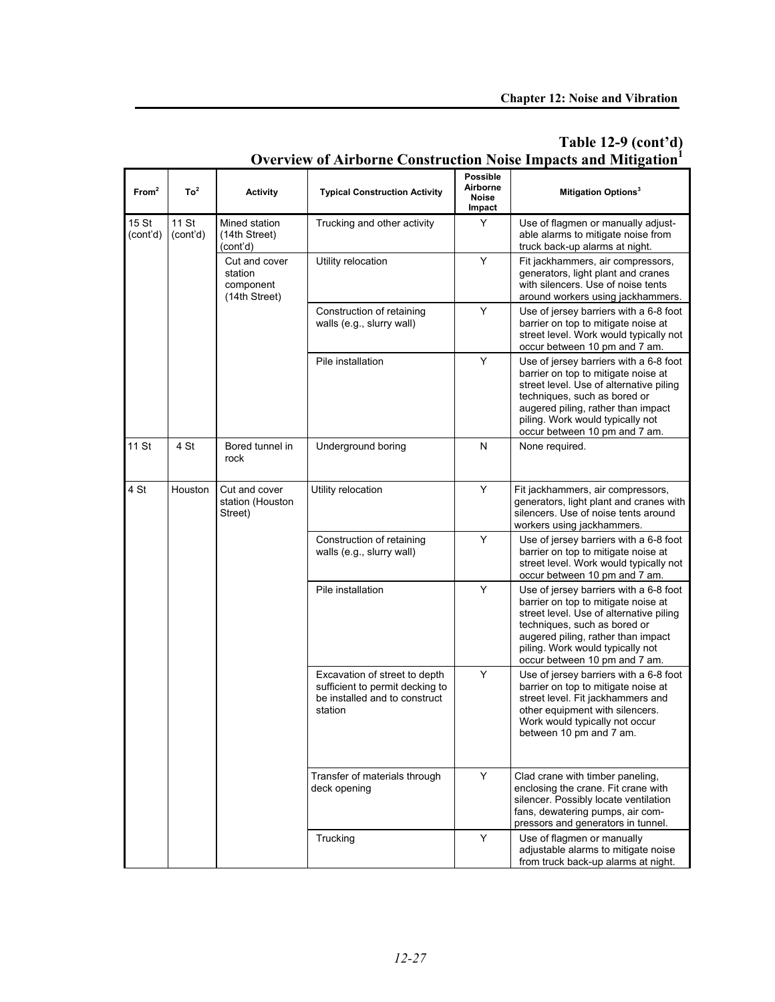| From <sup>2</sup> | To <sup>2</sup>   | <b>Activity</b>                                        | <b>Typical Construction Activity</b>                                                                         | <b>Possible</b><br>Airborne<br><b>Noise</b><br>Impact | Mitigation Options <sup>3</sup>                                                                                                                                                                                                                                     |
|-------------------|-------------------|--------------------------------------------------------|--------------------------------------------------------------------------------------------------------------|-------------------------------------------------------|---------------------------------------------------------------------------------------------------------------------------------------------------------------------------------------------------------------------------------------------------------------------|
| 15 St<br>(cont'd) | 11 St<br>(cont'd) | Mined station<br>(14th Street)<br>(cont'd)             | Trucking and other activity                                                                                  | Y                                                     | Use of flagmen or manually adjust-<br>able alarms to mitigate noise from<br>truck back-up alarms at night.                                                                                                                                                          |
|                   |                   | Cut and cover<br>station<br>component<br>(14th Street) | Utility relocation                                                                                           | Y                                                     | Fit jackhammers, air compressors,<br>generators, light plant and cranes<br>with silencers. Use of noise tents<br>around workers using jackhammers.                                                                                                                  |
|                   |                   |                                                        | Construction of retaining<br>walls (e.g., slurry wall)                                                       | Y                                                     | Use of jersey barriers with a 6-8 foot<br>barrier on top to mitigate noise at<br>street level. Work would typically not<br>occur between 10 pm and 7 am.                                                                                                            |
|                   |                   |                                                        | Pile installation                                                                                            | Y                                                     | Use of jersey barriers with a 6-8 foot<br>barrier on top to mitigate noise at<br>street level. Use of alternative piling<br>techniques, such as bored or<br>augered piling, rather than impact<br>piling. Work would typically not<br>occur between 10 pm and 7 am. |
| 11 St             | 4 St              | Bored tunnel in<br>rock                                | Underground boring                                                                                           | N                                                     | None required.                                                                                                                                                                                                                                                      |
| 4 St              | Houston           | Cut and cover<br>station (Houston<br>Street)           | Utility relocation                                                                                           | Y                                                     | Fit jackhammers, air compressors,<br>generators, light plant and cranes with<br>silencers. Use of noise tents around<br>workers using jackhammers.                                                                                                                  |
|                   |                   |                                                        | Construction of retaining<br>walls (e.g., slurry wall)                                                       | Y                                                     | Use of jersey barriers with a 6-8 foot<br>barrier on top to mitigate noise at<br>street level. Work would typically not<br>occur between 10 pm and 7 am.                                                                                                            |
|                   |                   |                                                        | Pile installation                                                                                            | Y                                                     | Use of jersey barriers with a 6-8 foot<br>barrier on top to mitigate noise at<br>street level. Use of alternative piling<br>techniques, such as bored or<br>augered piling, rather than impact<br>piling. Work would typically not<br>occur between 10 pm and 7 am. |
|                   |                   |                                                        | Excavation of street to depth<br>sufficient to permit decking to<br>be installed and to construct<br>station | Υ                                                     | Use of jersey barriers with a 6-8 foot<br>barrier on top to mitigate noise at<br>street level. Fit jackhammers and<br>other equipment with silencers.<br>Work would typically not occur<br>between 10 pm and 7 am.                                                  |
|                   |                   |                                                        | Transfer of materials through<br>deck opening                                                                | Υ                                                     | Clad crane with timber paneling,<br>enclosing the crane. Fit crane with<br>silencer. Possibly locate ventilation<br>fans, dewatering pumps, air com-<br>pressors and generators in tunnel.                                                                          |
|                   |                   |                                                        | Trucking                                                                                                     | Υ                                                     | Use of flagmen or manually<br>adjustable alarms to mitigate noise<br>from truck back-up alarms at night.                                                                                                                                                            |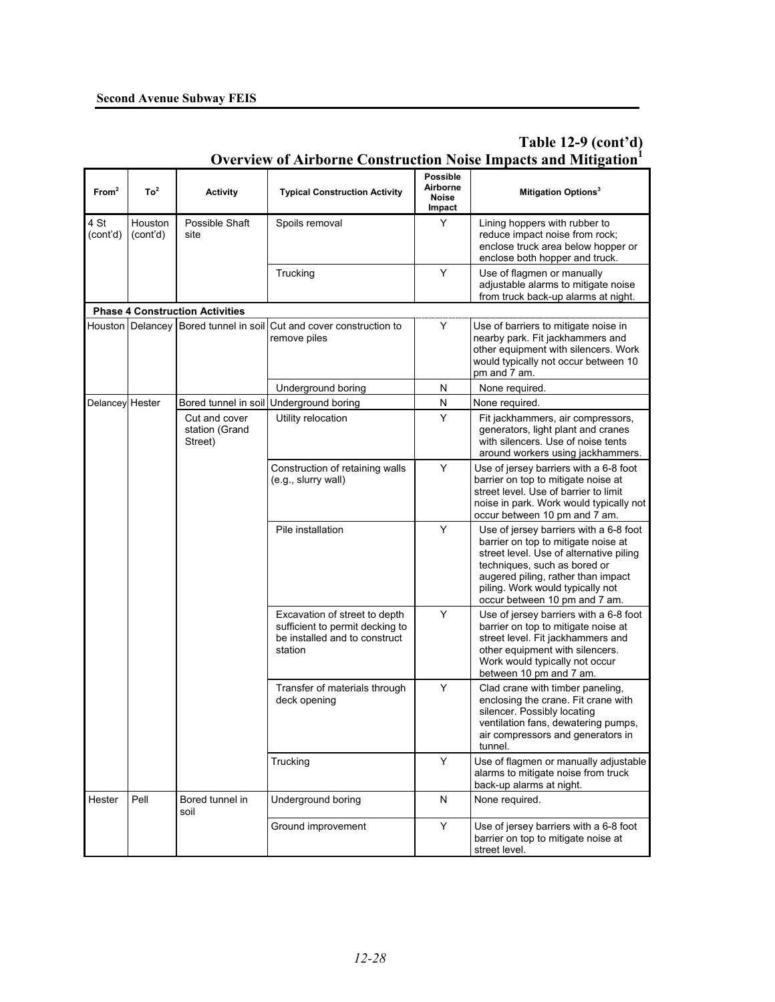|                   |                     |                                            |                                                                                                              |                                                       | сгунум от житот ну Сонзи исион тулзу нирасиз ани гипизацон                                                                                                                                                                                                          |
|-------------------|---------------------|--------------------------------------------|--------------------------------------------------------------------------------------------------------------|-------------------------------------------------------|---------------------------------------------------------------------------------------------------------------------------------------------------------------------------------------------------------------------------------------------------------------------|
| From <sup>2</sup> | To <sup>2</sup>     | <b>Activity</b>                            | <b>Typical Construction Activity</b>                                                                         | <b>Possible</b><br>Airborne<br><b>Noise</b><br>Impact | Mitigation Options <sup>3</sup>                                                                                                                                                                                                                                     |
| 4 St<br>(cont'd)  | Houston<br>(cont'd) | Possible Shaft<br>site                     | Spoils removal                                                                                               | Y                                                     | Lining hoppers with rubber to<br>reduce impact noise from rock;<br>enclose truck area below hopper or<br>enclose both hopper and truck.                                                                                                                             |
|                   |                     |                                            | Trucking                                                                                                     | Y                                                     | Use of flagmen or manually<br>adjustable alarms to mitigate noise<br>from truck back-up alarms at night.                                                                                                                                                            |
|                   |                     | <b>Phase 4 Construction Activities</b>     |                                                                                                              |                                                       |                                                                                                                                                                                                                                                                     |
|                   |                     | Houston   Delancey   Bored tunnel in soil  | Cut and cover construction to<br>remove piles                                                                | Y                                                     | Use of barriers to mitigate noise in<br>nearby park. Fit jackhammers and<br>other equipment with silencers. Work<br>would typically not occur between 10<br>pm and 7 am.                                                                                            |
|                   |                     |                                            | Underground boring                                                                                           | ${\sf N}$                                             | None required.                                                                                                                                                                                                                                                      |
| Delancey Hester   |                     | Bored tunnel in soil                       | Underground boring                                                                                           | N                                                     | None required.                                                                                                                                                                                                                                                      |
|                   |                     | Cut and cover<br>station (Grand<br>Street) | Utility relocation                                                                                           | Y                                                     | Fit jackhammers, air compressors,<br>generators, light plant and cranes<br>with silencers. Use of noise tents<br>around workers using jackhammers.                                                                                                                  |
|                   |                     |                                            | Construction of retaining walls<br>(e.g., slurry wall)                                                       | Y                                                     | Use of jersey barriers with a 6-8 foot<br>barrier on top to mitigate noise at<br>street level. Use of barrier to limit<br>noise in park. Work would typically not<br>occur between 10 pm and 7 am.                                                                  |
|                   |                     |                                            | Pile installation                                                                                            | Y                                                     | Use of jersey barriers with a 6-8 foot<br>barrier on top to mitigate noise at<br>street level. Use of alternative piling<br>techniques, such as bored or<br>augered piling, rather than impact<br>piling. Work would typically not<br>occur between 10 pm and 7 am. |
|                   |                     |                                            | Excavation of street to depth<br>sufficient to permit decking to<br>be installed and to construct<br>station | Y                                                     | Use of jersey barriers with a 6-8 foot<br>barrier on top to mitigate noise at<br>street level. Fit jackhammers and<br>other equipment with silencers.<br>Work would typically not occur<br>between 10 pm and 7 am.                                                  |
|                   |                     |                                            | Transfer of materials through<br>deck opening                                                                | Y                                                     | Clad crane with timber paneling,<br>enclosing the crane. Fit crane with<br>silencer. Possibly locating<br>ventilation fans, dewatering pumps,<br>air compressors and generators in<br>tunnel.                                                                       |
|                   |                     |                                            | Trucking                                                                                                     | Y                                                     | Use of flagmen or manually adjustable<br>alarms to mitigate noise from truck<br>back-up alarms at night.                                                                                                                                                            |
| Hester            | Pell                | Bored tunnel in<br>soil                    | Underground boring                                                                                           | N                                                     | None required.                                                                                                                                                                                                                                                      |
|                   |                     |                                            | Ground improvement                                                                                           | Υ                                                     | Use of jersey barriers with a 6-8 foot<br>barrier on top to mitigate noise at<br>street level.                                                                                                                                                                      |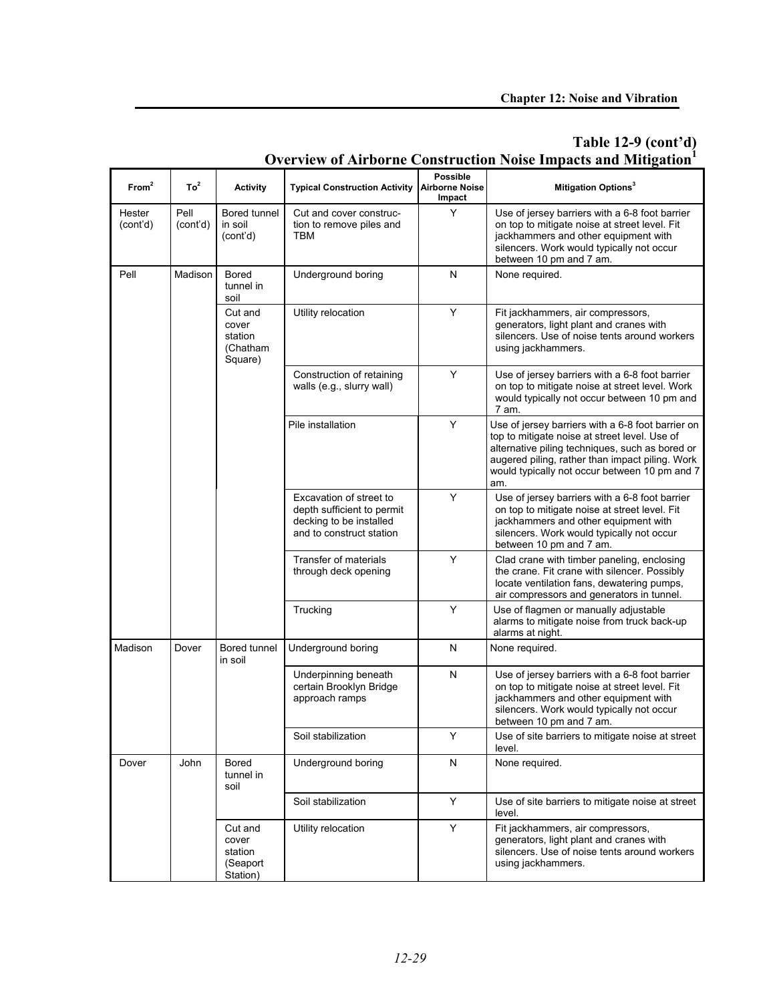| From <sup>2</sup>  | To <sup>2</sup>  | <b>Activity</b>                                     | <b>Typical Construction Activity</b>                                                                         | <b>Possible</b><br><b>Airborne Noise</b><br>Impact | Mitigation Options <sup>3</sup>                                                                                                                                                                                                                                  |
|--------------------|------------------|-----------------------------------------------------|--------------------------------------------------------------------------------------------------------------|----------------------------------------------------|------------------------------------------------------------------------------------------------------------------------------------------------------------------------------------------------------------------------------------------------------------------|
| Hester<br>(cont'd) | Pell<br>(cont'd) | Bored tunnel<br>in soil<br>(cont'd)                 | Cut and cover construc-<br>tion to remove piles and<br>TBM                                                   | Y                                                  | Use of jersey barriers with a 6-8 foot barrier<br>on top to mitigate noise at street level. Fit<br>jackhammers and other equipment with<br>silencers. Work would typically not occur<br>between 10 pm and 7 am.                                                  |
| Pell               | Madison          | <b>Bored</b><br>tunnel in<br>soil                   | Underground boring                                                                                           | N                                                  | None required.                                                                                                                                                                                                                                                   |
|                    |                  | Cut and<br>cover<br>station<br>(Chatham<br>Square)  | Utility relocation                                                                                           | Y                                                  | Fit jackhammers, air compressors,<br>generators, light plant and cranes with<br>silencers. Use of noise tents around workers<br>using jackhammers.                                                                                                               |
|                    |                  |                                                     | Construction of retaining<br>walls (e.g., slurry wall)                                                       | Y                                                  | Use of jersey barriers with a 6-8 foot barrier<br>on top to mitigate noise at street level. Work<br>would typically not occur between 10 pm and<br>7 am.                                                                                                         |
|                    |                  |                                                     | Pile installation                                                                                            | Y                                                  | Use of jersey barriers with a 6-8 foot barrier on<br>top to mitigate noise at street level. Use of<br>alternative piling techniques, such as bored or<br>augered piling, rather than impact piling. Work<br>would typically not occur between 10 pm and 7<br>am. |
|                    |                  |                                                     | Excavation of street to<br>depth sufficient to permit<br>decking to be installed<br>and to construct station | Y                                                  | Use of jersey barriers with a 6-8 foot barrier<br>on top to mitigate noise at street level. Fit<br>jackhammers and other equipment with<br>silencers. Work would typically not occur<br>between 10 pm and 7 am.                                                  |
|                    |                  |                                                     | Transfer of materials<br>through deck opening                                                                | Y                                                  | Clad crane with timber paneling, enclosing<br>the crane. Fit crane with silencer. Possibly<br>locate ventilation fans, dewatering pumps,<br>air compressors and generators in tunnel.                                                                            |
|                    |                  |                                                     | Trucking                                                                                                     | Y                                                  | Use of flagmen or manually adjustable<br>alarms to mitigate noise from truck back-up<br>alarms at night.                                                                                                                                                         |
| Madison            | Dover            | Bored tunnel<br>in soil                             | Underground boring                                                                                           | N                                                  | None required.                                                                                                                                                                                                                                                   |
|                    |                  |                                                     | Underpinning beneath<br>certain Brooklyn Bridge<br>approach ramps                                            | N                                                  | Use of jersey barriers with a 6-8 foot barrier<br>on top to mitigate noise at street level. Fit<br>jackhammers and other equipment with<br>silencers. Work would typically not occur<br>between 10 pm and 7 am.                                                  |
|                    |                  |                                                     | Soil stabilization                                                                                           | Y                                                  | Use of site barriers to mitigate noise at street<br>level.                                                                                                                                                                                                       |
| Dover              | John             | <b>Bored</b><br>tunnel in<br>soil                   | Underground boring                                                                                           | N                                                  | None required.                                                                                                                                                                                                                                                   |
|                    |                  |                                                     | Soil stabilization                                                                                           | Y                                                  | Use of site barriers to mitigate noise at street<br>level.                                                                                                                                                                                                       |
|                    |                  | Cut and<br>cover<br>station<br>(Seaport<br>Station) | Utility relocation                                                                                           | Υ                                                  | Fit jackhammers, air compressors,<br>generators, light plant and cranes with<br>silencers. Use of noise tents around workers<br>using jackhammers.                                                                                                               |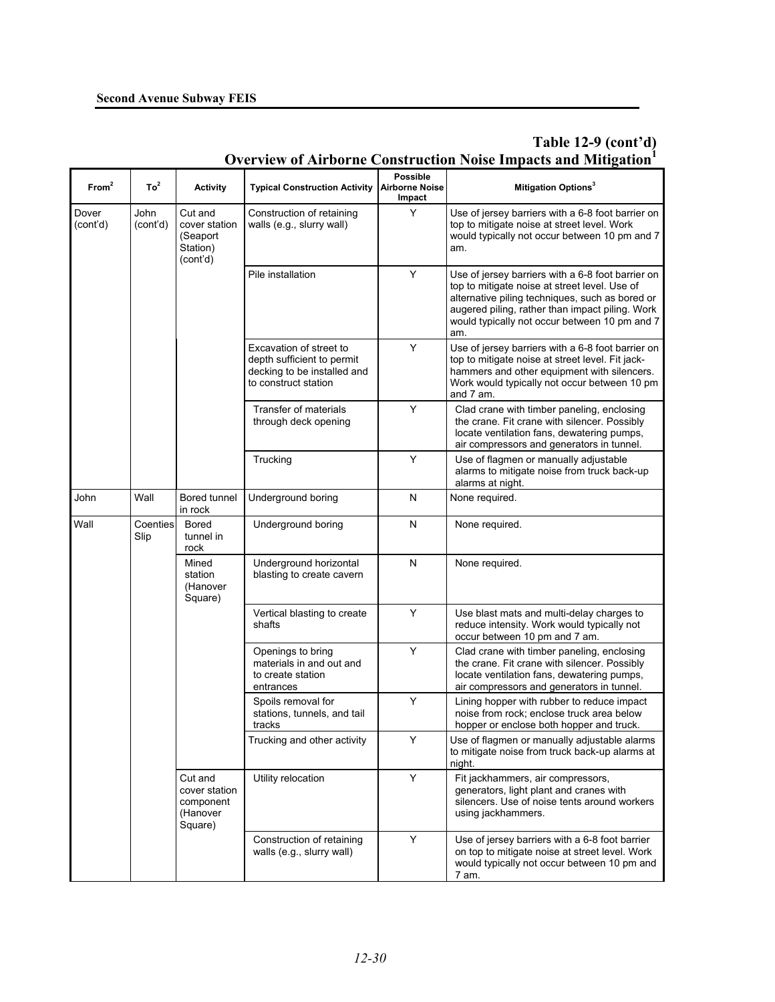|                   |                  |                                                              |                                                                                                              |                                                    | <b>Overview of Airborne Construction Noise Impacts and Mitigation</b>                                                                                                                                                                                            |
|-------------------|------------------|--------------------------------------------------------------|--------------------------------------------------------------------------------------------------------------|----------------------------------------------------|------------------------------------------------------------------------------------------------------------------------------------------------------------------------------------------------------------------------------------------------------------------|
| From <sup>2</sup> | To <sup>2</sup>  | <b>Activity</b>                                              | <b>Typical Construction Activity</b>                                                                         | <b>Possible</b><br><b>Airborne Noise</b><br>Impact | Mitigation Options <sup>3</sup>                                                                                                                                                                                                                                  |
| Dover<br>(cont'd) | John<br>(cont'd) | Cut and<br>cover station<br>(Seaport<br>Station)<br>(cont'd) | Construction of retaining<br>walls (e.g., slurry wall)                                                       | Y                                                  | Use of jersey barriers with a 6-8 foot barrier on<br>top to mitigate noise at street level. Work<br>would typically not occur between 10 pm and 7<br>am.                                                                                                         |
|                   |                  |                                                              | Pile installation                                                                                            | Y                                                  | Use of jersey barriers with a 6-8 foot barrier on<br>top to mitigate noise at street level. Use of<br>alternative piling techniques, such as bored or<br>augered piling, rather than impact piling. Work<br>would typically not occur between 10 pm and 7<br>am. |
|                   |                  |                                                              | Excavation of street to<br>depth sufficient to permit<br>decking to be installed and<br>to construct station | Y                                                  | Use of jersey barriers with a 6-8 foot barrier on<br>top to mitigate noise at street level. Fit jack-<br>hammers and other equipment with silencers.<br>Work would typically not occur between 10 pm<br>and 7 am.                                                |
|                   |                  |                                                              | Transfer of materials<br>through deck opening                                                                | Y                                                  | Clad crane with timber paneling, enclosing<br>the crane. Fit crane with silencer. Possibly<br>locate ventilation fans, dewatering pumps,<br>air compressors and generators in tunnel.                                                                            |
|                   |                  |                                                              | Y<br>Trucking<br>alarms at night.                                                                            |                                                    | Use of flagmen or manually adjustable<br>alarms to mitigate noise from truck back-up                                                                                                                                                                             |
| John              | Wall             | Bored tunnel<br>in rock                                      | Underground boring                                                                                           | N                                                  | None required.                                                                                                                                                                                                                                                   |
| Wall              | Coenties<br>Slip | <b>Bored</b><br>tunnel in<br>rock                            | N<br>Underground boring                                                                                      |                                                    | None required.                                                                                                                                                                                                                                                   |
|                   |                  | Mined<br>station<br>(Hanover<br>Square)                      | Underground horizontal<br>blasting to create cavern                                                          | N                                                  | None required.                                                                                                                                                                                                                                                   |
|                   |                  |                                                              | Vertical blasting to create<br>shafts                                                                        | Y                                                  | Use blast mats and multi-delay charges to<br>reduce intensity. Work would typically not<br>occur between 10 pm and 7 am.                                                                                                                                         |
|                   |                  |                                                              | Openings to bring<br>materials in and out and<br>to create station<br>entrances                              | Y                                                  | Clad crane with timber paneling, enclosing<br>the crane. Fit crane with silencer. Possibly<br>locate ventilation fans, dewatering pumps,<br>air compressors and generators in tunnel.                                                                            |
|                   |                  |                                                              | Spoils removal for<br>stations, tunnels, and tail<br>tracks                                                  | Y                                                  | Lining hopper with rubber to reduce impact<br>noise from rock; enclose truck area below<br>hopper or enclose both hopper and truck.                                                                                                                              |
|                   |                  |                                                              | Trucking and other activity                                                                                  | Y                                                  | Use of flagmen or manually adjustable alarms<br>to mitigate noise from truck back-up alarms at<br>night.                                                                                                                                                         |
|                   |                  | Cut and<br>cover station<br>component<br>(Hanover<br>Square) | Utility relocation                                                                                           | Y                                                  | Fit jackhammers, air compressors,<br>generators, light plant and cranes with<br>silencers. Use of noise tents around workers<br>using jackhammers.                                                                                                               |
|                   |                  |                                                              | Construction of retaining<br>walls (e.g., slurry wall)                                                       | Υ                                                  | Use of jersey barriers with a 6-8 foot barrier<br>on top to mitigate noise at street level. Work<br>would typically not occur between 10 pm and<br>7 am.                                                                                                         |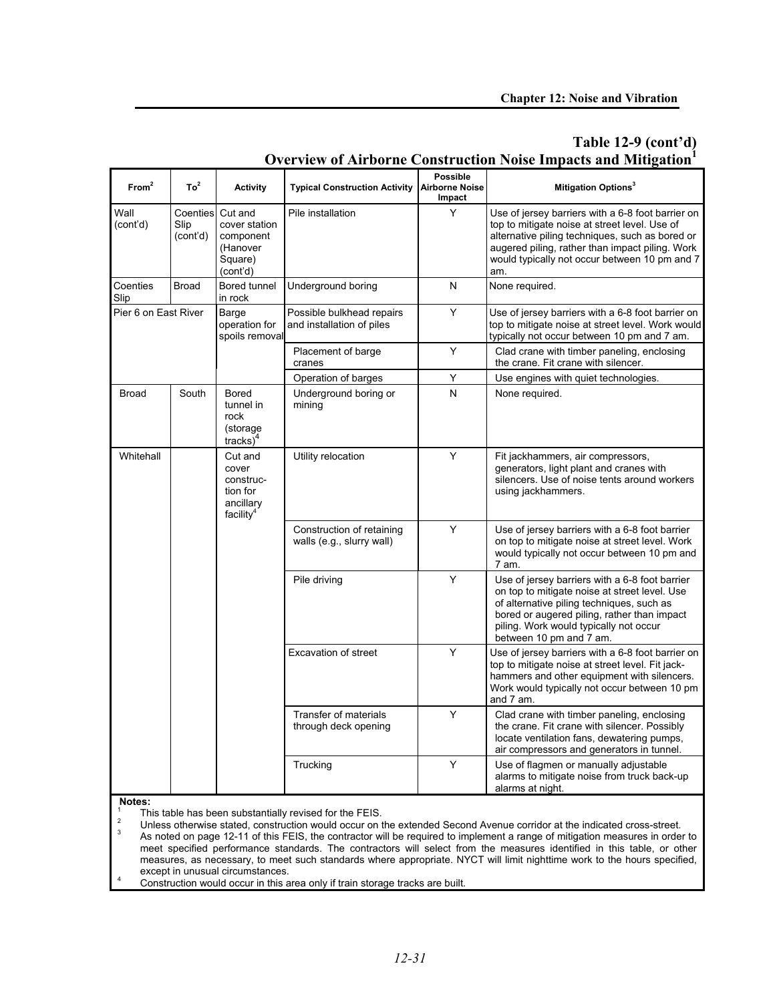| From <sup>2</sup>    | To <sup>2</sup>              | <b>Activity</b>                                                                 | <b>Typical Construction Activity</b>                   | <b>Possible</b><br><b>Airborne Noise</b><br>Impact | Mitigation Options <sup>3</sup>                                                                                                                                                                                                                                  |
|----------------------|------------------------------|---------------------------------------------------------------------------------|--------------------------------------------------------|----------------------------------------------------|------------------------------------------------------------------------------------------------------------------------------------------------------------------------------------------------------------------------------------------------------------------|
| Wall<br>(cont'd)     | Coenties<br>Slip<br>(cont'd) | Cut and<br>cover station<br>component<br>(Hanover<br>Square)<br>(cont'd)        | Pile installation                                      | Y                                                  | Use of jersey barriers with a 6-8 foot barrier on<br>top to mitigate noise at street level. Use of<br>alternative piling techniques, such as bored or<br>augered piling, rather than impact piling. Work<br>would typically not occur between 10 pm and 7<br>am. |
| Coenties<br>Slip     | <b>Broad</b>                 | Bored tunnel<br>in rock                                                         | Underground boring                                     | N                                                  | None required.                                                                                                                                                                                                                                                   |
| Pier 6 on East River |                              | Barge<br>operation for<br>spoils removal                                        | Possible bulkhead repairs<br>and installation of piles | Y                                                  | Use of jersey barriers with a 6-8 foot barrier on<br>top to mitigate noise at street level. Work would<br>typically not occur between 10 pm and 7 am.                                                                                                            |
|                      |                              |                                                                                 | Placement of barge<br>cranes                           | Y                                                  | Clad crane with timber paneling, enclosing<br>the crane. Fit crane with silencer.                                                                                                                                                                                |
|                      |                              |                                                                                 | Operation of barges                                    | Υ                                                  | Use engines with quiet technologies.                                                                                                                                                                                                                             |
| <b>Broad</b>         | South                        | <b>Bored</b><br>tunnel in<br>rock<br>(storage<br>$tracks$ <sup>4</sup>          | Underground boring or<br>mining                        | N                                                  | None required.                                                                                                                                                                                                                                                   |
| Whitehall            |                              | Cut and<br>cover<br>construc-<br>tion for<br>ancillary<br>facility <sup>4</sup> | Utility relocation                                     | Y                                                  | Fit jackhammers, air compressors,<br>generators, light plant and cranes with<br>silencers. Use of noise tents around workers<br>using jackhammers.                                                                                                               |
|                      |                              |                                                                                 | Construction of retaining<br>walls (e.g., slurry wall) | Y                                                  | Use of jersey barriers with a 6-8 foot barrier<br>on top to mitigate noise at street level. Work<br>would typically not occur between 10 pm and<br>7 am.                                                                                                         |
|                      |                              |                                                                                 | Pile driving                                           | Y                                                  | Use of jersey barriers with a 6-8 foot barrier<br>on top to mitigate noise at street level. Use<br>of alternative piling techniques, such as<br>bored or augered piling, rather than impact<br>piling. Work would typically not occur<br>between 10 pm and 7 am. |
|                      |                              |                                                                                 | <b>Excavation of street</b>                            | Y                                                  | Use of jersey barriers with a 6-8 foot barrier on<br>top to mitigate noise at street level. Fit jack-<br>hammers and other equipment with silencers.<br>Work would typically not occur between 10 pm<br>and 7 am.                                                |
|                      |                              |                                                                                 | Transfer of materials<br>through deck opening          | Y                                                  | Clad crane with timber paneling, enclosing<br>the crane. Fit crane with silencer. Possibly<br>locate ventilation fans, dewatering pumps,<br>air compressors and generators in tunnel.                                                                            |
|                      |                              |                                                                                 | Trucking                                               | Y                                                  | Use of flagmen or manually adjustable<br>alarms to mitigate noise from truck back-up<br>alarms at night.                                                                                                                                                         |

**Notes:**<br><sup>1</sup> This table has been substantially revised for the FEIS.

2<br>Unless otherwise stated, construction would occur on the extended Second Avenue corridor at the indicated cross-street.<br>As noted on page 12-11 of this FEIS, the contractor will be required to implement a range of mitigat meet specified performance standards. The contractors will select from the measures identified in this table, or other measures, as necessary, to meet such standards where appropriate. NYCT will limit nighttime work to the hours specified,

except in unusual circumstances.<br>Construction would occur in this area only if train storage tracks are built.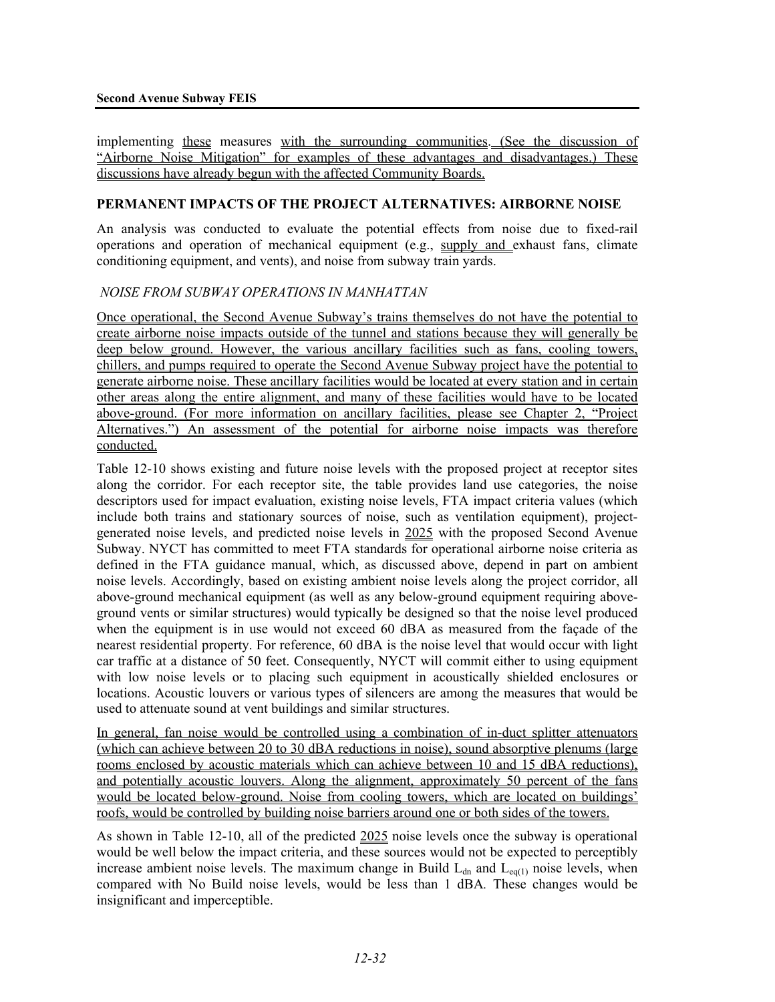implementing these measures with the surrounding communities. (See the discussion of "Airborne Noise Mitigation" for examples of these advantages and disadvantages.) These discussions have already begun with the affected Community Boards.

#### **PERMANENT IMPACTS OF THE PROJECT ALTERNATIVES: AIRBORNE NOISE**

An analysis was conducted to evaluate the potential effects from noise due to fixed-rail operations and operation of mechanical equipment (e.g., supply and exhaust fans, climate conditioning equipment, and vents), and noise from subway train yards.

#### *NOISE FROM SUBWAY OPERATIONS IN MANHATTAN*

Once operational, the Second Avenue Subway's trains themselves do not have the potential to create airborne noise impacts outside of the tunnel and stations because they will generally be deep below ground. However, the various ancillary facilities such as fans, cooling towers, chillers, and pumps required to operate the Second Avenue Subway project have the potential to generate airborne noise. These ancillary facilities would be located at every station and in certain other areas along the entire alignment, and many of these facilities would have to be located above-ground. (For more information on ancillary facilities, please see Chapter 2, "Project Alternatives.") An assessment of the potential for airborne noise impacts was therefore conducted.

Table 12-10 shows existing and future noise levels with the proposed project at receptor sites along the corridor. For each receptor site, the table provides land use categories, the noise descriptors used for impact evaluation, existing noise levels, FTA impact criteria values (which include both trains and stationary sources of noise, such as ventilation equipment), projectgenerated noise levels, and predicted noise levels in 2025 with the proposed Second Avenue Subway. NYCT has committed to meet FTA standards for operational airborne noise criteria as defined in the FTA guidance manual, which, as discussed above, depend in part on ambient noise levels. Accordingly, based on existing ambient noise levels along the project corridor, all above-ground mechanical equipment (as well as any below-ground equipment requiring aboveground vents or similar structures) would typically be designed so that the noise level produced when the equipment is in use would not exceed 60 dBA as measured from the façade of the nearest residential property. For reference, 60 dBA is the noise level that would occur with light car traffic at a distance of 50 feet. Consequently, NYCT will commit either to using equipment with low noise levels or to placing such equipment in acoustically shielded enclosures or locations. Acoustic louvers or various types of silencers are among the measures that would be used to attenuate sound at vent buildings and similar structures.

In general, fan noise would be controlled using a combination of in-duct splitter attenuators (which can achieve between 20 to 30 dBA reductions in noise), sound absorptive plenums (large rooms enclosed by acoustic materials which can achieve between 10 and 15 dBA reductions), and potentially acoustic louvers. Along the alignment, approximately 50 percent of the fans would be located below-ground. Noise from cooling towers, which are located on buildings' roofs, would be controlled by building noise barriers around one or both sides of the towers.

As shown in Table 12-10, all of the predicted 2025 noise levels once the subway is operational would be well below the impact criteria, and these sources would not be expected to perceptibly increase ambient noise levels. The maximum change in Build  $L_{dn}$  and  $L_{eq(1)}$  noise levels, when compared with No Build noise levels, would be less than 1 dBA*.* These changes would be insignificant and imperceptible.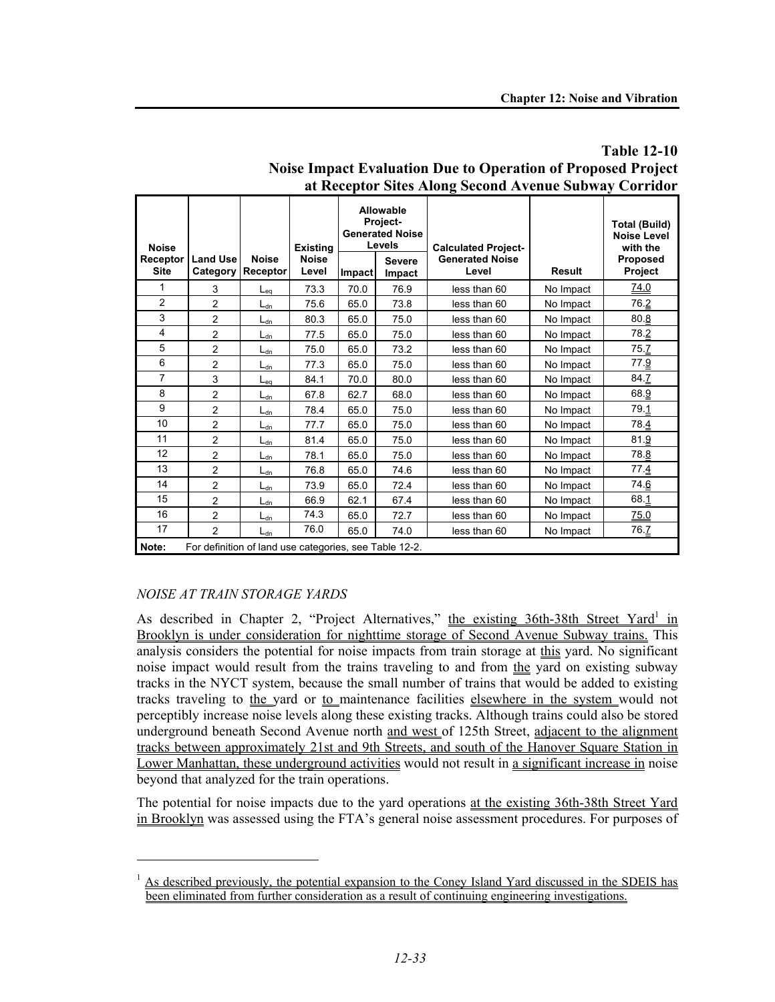|                         |                                                        |                             |                       |                                                           |                         | at Keceptol Sites Along Second Avenue Subway Corridor |               |                                                        |
|-------------------------|--------------------------------------------------------|-----------------------------|-----------------------|-----------------------------------------------------------|-------------------------|-------------------------------------------------------|---------------|--------------------------------------------------------|
| <b>Noise</b>            |                                                        |                             | <b>Existing</b>       | Allowable<br>Project-<br><b>Generated Noise</b><br>Levels |                         | <b>Calculated Project-</b>                            |               | <b>Total (Build)</b><br><b>Noise Level</b><br>with the |
| Receptor<br><b>Site</b> | <b>Land Use</b><br>Category                            | <b>Noise</b><br>Receptor    | <b>Noise</b><br>Level | Impact                                                    | <b>Severe</b><br>Impact | <b>Generated Noise</b><br>Level                       | <b>Result</b> | <b>Proposed</b><br>Project                             |
| 1                       | 3                                                      | $L_{\text{ea}}$             | 73.3                  | 70.0                                                      | 76.9                    | less than 60                                          | No Impact     | 74.0                                                   |
| $\overline{2}$          | 2                                                      | $L_{dn}$                    | 75.6                  | 65.0                                                      | 73.8                    | less than 60                                          | No Impact     | 76.2                                                   |
| 3                       | 2                                                      | $L_{dn}$                    | 80.3                  | 65.0                                                      | 75.0                    | less than 60                                          | No Impact     | 80.8                                                   |
| 4                       | $\overline{c}$                                         | $L_{dn}$                    | 77.5                  | 65.0                                                      | 75.0                    | less than 60                                          | No Impact     | 78.2                                                   |
| 5                       | 2                                                      | $L_{dn}$                    | 75.0                  | 65.0                                                      | 73.2                    | less than 60                                          | No Impact     | 75.7                                                   |
| 6                       | 2                                                      | $L_{dn}$                    | 77.3                  | 65.0                                                      | 75.0                    | less than 60                                          | No Impact     | 77.9                                                   |
| $\overline{7}$          | 3                                                      | $_{\mathsf{L}_{\text{eq}}}$ | 84.1                  | 70.0                                                      | 80.0                    | less than 60                                          | No Impact     | 84.Z                                                   |
| 8                       | $\overline{2}$                                         | $L_{dn}$                    | 67.8                  | 62.7                                                      | 68.0                    | less than 60                                          | No Impact     | 68.9                                                   |
| 9                       | $\overline{2}$                                         | $L_{dn}$                    | 78.4                  | 65.0                                                      | 75.0                    | less than 60                                          | No Impact     | 79.1                                                   |
| 10                      | $\overline{2}$                                         | $L_{dn}$                    | 77.7                  | 65.0                                                      | 75.0                    | less than 60                                          | No Impact     | 78.4                                                   |
| 11                      | $\overline{2}$                                         | $L_{dn}$                    | 81.4                  | 65.0                                                      | 75.0                    | less than 60                                          | No Impact     | 81.9                                                   |
| 12                      | $\overline{2}$                                         | $L_{dn}$                    | 78.1                  | 65.0                                                      | 75.0                    | less than 60                                          | No Impact     | 78.8                                                   |
| 13                      | 2                                                      | $L_{dn}$                    | 76.8                  | 65.0                                                      | 74.6                    | less than 60                                          | No Impact     | 77.4                                                   |
| 14                      | $\overline{c}$                                         | $L_{dn}$                    | 73.9                  | 65.0                                                      | 72.4                    | less than 60                                          | No Impact     | 74.6                                                   |
| 15                      | 2                                                      | $L_{dn}$                    | 66.9                  | 62.1                                                      | 67.4                    | less than 60                                          | No Impact     | 68.1                                                   |
| 16                      | 2                                                      | $L_{dn}$                    | 74.3                  | 65.0                                                      | 72.7                    | less than 60                                          | No Impact     | 75.0                                                   |
| 17                      | $\overline{2}$                                         | $L_{dn}$                    | 76.0                  | 65.0                                                      | 74.0                    | less than 60                                          | No Impact     | 76.Z                                                   |
| Note:                   | For definition of land use categories, see Table 12-2. |                             |                       |                                                           |                         |                                                       |               |                                                        |

#### **Table 12-10 Noise Impact Evaluation Due to Operation of Proposed Project at Receptor Sites Along Second Avenue Subway Corridor**

#### *NOISE AT TRAIN STORAGE YARDS*

1

As described in Chapter 2, "Project Alternatives," the existing 36th-38th Street Yard<sup>1</sup> in Brooklyn is under consideration for nighttime storage of Second Avenue Subway trains. This analysis considers the potential for noise impacts from train storage at this yard. No significant noise impact would result from the trains traveling to and from the yard on existing subway tracks in the NYCT system, because the small number of trains that would be added to existing tracks traveling to the yard or to maintenance facilities elsewhere in the system would not perceptibly increase noise levels along these existing tracks. Although trains could also be stored underground beneath Second Avenue north and west of 125th Street, adjacent to the alignment tracks between approximately 21st and 9th Streets, and south of the Hanover Square Station in Lower Manhattan, these underground activities would not result in a significant increase in noise beyond that analyzed for the train operations.

The potential for noise impacts due to the yard operations at the existing 36th-38th Street Yard in Brooklyn was assessed using the FTA's general noise assessment procedures. For purposes of

<sup>&</sup>lt;sup>1</sup> As described previously, the potential expansion to the Coney Island Yard discussed in the SDEIS has been eliminated from further consideration as a result of continuing engineering investigations.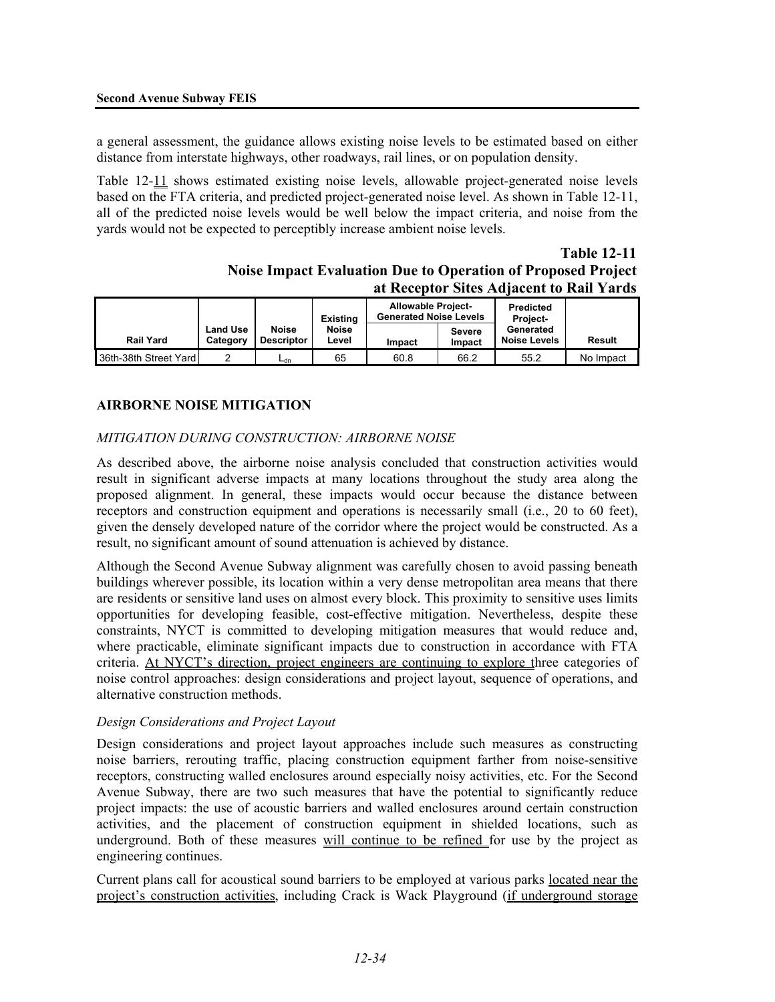a general assessment, the guidance allows existing noise levels to be estimated based on either distance from interstate highways, other roadways, rail lines, or on population density.

Table 12-11 shows estimated existing noise levels, allowable project-generated noise levels based on the FTA criteria, and predicted project-generated noise level. As shown in Table 12-11, all of the predicted noise levels would be well below the impact criteria, and noise from the yards would not be expected to perceptibly increase ambient noise levels.

#### **Table 12-11 Noise Impact Evaluation Due to Operation of Proposed Project at Receptor Sites Adjacent to Rail Yards**

|                       |                             |                                   | <b>Existing</b>       | <b>Allowable Project-</b><br><b>Generated Noise Levels</b> |                  | <b>Predicted</b><br><b>Project-</b> |           |
|-----------------------|-----------------------------|-----------------------------------|-----------------------|------------------------------------------------------------|------------------|-------------------------------------|-----------|
| <b>Rail Yard</b>      | <b>Land Use</b><br>Category | <b>Noise</b><br><b>Descriptor</b> | <b>Noise</b><br>evel. | Impact                                                     | Severe<br>Impact | Generated<br>Noise Levels           | Result    |
| 36th-38th Street Yard |                             | ∟dn                               | 65                    | 60.8                                                       | 66.2             | 55.2                                | No Impact |

#### **AIRBORNE NOISE MITIGATION**

#### *MITIGATION DURING CONSTRUCTION: AIRBORNE NOISE*

As described above, the airborne noise analysis concluded that construction activities would result in significant adverse impacts at many locations throughout the study area along the proposed alignment. In general, these impacts would occur because the distance between receptors and construction equipment and operations is necessarily small (i.e., 20 to 60 feet), given the densely developed nature of the corridor where the project would be constructed. As a result, no significant amount of sound attenuation is achieved by distance.

Although the Second Avenue Subway alignment was carefully chosen to avoid passing beneath buildings wherever possible, its location within a very dense metropolitan area means that there are residents or sensitive land uses on almost every block. This proximity to sensitive uses limits opportunities for developing feasible, cost-effective mitigation. Nevertheless, despite these constraints, NYCT is committed to developing mitigation measures that would reduce and, where practicable, eliminate significant impacts due to construction in accordance with FTA criteria. At NYCT's direction, project engineers are continuing to explore three categories of noise control approaches: design considerations and project layout, sequence of operations, and alternative construction methods.

#### *Design Considerations and Project Layout*

Design considerations and project layout approaches include such measures as constructing noise barriers, rerouting traffic, placing construction equipment farther from noise-sensitive receptors, constructing walled enclosures around especially noisy activities, etc. For the Second Avenue Subway, there are two such measures that have the potential to significantly reduce project impacts: the use of acoustic barriers and walled enclosures around certain construction activities, and the placement of construction equipment in shielded locations, such as underground. Both of these measures will continue to be refined for use by the project as engineering continues.

Current plans call for acoustical sound barriers to be employed at various parks located near the project's construction activities, including Crack is Wack Playground (if underground storage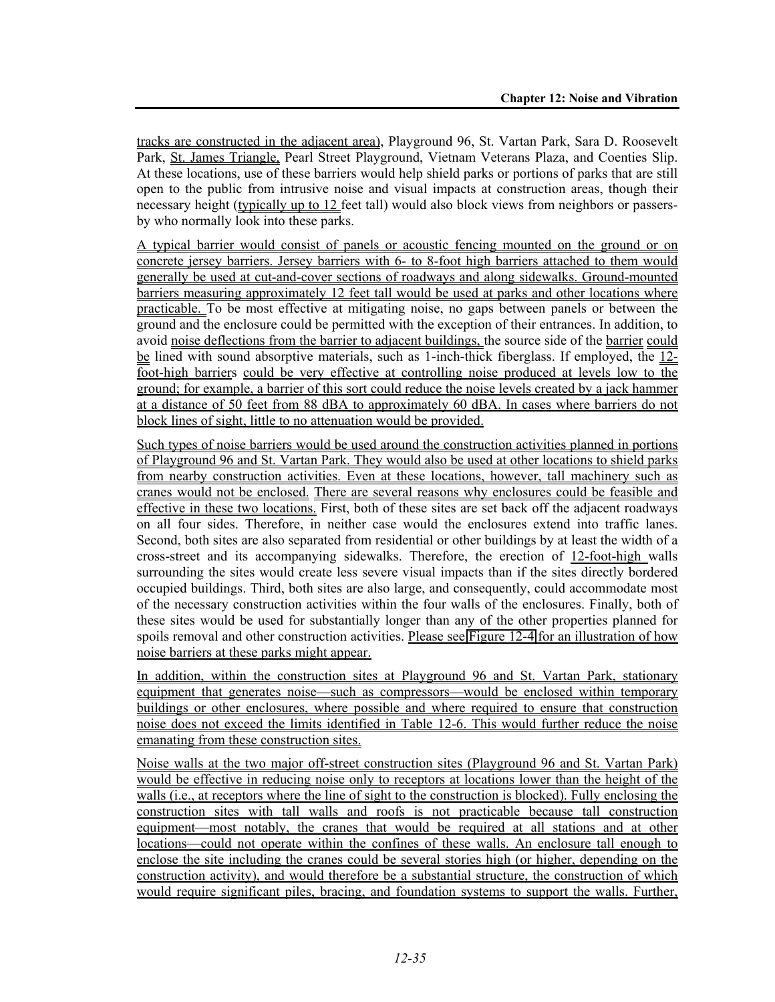tracks are constructed in the adjacent area), Playground 96, St. Vartan Park, Sara D. Roosevelt Park, St. James Triangle, Pearl Street Playground, Vietnam Veterans Plaza, and Coenties Slip. At these locations, use of these barriers would help shield parks or portions of parks that are still open to the public from intrusive noise and visual impacts at construction areas, though their necessary height (typically up to 12 feet tall) would also block views from neighbors or passersby who normally look into these parks.

A typical barrier would consist of panels or acoustic fencing mounted on the ground or on concrete jersey barriers. Jersey barriers with 6- to 8-foot high barriers attached to them would generally be used at cut-and-cover sections of roadways and along sidewalks. Ground-mounted barriers measuring approximately 12 feet tall would be used at parks and other locations where practicable. To be most effective at mitigating noise, no gaps between panels or between the ground and the enclosure could be permitted with the exception of their entrances. In addition, to avoid noise deflections from the barrier to adjacent buildings, the source side of the barrier could be lined with sound absorptive materials, such as 1-inch-thick fiberglass. If employed, the 12 foot-high barriers could be very effective at controlling noise produced at levels low to the ground; for example, a barrier of this sort could reduce the noise levels created by a jack hammer at a distance of 50 feet from 88 dBA to approximately 60 dBA. In cases where barriers do not block lines of sight, little to no attenuation would be provided.

Such types of noise barriers would be used around the construction activities planned in portions of Playground 96 and St. Vartan Park. They would also be used at other locations to shield parks from nearby construction activities. Even at these locations, however, tall machinery such as cranes would not be enclosed. There are several reasons why enclosures could be feasible and effective in these two locations. First, both of these sites are set back off the adjacent roadways on all four sides. Therefore, in neither case would the enclosures extend into traffic lanes. Second, both sites are also separated from residential or other buildings by at least the width of a cross-street and its accompanying sidewalks. Therefore, the erection of 12-foot-high walls surrounding the sites would create less severe visual impacts than if the sites directly bordered occupied buildings. Third, both sites are also large, and consequently, could accommodate most of the necessary construction activities within the four walls of the enclosures. Finally, both of these sites would be used for substantially longer than any of the other properties planned for spoils removal and other construction activities. Please see Figure 12-4 for an illustration of how noise barriers at these parks might appear.

In addition, within the construction sites at Playground 96 and St. Vartan Park, stationary equipment that generates noise—such as compressors—would be enclosed within temporary buildings or other enclosures, where possible and where required to ensure that construction noise does not exceed the limits identified in Table 12-6. This would further reduce the noise emanating from these construction sites.

Noise walls at the two major off-street construction sites (Playground 96 and St. Vartan Park) would be effective in reducing noise only to receptors at locations lower than the height of the walls (i.e., at receptors where the line of sight to the construction is blocked). Fully enclosing the construction sites with tall walls and roofs is not practicable because tall construction equipment—most notably, the cranes that would be required at all stations and at other locations—could not operate within the confines of these walls. An enclosure tall enough to enclose the site including the cranes could be several stories high (or higher, depending on the construction activity), and would therefore be a substantial structure, the construction of which would require significant piles, bracing, and foundation systems to support the walls. Further,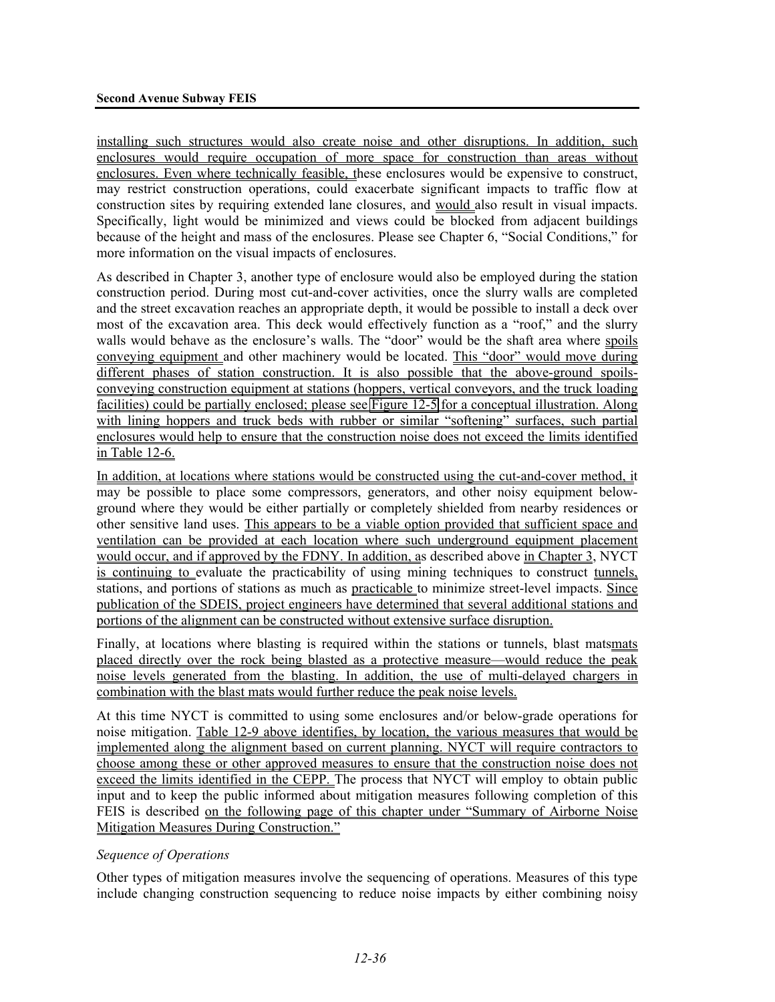installing such structures would also create noise and other disruptions. In addition, such enclosures would require occupation of more space for construction than areas without enclosures. Even where technically feasible, these enclosures would be expensive to construct, may restrict construction operations, could exacerbate significant impacts to traffic flow at construction sites by requiring extended lane closures, and would also result in visual impacts. Specifically, light would be minimized and views could be blocked from adjacent buildings because of the height and mass of the enclosures. Please see Chapter 6, "Social Conditions," for more information on the visual impacts of enclosures.

As described in Chapter 3, another type of enclosure would also be employed during the station construction period. During most cut-and-cover activities, once the slurry walls are completed and the street excavation reaches an appropriate depth, it would be possible to install a deck over most of the excavation area. This deck would effectively function as a "roof," and the slurry walls would behave as the enclosure's walls. The "door" would be the shaft area where spoils conveying equipment and other machinery would be located. This "door" would move during different phases of station construction. It is also possible that the above-ground spoilsconveying construction equipment at stations (hoppers, vertical conveyors, and the truck loading facilities) could be partially enclosed; please see Figure 12-5 for a conceptual illustration. Along with lining hoppers and truck beds with rubber or similar "softening" surfaces, such partial enclosures would help to ensure that the construction noise does not exceed the limits identified in Table 12-6.

In addition, at locations where stations would be constructed using the cut-and-cover method, it may be possible to place some compressors, generators, and other noisy equipment belowground where they would be either partially or completely shielded from nearby residences or other sensitive land uses. This appears to be a viable option provided that sufficient space and ventilation can be provided at each location where such underground equipment placement would occur, and if approved by the FDNY. In addition, as described above in Chapter 3, NYCT is continuing to evaluate the practicability of using mining techniques to construct tunnels, stations, and portions of stations as much as practicable to minimize street-level impacts. Since publication of the SDEIS, project engineers have determined that several additional stations and portions of the alignment can be constructed without extensive surface disruption.

Finally, at locations where blasting is required within the stations or tunnels, blast matsmats placed directly over the rock being blasted as a protective measure—would reduce the peak noise levels generated from the blasting. In addition, the use of multi-delayed chargers in combination with the blast mats would further reduce the peak noise levels.

At this time NYCT is committed to using some enclosures and/or below-grade operations for noise mitigation. Table 12-9 above identifies, by location, the various measures that would be implemented along the alignment based on current planning. NYCT will require contractors to choose among these or other approved measures to ensure that the construction noise does not exceed the limits identified in the CEPP. The process that NYCT will employ to obtain public input and to keep the public informed about mitigation measures following completion of this FEIS is described on the following page of this chapter under "Summary of Airborne Noise Mitigation Measures During Construction."

#### *Sequence of Operations*

Other types of mitigation measures involve the sequencing of operations. Measures of this type include changing construction sequencing to reduce noise impacts by either combining noisy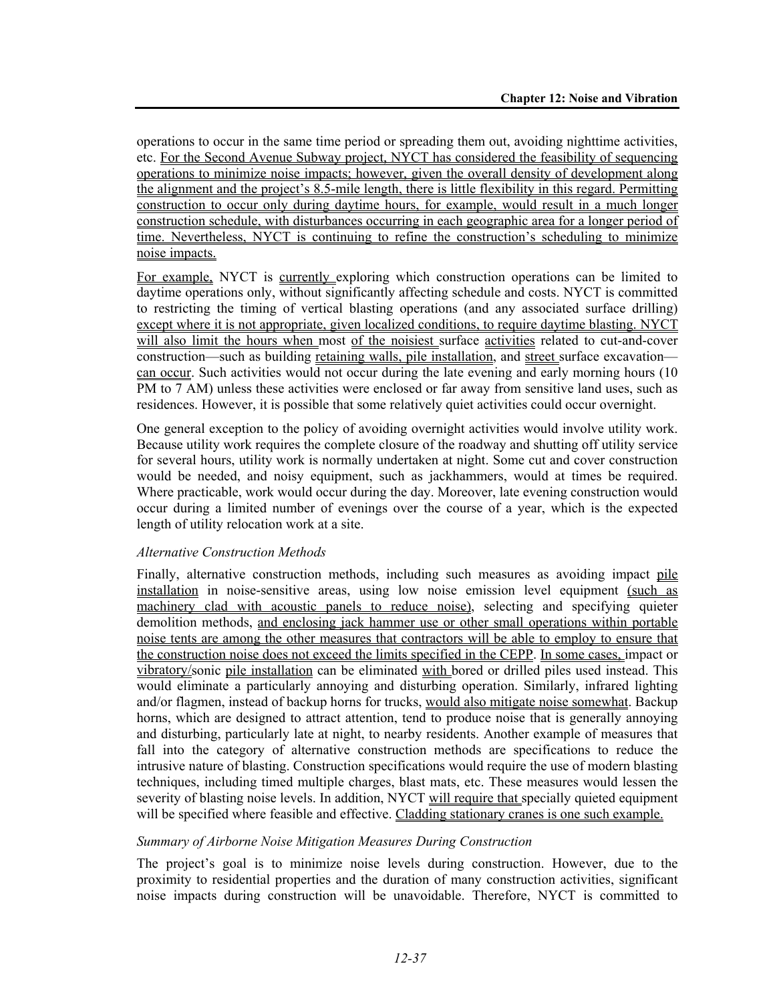operations to occur in the same time period or spreading them out, avoiding nighttime activities, etc. For the Second Avenue Subway project, NYCT has considered the feasibility of sequencing operations to minimize noise impacts; however, given the overall density of development along the alignment and the project's 8.5-mile length, there is little flexibility in this regard. Permitting construction to occur only during daytime hours, for example, would result in a much longer construction schedule, with disturbances occurring in each geographic area for a longer period of time. Nevertheless, NYCT is continuing to refine the construction's scheduling to minimize noise impacts.

For example, NYCT is currently exploring which construction operations can be limited to daytime operations only, without significantly affecting schedule and costs. NYCT is committed to restricting the timing of vertical blasting operations (and any associated surface drilling) except where it is not appropriate, given localized conditions, to require daytime blasting. NYCT will also limit the hours when most of the noisiest surface activities related to cut-and-cover construction—such as building retaining walls, pile installation, and street surface excavation can occur. Such activities would not occur during the late evening and early morning hours (10 PM to 7 AM) unless these activities were enclosed or far away from sensitive land uses, such as residences. However, it is possible that some relatively quiet activities could occur overnight.

One general exception to the policy of avoiding overnight activities would involve utility work. Because utility work requires the complete closure of the roadway and shutting off utility service for several hours, utility work is normally undertaken at night. Some cut and cover construction would be needed, and noisy equipment, such as jackhammers, would at times be required. Where practicable, work would occur during the day. Moreover, late evening construction would occur during a limited number of evenings over the course of a year, which is the expected length of utility relocation work at a site.

#### *Alternative Construction Methods*

Finally, alternative construction methods, including such measures as avoiding impact pile installation in noise-sensitive areas, using low noise emission level equipment (such as machinery clad with acoustic panels to reduce noise), selecting and specifying quieter demolition methods, and enclosing jack hammer use or other small operations within portable noise tents are among the other measures that contractors will be able to employ to ensure that the construction noise does not exceed the limits specified in the CEPP. In some cases, impact or vibratory/sonic pile installation can be eliminated with bored or drilled piles used instead. This would eliminate a particularly annoying and disturbing operation. Similarly, infrared lighting and/or flagmen, instead of backup horns for trucks, would also mitigate noise somewhat. Backup horns, which are designed to attract attention, tend to produce noise that is generally annoying and disturbing, particularly late at night, to nearby residents. Another example of measures that fall into the category of alternative construction methods are specifications to reduce the intrusive nature of blasting. Construction specifications would require the use of modern blasting techniques, including timed multiple charges, blast mats, etc. These measures would lessen the severity of blasting noise levels. In addition, NYCT will require that specially quieted equipment will be specified where feasible and effective. Cladding stationary cranes is one such example.

#### *Summary of Airborne Noise Mitigation Measures During Construction*

The project's goal is to minimize noise levels during construction. However, due to the proximity to residential properties and the duration of many construction activities, significant noise impacts during construction will be unavoidable. Therefore, NYCT is committed to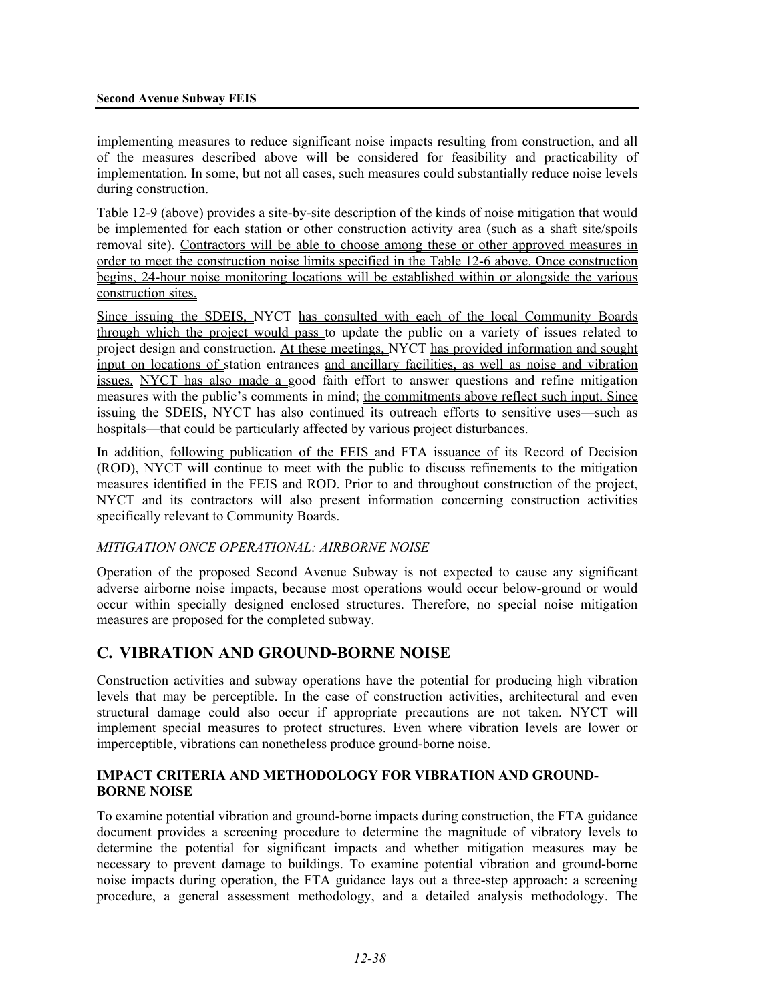implementing measures to reduce significant noise impacts resulting from construction, and all of the measures described above will be considered for feasibility and practicability of implementation. In some, but not all cases, such measures could substantially reduce noise levels during construction.

Table 12-9 (above) provides a site-by-site description of the kinds of noise mitigation that would be implemented for each station or other construction activity area (such as a shaft site/spoils removal site). Contractors will be able to choose among these or other approved measures in order to meet the construction noise limits specified in the Table 12-6 above. Once construction begins, 24-hour noise monitoring locations will be established within or alongside the various construction sites.

Since issuing the SDEIS, NYCT has consulted with each of the local Community Boards through which the project would pass to update the public on a variety of issues related to project design and construction. At these meetings, NYCT has provided information and sought input on locations of station entrances and ancillary facilities, as well as noise and vibration issues. NYCT has also made a good faith effort to answer questions and refine mitigation measures with the public's comments in mind; the commitments above reflect such input. Since issuing the SDEIS, NYCT has also continued its outreach efforts to sensitive uses—such as hospitals—that could be particularly affected by various project disturbances.

In addition, following publication of the FEIS and FTA issuance of its Record of Decision (ROD), NYCT will continue to meet with the public to discuss refinements to the mitigation measures identified in the FEIS and ROD. Prior to and throughout construction of the project, NYCT and its contractors will also present information concerning construction activities specifically relevant to Community Boards.

#### *MITIGATION ONCE OPERATIONAL: AIRBORNE NOISE*

Operation of the proposed Second Avenue Subway is not expected to cause any significant adverse airborne noise impacts, because most operations would occur below-ground or would occur within specially designed enclosed structures. Therefore, no special noise mitigation measures are proposed for the completed subway.

# **C. VIBRATION AND GROUND-BORNE NOISE**

Construction activities and subway operations have the potential for producing high vibration levels that may be perceptible. In the case of construction activities, architectural and even structural damage could also occur if appropriate precautions are not taken. NYCT will implement special measures to protect structures. Even where vibration levels are lower or imperceptible, vibrations can nonetheless produce ground-borne noise.

#### **IMPACT CRITERIA AND METHODOLOGY FOR VIBRATION AND GROUND-BORNE NOISE**

To examine potential vibration and ground-borne impacts during construction, the FTA guidance document provides a screening procedure to determine the magnitude of vibratory levels to determine the potential for significant impacts and whether mitigation measures may be necessary to prevent damage to buildings. To examine potential vibration and ground-borne noise impacts during operation, the FTA guidance lays out a three-step approach: a screening procedure, a general assessment methodology, and a detailed analysis methodology. The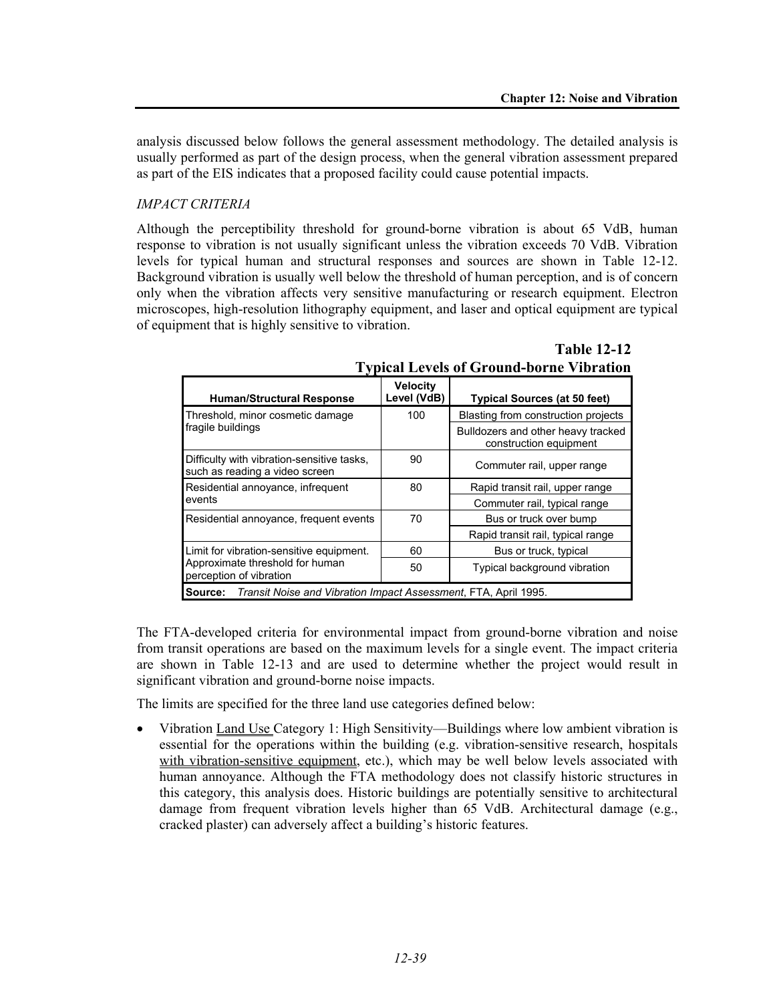analysis discussed below follows the general assessment methodology. The detailed analysis is usually performed as part of the design process, when the general vibration assessment prepared as part of the EIS indicates that a proposed facility could cause potential impacts.

## *IMPACT CRITERIA*

Although the perceptibility threshold for ground-borne vibration is about 65 VdB, human response to vibration is not usually significant unless the vibration exceeds 70 VdB. Vibration levels for typical human and structural responses and sources are shown in Table 12-12. Background vibration is usually well below the threshold of human perception, and is of concern only when the vibration affects very sensitive manufacturing or research equipment. Electron microscopes, high-resolution lithography equipment, and laser and optical equipment are typical of equipment that is highly sensitive to vibration.

| <b>Human/Structural Response</b>                                               | <b>Velocity</b><br>Level (VdB) | <b>Typical Sources (at 50 feet)</b>                          |  |
|--------------------------------------------------------------------------------|--------------------------------|--------------------------------------------------------------|--|
| Threshold, minor cosmetic damage                                               | 100                            | Blasting from construction projects                          |  |
| fraqile buildings                                                              |                                | Bulldozers and other heavy tracked<br>construction equipment |  |
| Difficulty with vibration-sensitive tasks,<br>such as reading a video screen   | 90                             | Commuter rail, upper range                                   |  |
| Residential annoyance, infrequent                                              | 80                             | Rapid transit rail, upper range                              |  |
| events                                                                         |                                | Commuter rail, typical range                                 |  |
| Residential annoyance, frequent events                                         | 70                             | Bus or truck over bump                                       |  |
|                                                                                |                                | Rapid transit rail, typical range                            |  |
| Limit for vibration-sensitive equipment.                                       | 60                             | Bus or truck, typical                                        |  |
| Approximate threshold for human<br>perception of vibration                     | 50                             | Typical background vibration                                 |  |
| <b>Source:</b> Transit Noise and Vibration Impact Assessment, FTA, April 1995. |                                |                                                              |  |

| <b>Table 12-12</b>                              |
|-------------------------------------------------|
| <b>Typical Levels of Ground-borne Vibration</b> |

The FTA-developed criteria for environmental impact from ground-borne vibration and noise from transit operations are based on the maximum levels for a single event. The impact criteria are shown in Table 12-13 and are used to determine whether the project would result in significant vibration and ground-borne noise impacts.

The limits are specified for the three land use categories defined below:

• Vibration Land Use Category 1: High Sensitivity—Buildings where low ambient vibration is essential for the operations within the building (e.g. vibration-sensitive research, hospitals with vibration-sensitive equipment, etc.), which may be well below levels associated with human annoyance. Although the FTA methodology does not classify historic structures in this category, this analysis does. Historic buildings are potentially sensitive to architectural damage from frequent vibration levels higher than 65 VdB. Architectural damage (e.g., cracked plaster) can adversely affect a building's historic features.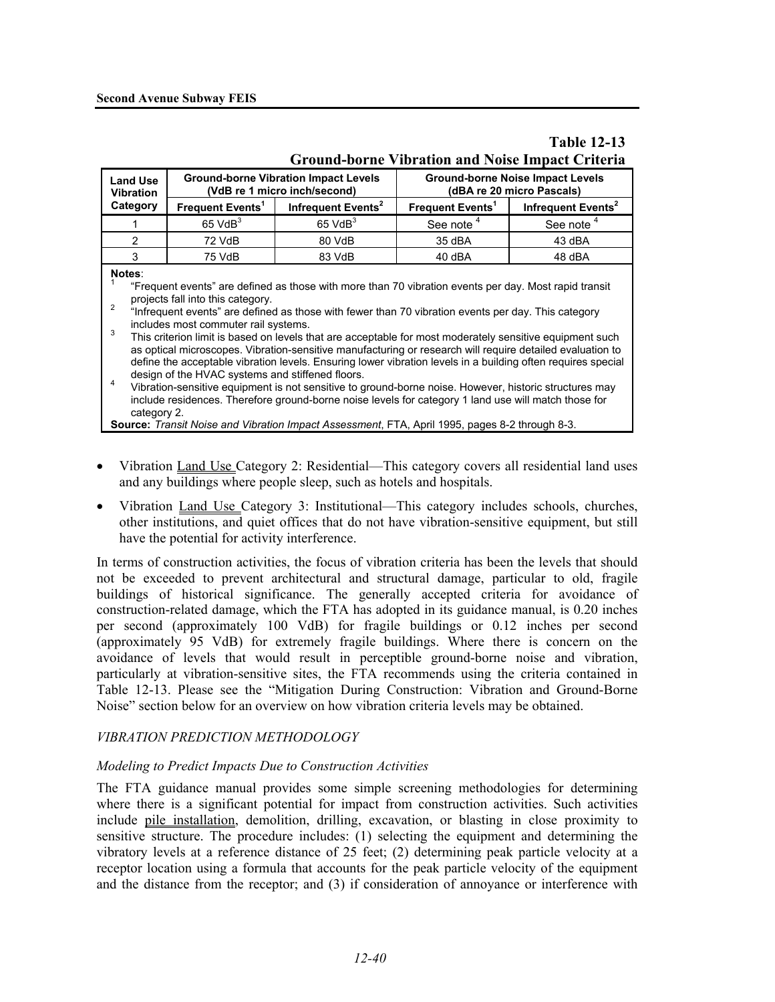|                                                                                                                 |                              |                                                                             |                                                                      | <b>Ground-borne Vibration and Noise Impact Criteria</b> |  |  |  |  |
|-----------------------------------------------------------------------------------------------------------------|------------------------------|-----------------------------------------------------------------------------|----------------------------------------------------------------------|---------------------------------------------------------|--|--|--|--|
| <b>Land Use</b><br><b>Vibration</b>                                                                             |                              | <b>Ground-borne Vibration Impact Levels</b><br>(VdB re 1 micro inch/second) | <b>Ground-borne Noise Impact Levels</b><br>(dBA re 20 micro Pascals) |                                                         |  |  |  |  |
| Category                                                                                                        | Frequent Events <sup>1</sup> | Infrequent Events <sup>2</sup>                                              | Frequent Events <sup>1</sup>                                         | Infrequent Events <sup>2</sup>                          |  |  |  |  |
|                                                                                                                 | $65$ VdB <sup>3</sup>        | $65$ VdB <sup>3</sup>                                                       | See note <sup>4</sup>                                                | See note <sup>4</sup>                                   |  |  |  |  |
| $\mathfrak{p}$                                                                                                  | 72 VdB                       | 80 VdB                                                                      | 35 dBA                                                               | 43 dBA                                                  |  |  |  |  |
|                                                                                                                 | 75 VdB                       | 83 VdB                                                                      | 40 dBA                                                               | 48 dBA                                                  |  |  |  |  |
| Notes:<br>"Executed events" are defined as these with mere than 70 vibration events nor doy. Meet repid transit |                              |                                                                             |                                                                      |                                                         |  |  |  |  |

#### **Table 12-13 Ground-borne Vibration and Noise Impact Criteria**

 "Frequent events" are defined as those with more than 70 vibration events per day. Most rapid transit projects fall into this category.

 "Infrequent events" are defined as those with fewer than 70 vibration events per day. This category includes most commuter rail systems. 3

 Vibration-sensitive equipment is not sensitive to ground-borne noise. However, historic structures may include residences. Therefore ground-borne noise levels for category 1 land use will match those for category 2.

**Source:** *Transit Noise and Vibration Impact Assessment*, FTA, April 1995, pages 8-2 through 8-3.

- Vibration Land Use Category 2: Residential—This category covers all residential land uses and any buildings where people sleep, such as hotels and hospitals.
- Vibration Land Use Category 3: Institutional—This category includes schools, churches, other institutions, and quiet offices that do not have vibration-sensitive equipment, but still have the potential for activity interference.

In terms of construction activities, the focus of vibration criteria has been the levels that should not be exceeded to prevent architectural and structural damage, particular to old, fragile buildings of historical significance. The generally accepted criteria for avoidance of construction-related damage, which the FTA has adopted in its guidance manual, is 0.20 inches per second (approximately 100 VdB) for fragile buildings or 0.12 inches per second (approximately 95 VdB) for extremely fragile buildings. Where there is concern on the avoidance of levels that would result in perceptible ground-borne noise and vibration, particularly at vibration-sensitive sites, the FTA recommends using the criteria contained in Table 12-13. Please see the "Mitigation During Construction: Vibration and Ground-Borne Noise" section below for an overview on how vibration criteria levels may be obtained.

#### *VIBRATION PREDICTION METHODOLOGY*

#### *Modeling to Predict Impacts Due to Construction Activities*

The FTA guidance manual provides some simple screening methodologies for determining where there is a significant potential for impact from construction activities. Such activities include pile installation, demolition, drilling, excavation, or blasting in close proximity to sensitive structure. The procedure includes: (1) selecting the equipment and determining the vibratory levels at a reference distance of 25 feet; (2) determining peak particle velocity at a receptor location using a formula that accounts for the peak particle velocity of the equipment and the distance from the receptor; and (3) if consideration of annoyance or interference with

This criterion limit is based on levels that are acceptable for most moderately sensitive equipment such as optical microscopes. Vibration-sensitive manufacturing or research will require detailed evaluation to define the acceptable vibration levels. Ensuring lower vibration levels in a building often requires special design of the HVAC systems and stiffened floors.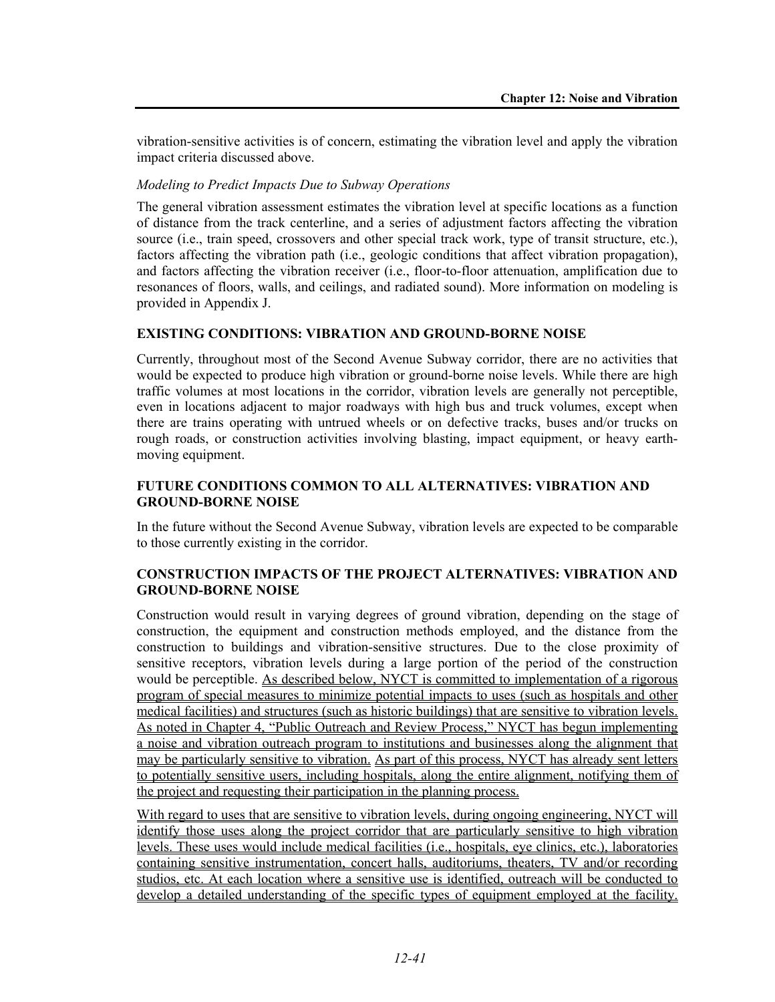vibration-sensitive activities is of concern, estimating the vibration level and apply the vibration impact criteria discussed above.

#### *Modeling to Predict Impacts Due to Subway Operations*

The general vibration assessment estimates the vibration level at specific locations as a function of distance from the track centerline, and a series of adjustment factors affecting the vibration source (i.e., train speed, crossovers and other special track work, type of transit structure, etc.), factors affecting the vibration path (i.e., geologic conditions that affect vibration propagation), and factors affecting the vibration receiver (i.e., floor-to-floor attenuation, amplification due to resonances of floors, walls, and ceilings, and radiated sound). More information on modeling is provided in Appendix J.

#### **EXISTING CONDITIONS: VIBRATION AND GROUND-BORNE NOISE**

Currently, throughout most of the Second Avenue Subway corridor, there are no activities that would be expected to produce high vibration or ground-borne noise levels. While there are high traffic volumes at most locations in the corridor, vibration levels are generally not perceptible, even in locations adjacent to major roadways with high bus and truck volumes, except when there are trains operating with untrued wheels or on defective tracks, buses and/or trucks on rough roads, or construction activities involving blasting, impact equipment, or heavy earthmoving equipment.

#### **FUTURE CONDITIONS COMMON TO ALL ALTERNATIVES: VIBRATION AND GROUND-BORNE NOISE**

In the future without the Second Avenue Subway, vibration levels are expected to be comparable to those currently existing in the corridor.

#### **CONSTRUCTION IMPACTS OF THE PROJECT ALTERNATIVES: VIBRATION AND GROUND-BORNE NOISE**

Construction would result in varying degrees of ground vibration, depending on the stage of construction, the equipment and construction methods employed, and the distance from the construction to buildings and vibration-sensitive structures. Due to the close proximity of sensitive receptors, vibration levels during a large portion of the period of the construction would be perceptible. As described below, NYCT is committed to implementation of a rigorous program of special measures to minimize potential impacts to uses (such as hospitals and other medical facilities) and structures (such as historic buildings) that are sensitive to vibration levels. As noted in Chapter 4, "Public Outreach and Review Process," NYCT has begun implementing a noise and vibration outreach program to institutions and businesses along the alignment that may be particularly sensitive to vibration. As part of this process, NYCT has already sent letters to potentially sensitive users, including hospitals, along the entire alignment, notifying them of the project and requesting their participation in the planning process.

With regard to uses that are sensitive to vibration levels, during ongoing engineering, NYCT will identify those uses along the project corridor that are particularly sensitive to high vibration levels. These uses would include medical facilities (i.e., hospitals, eye clinics, etc.), laboratories containing sensitive instrumentation, concert halls, auditoriums, theaters, TV and/or recording studios, etc. At each location where a sensitive use is identified, outreach will be conducted to develop a detailed understanding of the specific types of equipment employed at the facility.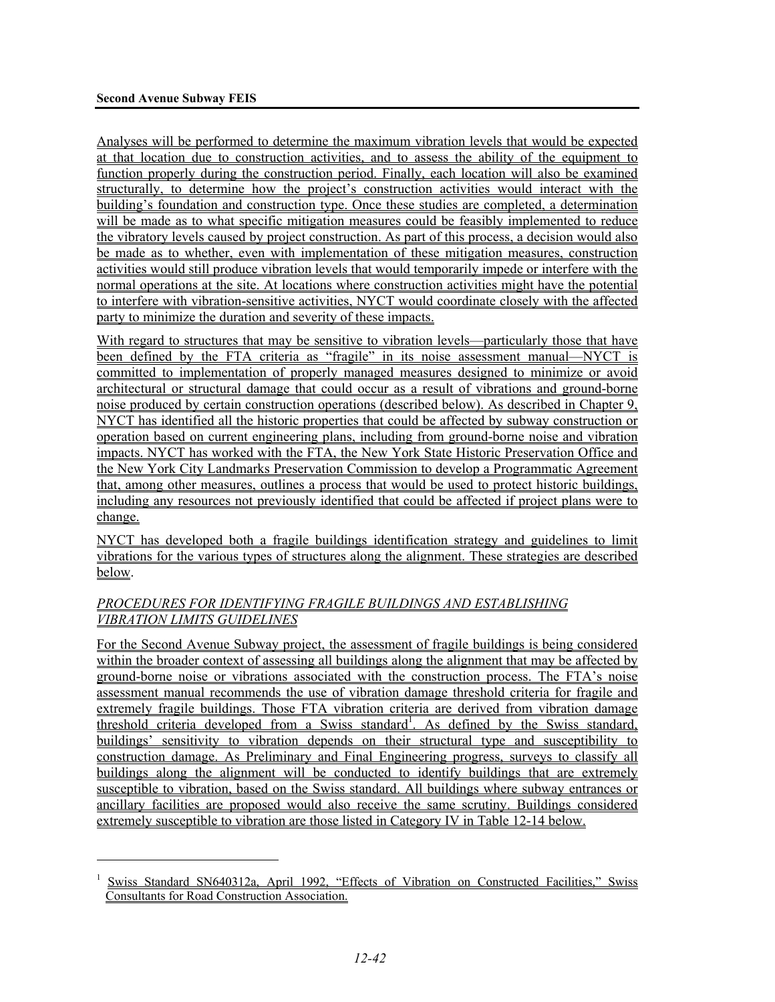<u>.</u>

Analyses will be performed to determine the maximum vibration levels that would be expected at that location due to construction activities, and to assess the ability of the equipment to function properly during the construction period. Finally, each location will also be examined structurally, to determine how the project's construction activities would interact with the building's foundation and construction type. Once these studies are completed, a determination will be made as to what specific mitigation measures could be feasibly implemented to reduce the vibratory levels caused by project construction. As part of this process, a decision would also be made as to whether, even with implementation of these mitigation measures, construction activities would still produce vibration levels that would temporarily impede or interfere with the normal operations at the site. At locations where construction activities might have the potential to interfere with vibration-sensitive activities, NYCT would coordinate closely with the affected party to minimize the duration and severity of these impacts.

With regard to structures that may be sensitive to vibration levels—particularly those that have been defined by the FTA criteria as "fragile" in its noise assessment manual—NYCT is committed to implementation of properly managed measures designed to minimize or avoid architectural or structural damage that could occur as a result of vibrations and ground-borne noise produced by certain construction operations (described below). As described in Chapter 9, NYCT has identified all the historic properties that could be affected by subway construction or operation based on current engineering plans, including from ground-borne noise and vibration impacts. NYCT has worked with the FTA, the New York State Historic Preservation Office and the New York City Landmarks Preservation Commission to develop a Programmatic Agreement that, among other measures, outlines a process that would be used to protect historic buildings, including any resources not previously identified that could be affected if project plans were to change.

NYCT has developed both a fragile buildings identification strategy and guidelines to limit vibrations for the various types of structures along the alignment. These strategies are described below.

#### *PROCEDURES FOR IDENTIFYING FRAGILE BUILDINGS AND ESTABLISHING VIBRATION LIMITS GUIDELINES*

For the Second Avenue Subway project, the assessment of fragile buildings is being considered within the broader context of assessing all buildings along the alignment that may be affected by ground-borne noise or vibrations associated with the construction process. The FTA's noise assessment manual recommends the use of vibration damage threshold criteria for fragile and extremely fragile buildings. Those FTA vibration criteria are derived from vibration damage threshold criteria developed from a Swiss standard<sup>1</sup>. As defined by the Swiss standard, buildings' sensitivity to vibration depends on their structural type and susceptibility to construction damage. As Preliminary and Final Engineering progress, surveys to classify all buildings along the alignment will be conducted to identify buildings that are extremely susceptible to vibration, based on the Swiss standard. All buildings where subway entrances or ancillary facilities are proposed would also receive the same scrutiny. Buildings considered extremely susceptible to vibration are those listed in Category IV in Table 12-14 below.

<sup>1</sup> Swiss Standard SN640312a, April 1992, "Effects of Vibration on Constructed Facilities," Swiss Consultants for Road Construction Association.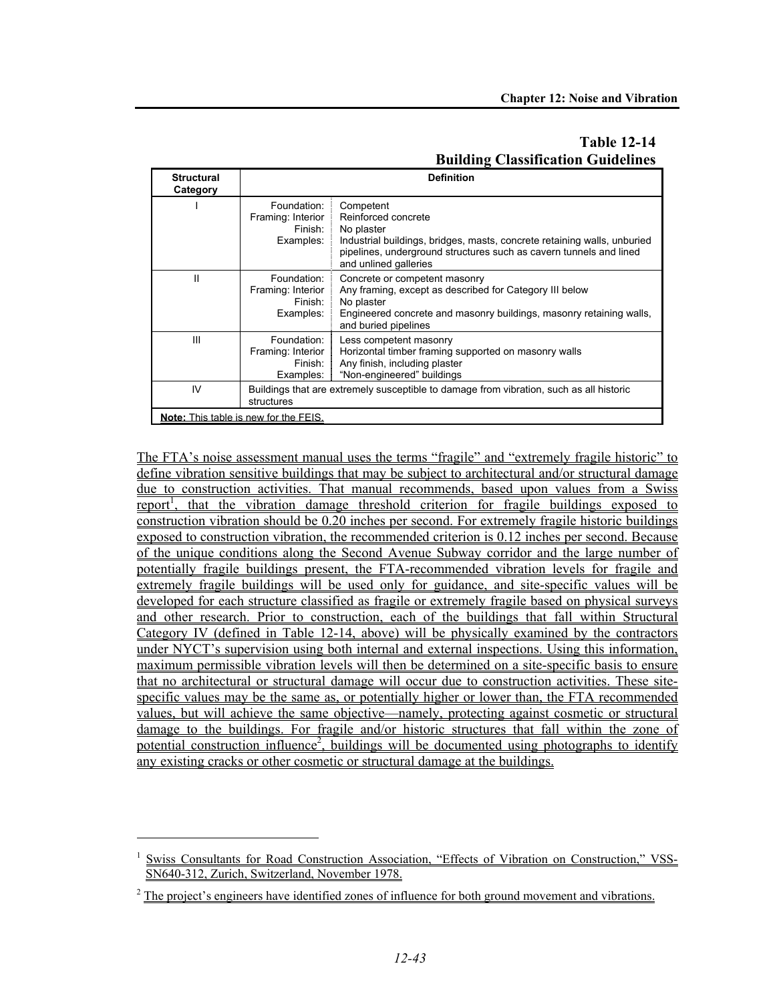# **Table 12-14 Building Classification Guidelines**

| <b>Structural</b><br>Category |                                                          | <b>Definition</b>                                                                                                                                                                                                         |  |  |  |  |  |
|-------------------------------|----------------------------------------------------------|---------------------------------------------------------------------------------------------------------------------------------------------------------------------------------------------------------------------------|--|--|--|--|--|
|                               | Foundation:<br>Framing: Interior<br>Finish:<br>Examples: | Competent<br>Reinforced concrete<br>No plaster<br>Industrial buildings, bridges, masts, concrete retaining walls, unburied<br>pipelines, underground structures such as cavern tunnels and lined<br>and unlined galleries |  |  |  |  |  |
| Ш                             | Foundation:<br>Framing: Interior<br>Finish:<br>Examples: | Concrete or competent masonry<br>Any framing, except as described for Category III below<br>No plaster<br>Engineered concrete and masonry buildings, masonry retaining walls,<br>and buried pipelines                     |  |  |  |  |  |
| Ш                             | Foundation:<br>Framing: Interior<br>Finish:<br>Examples: | Less competent masonry<br>Horizontal timber framing supported on masonry walls<br>Any finish, including plaster<br>"Non-engineered" buildings                                                                             |  |  |  |  |  |
| IV                            | structures                                               | Buildings that are extremely susceptible to damage from vibration, such as all historic                                                                                                                                   |  |  |  |  |  |
|                               | Note: This table is new for the FEIS.                    |                                                                                                                                                                                                                           |  |  |  |  |  |

The FTA's noise assessment manual uses the terms "fragile" and "extremely fragile historic" to define vibration sensitive buildings that may be subject to architectural and/or structural damage due to construction activities. That manual recommends, based upon values from a Swiss report<sup>1</sup>, that the vibration damage threshold criterion for fragile buildings exposed to construction vibration should be 0.20 inches per second. For extremely fragile historic buildings exposed to construction vibration, the recommended criterion is 0.12 inches per second. Because of the unique conditions along the Second Avenue Subway corridor and the large number of potentially fragile buildings present, the FTA-recommended vibration levels for fragile and extremely fragile buildings will be used only for guidance, and site-specific values will be developed for each structure classified as fragile or extremely fragile based on physical surveys and other research. Prior to construction, each of the buildings that fall within Structural Category IV (defined in Table 12-14, above) will be physically examined by the contractors under NYCT's supervision using both internal and external inspections. Using this information, maximum permissible vibration levels will then be determined on a site-specific basis to ensure that no architectural or structural damage will occur due to construction activities. These sitespecific values may be the same as, or potentially higher or lower than, the FTA recommended values, but will achieve the same objective—namely, protecting against cosmetic or structural damage to the buildings. For fragile and/or historic structures that fall within the zone of potential construction influence<sup>2</sup>, buildings will be documented using photographs to identify any existing cracks or other cosmetic or structural damage at the buildings.

1

<sup>1</sup> Swiss Consultants for Road Construction Association, "Effects of Vibration on Construction," VSS-SN640-312, Zurich, Switzerland, November 1978.

 $2^2$  The project's engineers have identified zones of influence for both ground movement and vibrations.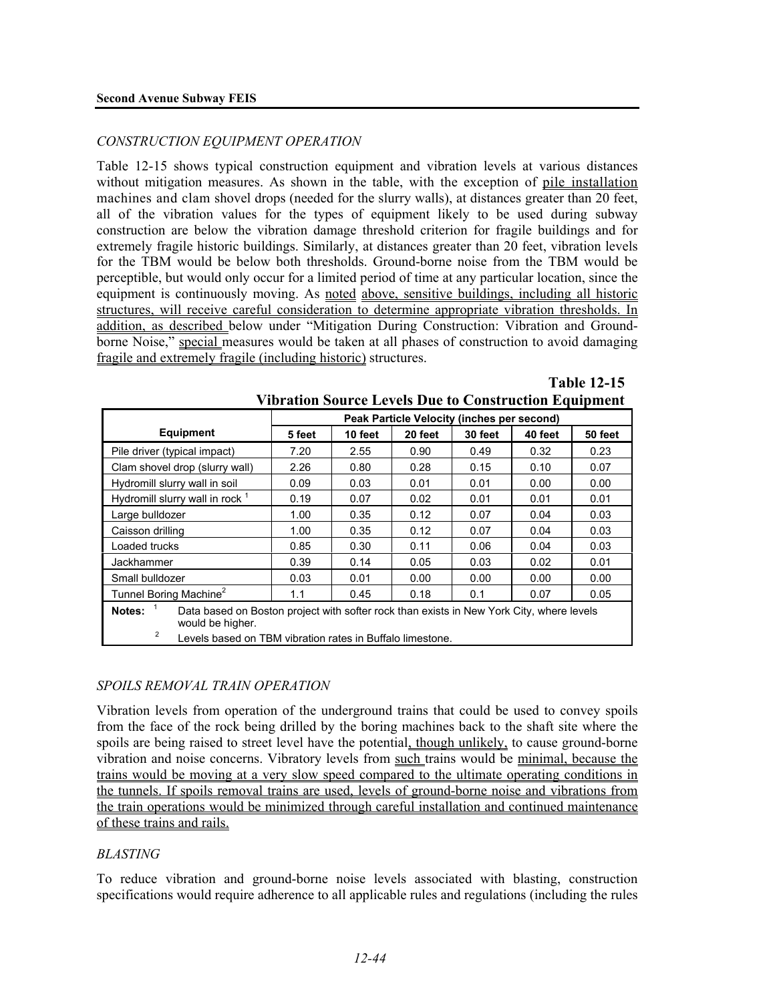#### *CONSTRUCTION EQUIPMENT OPERATION*

Table 12-15 shows typical construction equipment and vibration levels at various distances without mitigation measures. As shown in the table, with the exception of pile installation machines and clam shovel drops (needed for the slurry walls), at distances greater than 20 feet, all of the vibration values for the types of equipment likely to be used during subway construction are below the vibration damage threshold criterion for fragile buildings and for extremely fragile historic buildings. Similarly, at distances greater than 20 feet, vibration levels for the TBM would be below both thresholds. Ground-borne noise from the TBM would be perceptible, but would only occur for a limited period of time at any particular location, since the equipment is continuously moving. As noted above, sensitive buildings, including all historic structures, will receive careful consideration to determine appropriate vibration thresholds. In addition, as described below under "Mitigation During Construction: Vibration and Groundborne Noise," special measures would be taken at all phases of construction to avoid damaging fragile and extremely fragile (including historic) structures.

|                                            | Peak Particle Velocity (inches per second)                                                                                                            |         |         |         |         |         |  |  |
|--------------------------------------------|-------------------------------------------------------------------------------------------------------------------------------------------------------|---------|---------|---------|---------|---------|--|--|
| <b>Equipment</b>                           | 5 feet                                                                                                                                                | 10 feet | 20 feet | 30 feet | 40 feet | 50 feet |  |  |
| Pile driver (typical impact)               | 7.20                                                                                                                                                  | 2.55    | 0.90    | 0.49    | 0.32    | 0.23    |  |  |
| Clam shovel drop (slurry wall)             | 2.26                                                                                                                                                  | 0.80    | 0.28    | 0.15    | 0.10    | 0.07    |  |  |
| Hydromill slurry wall in soil              | 0.09                                                                                                                                                  | 0.03    | 0.01    | 0.01    | 0.00    | 0.00    |  |  |
| Hydromill slurry wall in rock <sup>1</sup> | 0.19                                                                                                                                                  | 0.07    | 0.02    | 0.01    | 0.01    | 0.01    |  |  |
| Large bulldozer                            | 1.00                                                                                                                                                  | 0.35    | 0.12    | 0.07    | 0.04    | 0.03    |  |  |
| Caisson drilling                           | 1.00                                                                                                                                                  | 0.35    | 0.12    | 0.07    | 0.04    | 0.03    |  |  |
| Loaded trucks                              | 0.85                                                                                                                                                  | 0.30    | 0.11    | 0.06    | 0.04    | 0.03    |  |  |
| Jackhammer                                 | 0.39                                                                                                                                                  | 0.14    | 0.05    | 0.03    | 0.02    | 0.01    |  |  |
| Small bulldozer                            | 0.03                                                                                                                                                  | 0.01    | 0.00    | 0.00    | 0.00    | 0.00    |  |  |
| Tunnel Boring Machine <sup>2</sup>         | 1.1                                                                                                                                                   | 0.45    | 0.18    | 0.1     | 0.07    | 0.05    |  |  |
| Notes:<br>would be higher.<br>2            | Data based on Boston project with softer rock than exists in New York City, where levels<br>Levels based on TBM vibration rates in Buffalo limestone. |         |         |         |         |         |  |  |

| <b>Vibration Source Levels Due to Construction Equipment</b> |  |  |  |  |
|--------------------------------------------------------------|--|--|--|--|
|                                                              |  |  |  |  |

**Table 12-15**

#### *SPOILS REMOVAL TRAIN OPERATION*

Vibration levels from operation of the underground trains that could be used to convey spoils from the face of the rock being drilled by the boring machines back to the shaft site where the spoils are being raised to street level have the potential, though unlikely, to cause ground-borne vibration and noise concerns. Vibratory levels from such trains would be minimal, because the trains would be moving at a very slow speed compared to the ultimate operating conditions in the tunnels. If spoils removal trains are used, levels of ground-borne noise and vibrations from the train operations would be minimized through careful installation and continued maintenance of these trains and rails.

#### *BLASTING*

To reduce vibration and ground-borne noise levels associated with blasting, construction specifications would require adherence to all applicable rules and regulations (including the rules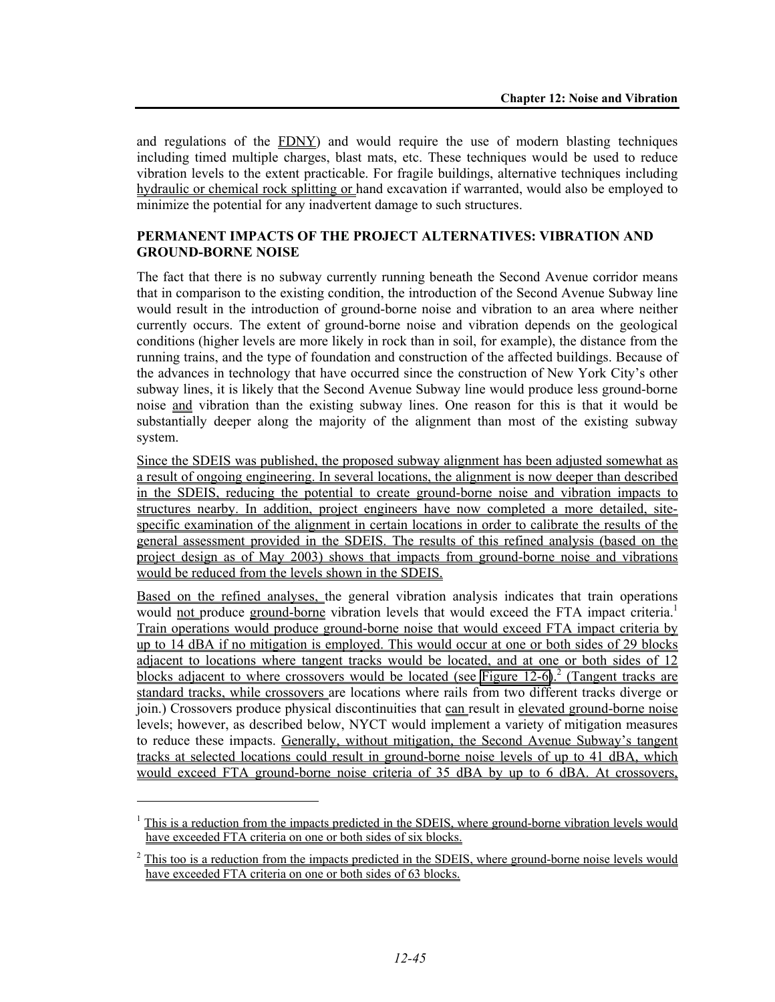and regulations of the FDNY) and would require the use of modern blasting techniques including timed multiple charges, blast mats, etc. These techniques would be used to reduce vibration levels to the extent practicable. For fragile buildings, alternative techniques including hydraulic or chemical rock splitting or hand excavation if warranted, would also be employed to minimize the potential for any inadvertent damage to such structures.

#### **PERMANENT IMPACTS OF THE PROJECT ALTERNATIVES: VIBRATION AND GROUND-BORNE NOISE**

The fact that there is no subway currently running beneath the Second Avenue corridor means that in comparison to the existing condition, the introduction of the Second Avenue Subway line would result in the introduction of ground-borne noise and vibration to an area where neither currently occurs. The extent of ground-borne noise and vibration depends on the geological conditions (higher levels are more likely in rock than in soil, for example), the distance from the running trains, and the type of foundation and construction of the affected buildings. Because of the advances in technology that have occurred since the construction of New York City's other subway lines, it is likely that the Second Avenue Subway line would produce less ground-borne noise and vibration than the existing subway lines. One reason for this is that it would be substantially deeper along the majority of the alignment than most of the existing subway system.

Since the SDEIS was published, the proposed subway alignment has been adjusted somewhat as a result of ongoing engineering. In several locations, the alignment is now deeper than described in the SDEIS, reducing the potential to create ground-borne noise and vibration impacts to structures nearby. In addition, project engineers have now completed a more detailed, sitespecific examination of the alignment in certain locations in order to calibrate the results of the general assessment provided in the SDEIS. The results of this refined analysis (based on the project design as of May 2003) shows that impacts from ground-borne noise and vibrations would be reduced from the levels shown in the SDEIS.

Based on the refined analyses, the general vibration analysis indicates that train operations would not produce ground-borne vibration levels that would exceed the FTA impact criteria.<sup>1</sup> Train operations would produce ground-borne noise that would exceed FTA impact criteria by up to 14 dBA if no mitigation is employed. This would occur at one or both sides of 29 blocks adjacent to locations where tangent tracks would be located, and at one or both sides of 12 blocks adjacent to where crossovers would be located (see Figure 12-6).<sup>2</sup> (Tangent tracks are standard tracks, while crossovers are locations where rails from two different tracks diverge or join.) Crossovers produce physical discontinuities that can result in elevated ground-borne noise levels; however, as described below, NYCT would implement a variety of mitigation measures to reduce these impacts. Generally, without mitigation, the Second Avenue Subway's tangent tracks at selected locations could result in ground-borne noise levels of up to 41 dBA, which would exceed FTA ground-borne noise criteria of 35 dBA by up to 6 dBA. At crossovers,

l

 $1$  This is a reduction from the impacts predicted in the SDEIS, where ground-borne vibration levels would have exceeded FTA criteria on one or both sides of six blocks.

 $2$  This too is a reduction from the impacts predicted in the SDEIS, where ground-borne noise levels would have exceeded FTA criteria on one or both sides of 63 blocks.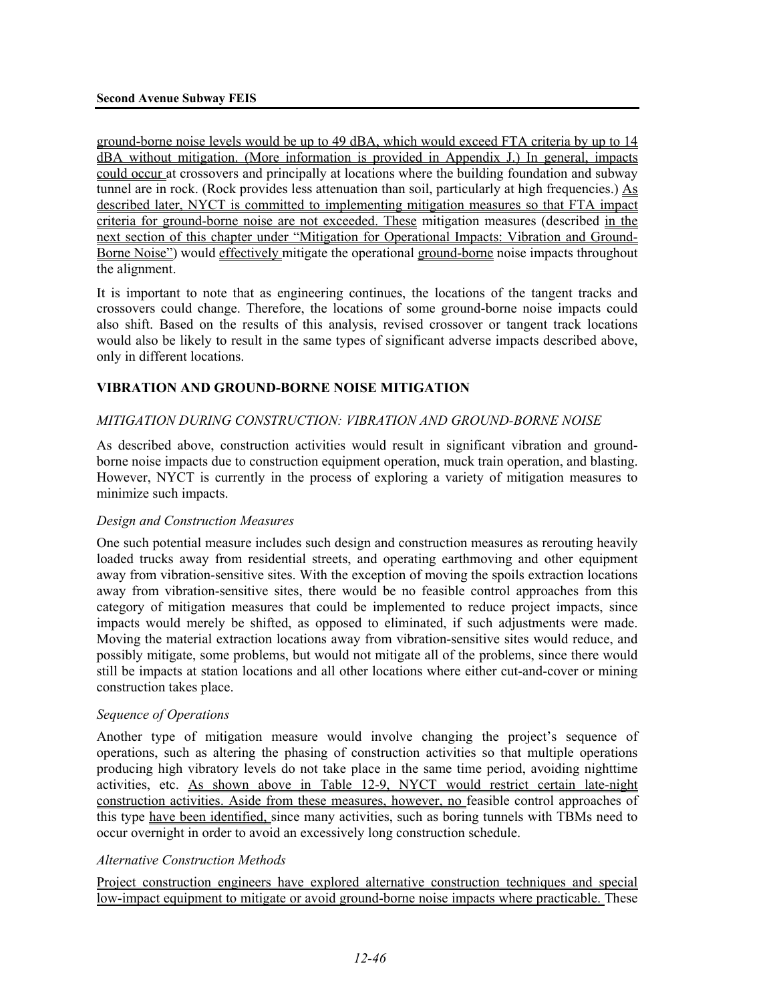ground-borne noise levels would be up to 49 dBA, which would exceed FTA criteria by up to 14 dBA without mitigation. (More information is provided in Appendix J.) In general, impacts could occur at crossovers and principally at locations where the building foundation and subway tunnel are in rock. (Rock provides less attenuation than soil, particularly at high frequencies.) As described later, NYCT is committed to implementing mitigation measures so that FTA impact criteria for ground-borne noise are not exceeded. These mitigation measures (described in the next section of this chapter under "Mitigation for Operational Impacts: Vibration and Ground-Borne Noise") would effectively mitigate the operational ground-borne noise impacts throughout the alignment.

It is important to note that as engineering continues, the locations of the tangent tracks and crossovers could change. Therefore, the locations of some ground-borne noise impacts could also shift. Based on the results of this analysis, revised crossover or tangent track locations would also be likely to result in the same types of significant adverse impacts described above, only in different locations.

#### **VIBRATION AND GROUND-BORNE NOISE MITIGATION**

#### *MITIGATION DURING CONSTRUCTION: VIBRATION AND GROUND-BORNE NOISE*

As described above, construction activities would result in significant vibration and groundborne noise impacts due to construction equipment operation, muck train operation, and blasting. However, NYCT is currently in the process of exploring a variety of mitigation measures to minimize such impacts.

#### *Design and Construction Measures*

One such potential measure includes such design and construction measures as rerouting heavily loaded trucks away from residential streets, and operating earthmoving and other equipment away from vibration-sensitive sites. With the exception of moving the spoils extraction locations away from vibration-sensitive sites, there would be no feasible control approaches from this category of mitigation measures that could be implemented to reduce project impacts, since impacts would merely be shifted, as opposed to eliminated, if such adjustments were made. Moving the material extraction locations away from vibration-sensitive sites would reduce, and possibly mitigate, some problems, but would not mitigate all of the problems, since there would still be impacts at station locations and all other locations where either cut-and-cover or mining construction takes place.

#### *Sequence of Operations*

Another type of mitigation measure would involve changing the project's sequence of operations, such as altering the phasing of construction activities so that multiple operations producing high vibratory levels do not take place in the same time period, avoiding nighttime activities, etc. As shown above in Table 12-9, NYCT would restrict certain late-night construction activities. Aside from these measures, however, no feasible control approaches of this type have been identified, since many activities, such as boring tunnels with TBMs need to occur overnight in order to avoid an excessively long construction schedule.

#### *Alternative Construction Methods*

Project construction engineers have explored alternative construction techniques and special low-impact equipment to mitigate or avoid ground-borne noise impacts where practicable. These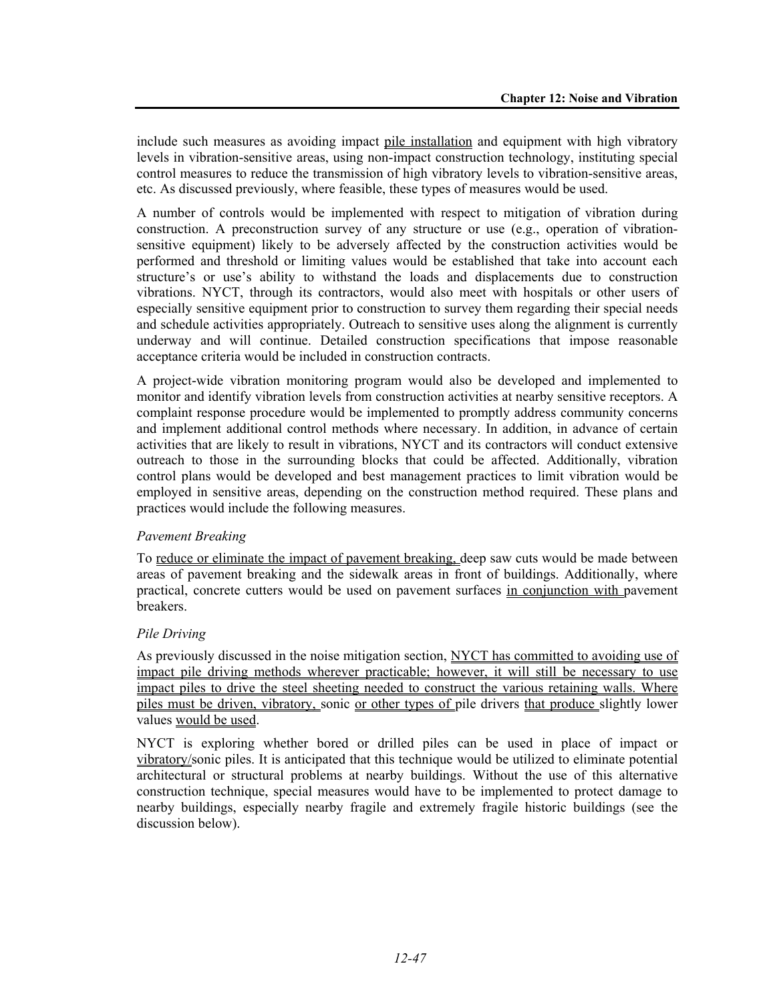include such measures as avoiding impact pile installation and equipment with high vibratory levels in vibration-sensitive areas, using non-impact construction technology, instituting special control measures to reduce the transmission of high vibratory levels to vibration-sensitive areas, etc. As discussed previously, where feasible, these types of measures would be used.

A number of controls would be implemented with respect to mitigation of vibration during construction. A preconstruction survey of any structure or use (e.g., operation of vibrationsensitive equipment) likely to be adversely affected by the construction activities would be performed and threshold or limiting values would be established that take into account each structure's or use's ability to withstand the loads and displacements due to construction vibrations. NYCT, through its contractors, would also meet with hospitals or other users of especially sensitive equipment prior to construction to survey them regarding their special needs and schedule activities appropriately. Outreach to sensitive uses along the alignment is currently underway and will continue. Detailed construction specifications that impose reasonable acceptance criteria would be included in construction contracts.

A project-wide vibration monitoring program would also be developed and implemented to monitor and identify vibration levels from construction activities at nearby sensitive receptors. A complaint response procedure would be implemented to promptly address community concerns and implement additional control methods where necessary. In addition, in advance of certain activities that are likely to result in vibrations, NYCT and its contractors will conduct extensive outreach to those in the surrounding blocks that could be affected. Additionally, vibration control plans would be developed and best management practices to limit vibration would be employed in sensitive areas, depending on the construction method required. These plans and practices would include the following measures.

#### *Pavement Breaking*

To reduce or eliminate the impact of pavement breaking, deep saw cuts would be made between areas of pavement breaking and the sidewalk areas in front of buildings. Additionally, where practical, concrete cutters would be used on pavement surfaces in conjunction with pavement breakers.

#### *Pile Driving*

As previously discussed in the noise mitigation section, NYCT has committed to avoiding use of impact pile driving methods wherever practicable; however, it will still be necessary to use impact piles to drive the steel sheeting needed to construct the various retaining walls. Where piles must be driven, vibratory, sonic or other types of pile drivers that produce slightly lower values would be used.

NYCT is exploring whether bored or drilled piles can be used in place of impact or vibratory/sonic piles. It is anticipated that this technique would be utilized to eliminate potential architectural or structural problems at nearby buildings. Without the use of this alternative construction technique, special measures would have to be implemented to protect damage to nearby buildings, especially nearby fragile and extremely fragile historic buildings (see the discussion below).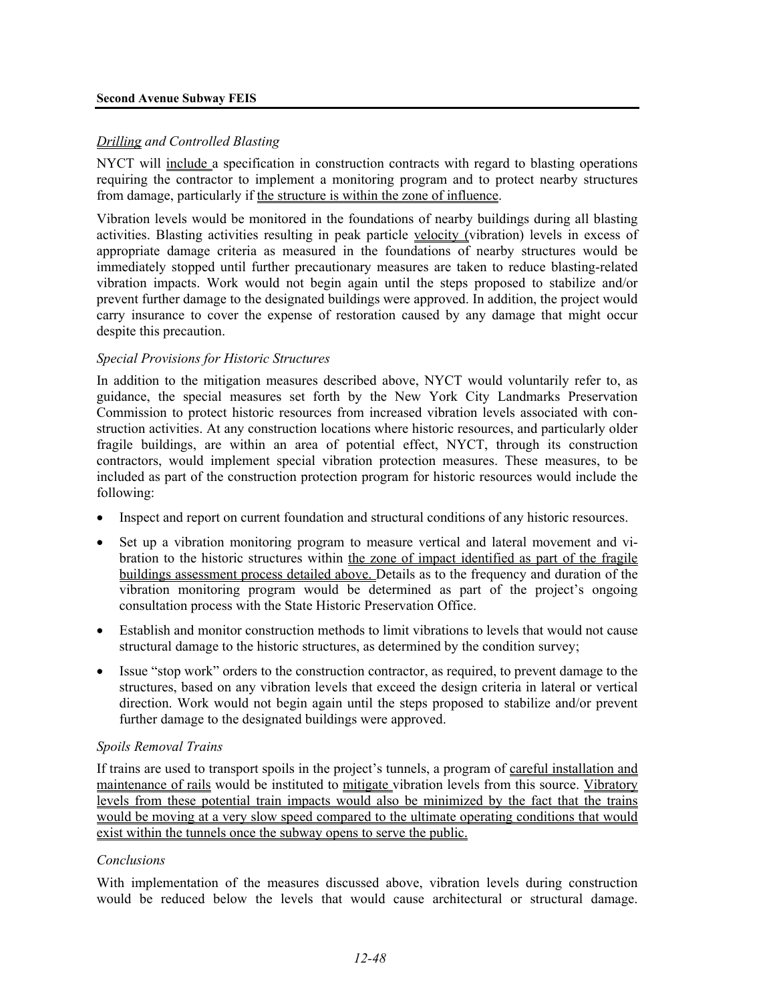#### *Drilling and Controlled Blasting*

NYCT will include a specification in construction contracts with regard to blasting operations requiring the contractor to implement a monitoring program and to protect nearby structures from damage, particularly if the structure is within the zone of influence.

Vibration levels would be monitored in the foundations of nearby buildings during all blasting activities. Blasting activities resulting in peak particle velocity (vibration) levels in excess of appropriate damage criteria as measured in the foundations of nearby structures would be immediately stopped until further precautionary measures are taken to reduce blasting-related vibration impacts. Work would not begin again until the steps proposed to stabilize and/or prevent further damage to the designated buildings were approved. In addition, the project would carry insurance to cover the expense of restoration caused by any damage that might occur despite this precaution.

#### *Special Provisions for Historic Structures*

In addition to the mitigation measures described above, NYCT would voluntarily refer to, as guidance, the special measures set forth by the New York City Landmarks Preservation Commission to protect historic resources from increased vibration levels associated with construction activities. At any construction locations where historic resources, and particularly older fragile buildings, are within an area of potential effect, NYCT, through its construction contractors, would implement special vibration protection measures. These measures, to be included as part of the construction protection program for historic resources would include the following:

- Inspect and report on current foundation and structural conditions of any historic resources.
- Set up a vibration monitoring program to measure vertical and lateral movement and vibration to the historic structures within the zone of impact identified as part of the fragile buildings assessment process detailed above. Details as to the frequency and duration of the vibration monitoring program would be determined as part of the project's ongoing consultation process with the State Historic Preservation Office.
- Establish and monitor construction methods to limit vibrations to levels that would not cause structural damage to the historic structures, as determined by the condition survey;
- Issue "stop work" orders to the construction contractor, as required, to prevent damage to the structures, based on any vibration levels that exceed the design criteria in lateral or vertical direction. Work would not begin again until the steps proposed to stabilize and/or prevent further damage to the designated buildings were approved.

#### *Spoils Removal Trains*

If trains are used to transport spoils in the project's tunnels, a program of careful installation and maintenance of rails would be instituted to mitigate vibration levels from this source. Vibratory levels from these potential train impacts would also be minimized by the fact that the trains would be moving at a very slow speed compared to the ultimate operating conditions that would exist within the tunnels once the subway opens to serve the public.

#### *Conclusions*

With implementation of the measures discussed above, vibration levels during construction would be reduced below the levels that would cause architectural or structural damage.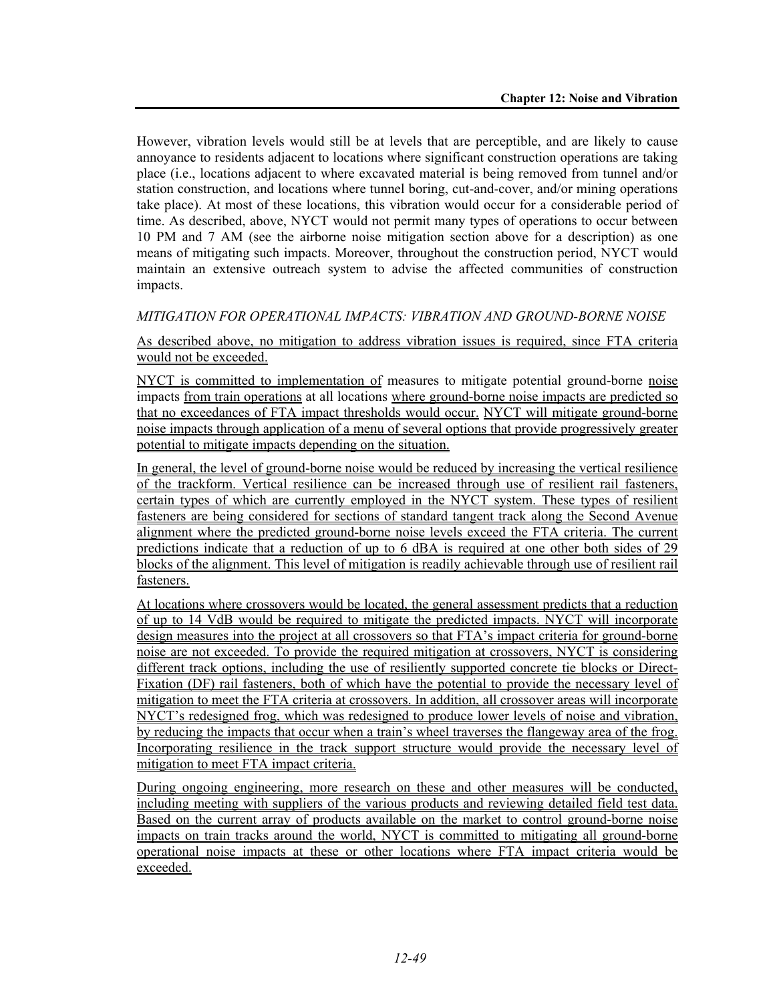However, vibration levels would still be at levels that are perceptible, and are likely to cause annoyance to residents adjacent to locations where significant construction operations are taking place (i.e., locations adjacent to where excavated material is being removed from tunnel and/or station construction, and locations where tunnel boring, cut-and-cover, and/or mining operations take place). At most of these locations, this vibration would occur for a considerable period of time. As described, above, NYCT would not permit many types of operations to occur between 10 PM and 7 AM (see the airborne noise mitigation section above for a description) as one means of mitigating such impacts. Moreover, throughout the construction period, NYCT would maintain an extensive outreach system to advise the affected communities of construction impacts.

#### *MITIGATION FOR OPERATIONAL IMPACTS: VIBRATION AND GROUND-BORNE NOISE*

As described above, no mitigation to address vibration issues is required, since FTA criteria would not be exceeded.

NYCT is committed to implementation of measures to mitigate potential ground-borne noise impacts from train operations at all locations where ground-borne noise impacts are predicted so that no exceedances of FTA impact thresholds would occur. NYCT will mitigate ground-borne noise impacts through application of a menu of several options that provide progressively greater potential to mitigate impacts depending on the situation.

In general, the level of ground-borne noise would be reduced by increasing the vertical resilience of the trackform. Vertical resilience can be increased through use of resilient rail fasteners, certain types of which are currently employed in the NYCT system. These types of resilient fasteners are being considered for sections of standard tangent track along the Second Avenue alignment where the predicted ground-borne noise levels exceed the FTA criteria. The current predictions indicate that a reduction of up to 6 dBA is required at one other both sides of 29 blocks of the alignment. This level of mitigation is readily achievable through use of resilient rail fasteners.

At locations where crossovers would be located, the general assessment predicts that a reduction of up to 14 VdB would be required to mitigate the predicted impacts. NYCT will incorporate design measures into the project at all crossovers so that FTA's impact criteria for ground-borne noise are not exceeded. To provide the required mitigation at crossovers, NYCT is considering different track options, including the use of resiliently supported concrete tie blocks or Direct-Fixation (DF) rail fasteners, both of which have the potential to provide the necessary level of mitigation to meet the FTA criteria at crossovers. In addition, all crossover areas will incorporate NYCT's redesigned frog, which was redesigned to produce lower levels of noise and vibration, by reducing the impacts that occur when a train's wheel traverses the flangeway area of the frog. Incorporating resilience in the track support structure would provide the necessary level of mitigation to meet FTA impact criteria.

During ongoing engineering, more research on these and other measures will be conducted, including meeting with suppliers of the various products and reviewing detailed field test data. Based on the current array of products available on the market to control ground-borne noise impacts on train tracks around the world, NYCT is committed to mitigating all ground-borne operational noise impacts at these or other locations where FTA impact criteria would be exceeded.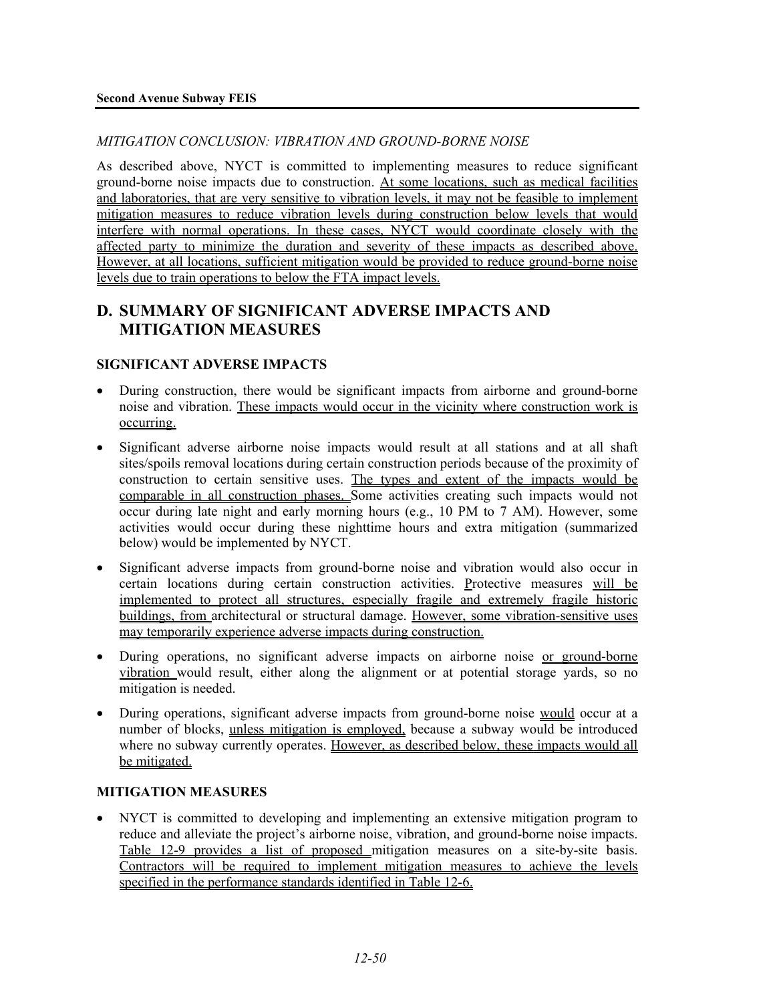#### *MITIGATION CONCLUSION: VIBRATION AND GROUND-BORNE NOISE*

As described above, NYCT is committed to implementing measures to reduce significant ground-borne noise impacts due to construction. At some locations, such as medical facilities and laboratories, that are very sensitive to vibration levels, it may not be feasible to implement mitigation measures to reduce vibration levels during construction below levels that would interfere with normal operations. In these cases, NYCT would coordinate closely with the affected party to minimize the duration and severity of these impacts as described above. However, at all locations, sufficient mitigation would be provided to reduce ground-borne noise levels due to train operations to below the FTA impact levels.

# **D. SUMMARY OF SIGNIFICANT ADVERSE IMPACTS AND MITIGATION MEASURES**

#### **SIGNIFICANT ADVERSE IMPACTS**

- During construction, there would be significant impacts from airborne and ground-borne noise and vibration. These impacts would occur in the vicinity where construction work is occurring.
- Significant adverse airborne noise impacts would result at all stations and at all shaft sites/spoils removal locations during certain construction periods because of the proximity of construction to certain sensitive uses. The types and extent of the impacts would be comparable in all construction phases. Some activities creating such impacts would not occur during late night and early morning hours (e.g., 10 PM to 7 AM). However, some activities would occur during these nighttime hours and extra mitigation (summarized below) would be implemented by NYCT.
- Significant adverse impacts from ground-borne noise and vibration would also occur in certain locations during certain construction activities. Protective measures will be implemented to protect all structures, especially fragile and extremely fragile historic buildings, from architectural or structural damage. However, some vibration-sensitive uses may temporarily experience adverse impacts during construction.
- During operations, no significant adverse impacts on airborne noise <u>or ground-borne</u> vibration would result, either along the alignment or at potential storage yards, so no mitigation is needed.
- During operations, significant adverse impacts from ground-borne noise would occur at a number of blocks, unless mitigation is employed, because a subway would be introduced where no subway currently operates. However, as described below, these impacts would all be mitigated.

#### **MITIGATION MEASURES**

• NYCT is committed to developing and implementing an extensive mitigation program to reduce and alleviate the project's airborne noise, vibration, and ground-borne noise impacts. Table 12-9 provides a list of proposed mitigation measures on a site-by-site basis. Contractors will be required to implement mitigation measures to achieve the levels specified in the performance standards identified in Table 12-6.